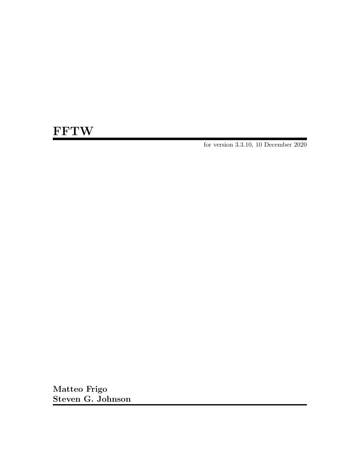# **FFTW**

for version 3.3.10, 10 December 2020

Matteo Frigo Steven G. Johnson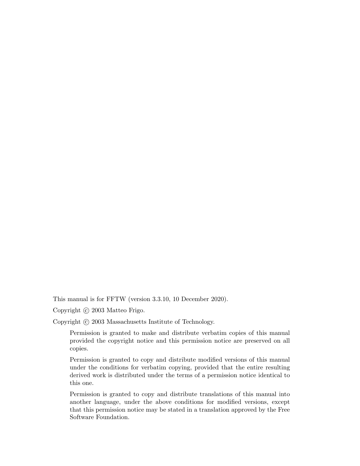This manual is for FFTW (version 3.3.10, 10 December 2020).

Copyright (c) 2003 Matteo Frigo.

Copyright  $\odot$  2003 Massachusetts Institute of Technology.

Permission is granted to make and distribute verbatim copies of this manual provided the copyright notice and this permission notice are preserved on all copies.

Permission is granted to copy and distribute modified versions of this manual under the conditions for verbatim copying, provided that the entire resulting derived work is distributed under the terms of a permission notice identical to this one.

Permission is granted to copy and distribute translations of this manual into another language, under the above conditions for modified versions, except that this permission notice may be stated in a translation approved by the Free Software Foundation.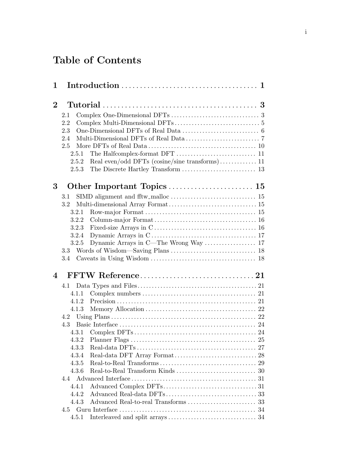# Table of Contents

| 1        |                  |    |
|----------|------------------|----|
| $\bf{2}$ |                  |    |
|          | 2.1              |    |
|          | 2.2              |    |
|          | 2.3              |    |
|          | 2.4              |    |
|          | 2.5              |    |
|          | 2.5.1            |    |
|          | 2.5.2            |    |
|          | 2.5.3            |    |
|          |                  |    |
| 3        |                  |    |
|          | 3.1              |    |
|          | 3.2              |    |
|          | 3.2.1            |    |
|          | 3.2.2            |    |
|          | 3.2.3            |    |
|          | 3.2.4            |    |
|          | 3.2.5            |    |
|          | $3.3\phantom{0}$ |    |
|          | 3.4              |    |
|          |                  |    |
| 4        |                  |    |
|          | 4.1              |    |
|          | 4.1.1            |    |
|          | 4.1.2            |    |
|          | 4.1.3            |    |
|          | 4.2              |    |
|          | 4.3              |    |
|          | 4.3.1            |    |
|          | 4.3.2            |    |
|          | 4.3.3            |    |
|          | 4.3.4            |    |
|          | 4.3.5            |    |
|          | 4.3.6            | 30 |
|          | 4.4              |    |
|          | 4.4.1            |    |
|          | 4.4.2            |    |
|          | 4.4.3            |    |
|          | 4.5              |    |
|          | 4.5.1            |    |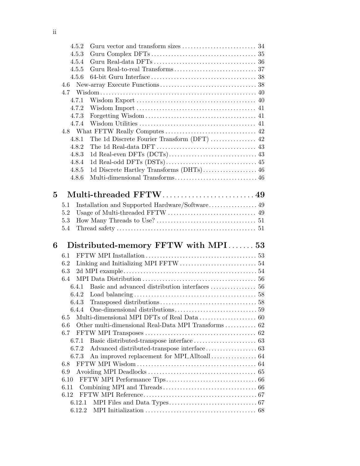|   | 4.5.2            |                                                                                   |  |
|---|------------------|-----------------------------------------------------------------------------------|--|
|   | 4.5.3            |                                                                                   |  |
|   | 4.5.4            |                                                                                   |  |
|   | 4.5.5            |                                                                                   |  |
|   | 4.5.6            |                                                                                   |  |
|   | 4.6              |                                                                                   |  |
|   |                  |                                                                                   |  |
|   | 4.7.1            |                                                                                   |  |
|   | 4.7.2            |                                                                                   |  |
|   | 4.7.3            |                                                                                   |  |
|   | 4.7.4            |                                                                                   |  |
|   |                  |                                                                                   |  |
|   | 4.8.1            |                                                                                   |  |
|   | 4.8.2            | The 1d Real-data DFT $\dots\dots\dots\dots\dots\dots\dots\dots\dots\dots\dots$ 43 |  |
|   | 4.8.3            |                                                                                   |  |
|   | 4.8.4            |                                                                                   |  |
|   | 4.8.5            |                                                                                   |  |
|   | 4.8.6            |                                                                                   |  |
|   |                  |                                                                                   |  |
| 5 |                  |                                                                                   |  |
|   | 5.1              | Installation and Supported Hardware/Software 49                                   |  |
|   | 5.2              |                                                                                   |  |
|   | 5.3              |                                                                                   |  |
|   | 5.4              |                                                                                   |  |
|   |                  |                                                                                   |  |
|   |                  |                                                                                   |  |
| 6 |                  | Distributed-memory FFTW with MPI53                                                |  |
|   | 6.1              |                                                                                   |  |
|   | 6.2              |                                                                                   |  |
|   | 6.3              |                                                                                   |  |
|   | 6.4              |                                                                                   |  |
|   | 6.4.1            |                                                                                   |  |
|   | 6.4.2            |                                                                                   |  |
|   | 6.4.3            |                                                                                   |  |
|   | 644              |                                                                                   |  |
|   | 6.5              |                                                                                   |  |
|   | 6.6              | Other multi-dimensional Real-Data MPI Transforms  62                              |  |
|   | 6.7              |                                                                                   |  |
|   | 6.7.1            |                                                                                   |  |
|   | 6.7.2            |                                                                                   |  |
|   | 6.7.3            |                                                                                   |  |
|   | 6.8              |                                                                                   |  |
|   | 6.9              |                                                                                   |  |
|   | 6.10             |                                                                                   |  |
|   | 6.11             |                                                                                   |  |
|   | 6.12             |                                                                                   |  |
|   | 6.12.1<br>6.12.2 |                                                                                   |  |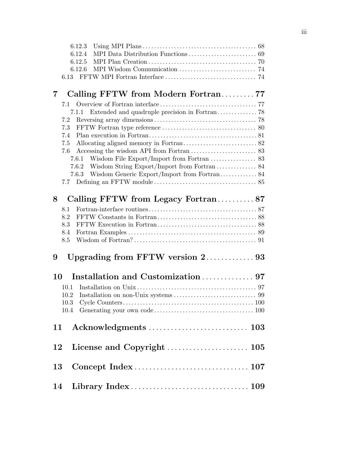| 6.12.3         |                                                                                                                                                                                           |
|----------------|-------------------------------------------------------------------------------------------------------------------------------------------------------------------------------------------|
| 6.12.4         |                                                                                                                                                                                           |
| 6.12.5         |                                                                                                                                                                                           |
| 6.12.6         |                                                                                                                                                                                           |
| 6.13           |                                                                                                                                                                                           |
|                |                                                                                                                                                                                           |
| $\overline{7}$ |                                                                                                                                                                                           |
| 7.1            |                                                                                                                                                                                           |
| 7.1.1          |                                                                                                                                                                                           |
| 7.2            |                                                                                                                                                                                           |
| 7.3            |                                                                                                                                                                                           |
| 7.4            |                                                                                                                                                                                           |
|                |                                                                                                                                                                                           |
|                |                                                                                                                                                                                           |
|                |                                                                                                                                                                                           |
|                |                                                                                                                                                                                           |
|                |                                                                                                                                                                                           |
|                |                                                                                                                                                                                           |
|                |                                                                                                                                                                                           |
|                |                                                                                                                                                                                           |
|                |                                                                                                                                                                                           |
|                |                                                                                                                                                                                           |
|                |                                                                                                                                                                                           |
| 8.5            |                                                                                                                                                                                           |
|                |                                                                                                                                                                                           |
|                |                                                                                                                                                                                           |
|                |                                                                                                                                                                                           |
| 10             |                                                                                                                                                                                           |
| 10.1           |                                                                                                                                                                                           |
|                |                                                                                                                                                                                           |
| 10.2           |                                                                                                                                                                                           |
| 10.3           |                                                                                                                                                                                           |
|                |                                                                                                                                                                                           |
|                |                                                                                                                                                                                           |
| $12\,$         |                                                                                                                                                                                           |
| 13             |                                                                                                                                                                                           |
|                | Calling FFTW from Modern Fortran77<br>Extended and quadruple precision in Fortran 78 $\,$<br>7.5<br>7.6<br>7.6.1<br>7.7<br>Calling FFTW from Legacy Fortran87<br>8.1<br>8.2<br>8.3<br>8.4 |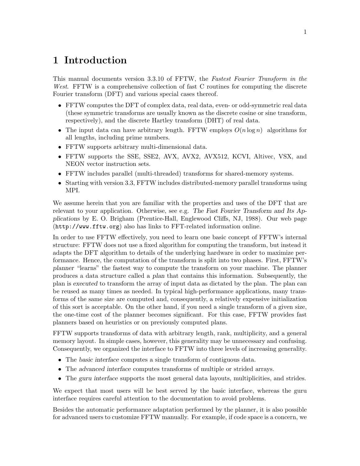# <span id="page-6-0"></span>1 Introduction

This manual documents version 3.3.10 of FFTW, the Fastest Fourier Transform in the West. FFTW is a comprehensive collection of fast C routines for computing the discrete Fourier transform (DFT) and various special cases thereof.

- FFTW computes the DFT of complex data, real data, even- or odd-symmetric real data (these symmetric transforms are usually known as the discrete cosine or sine transform, respectively), and the discrete Hartley transform (DHT) of real data.
- The input data can have arbitrary length. FFTW employs  $O(n \log n)$  algorithms for all lengths, including prime numbers.
- FFTW supports arbitrary multi-dimensional data.
- FFTW supports the SSE, SSE2, AVX, AVX2, AVX512, KCVI, Altivec, VSX, and NEON vector instruction sets.
- FFTW includes parallel (multi-threaded) transforms for shared-memory systems.
- Starting with version 3.3, FFTW includes distributed-memory parallel transforms using MPI.

We assume herein that you are familiar with the properties and uses of the DFT that are relevant to your application. Otherwise, see e.g. The Fast Fourier Transform and Its Applications by E. O. Brigham (Prentice-Hall, Englewood Cliffs, NJ, 1988). [Our web page](http://www.fftw.org) (<http://www.fftw.org>) also has links to FFT-related information online.

In order to use FFTW effectively, you need to learn one basic concept of FFTW's internal structure: FFTW does not use a fixed algorithm for computing the transform, but instead it adapts the DFT algorithm to details of the underlying hardware in order to maximize performance. Hence, the computation of the transform is split into two phases. First, FFTW's planner "learns" the fastest way to compute the transform on your machine. The planner produces a data structure called a plan that contains this information. Subsequently, the plan is executed to transform the array of input data as dictated by the plan. The plan can be reused as many times as needed. In typical high-performance applications, many transforms of the same size are computed and, consequently, a relatively expensive initialization of this sort is acceptable. On the other hand, if you need a single transform of a given size, the one-time cost of the planner becomes significant. For this case, FFTW provides fast planners based on heuristics or on previously computed plans.

FFTW supports transforms of data with arbitrary length, rank, multiplicity, and a general memory layout. In simple cases, however, this generality may be unnecessary and confusing. Consequently, we organized the interface to FFTW into three levels of increasing generality.

- The basic interface computes a single transform of contiguous data.
- The advanced interface computes transforms of multiple or strided arrays.
- The guru interface supports the most general data layouts, multiplicities, and strides.

We expect that most users will be best served by the basic interface, whereas the guru interface requires careful attention to the documentation to avoid problems.

Besides the automatic performance adaptation performed by the planner, it is also possible for advanced users to customize FFTW manually. For example, if code space is a concern, we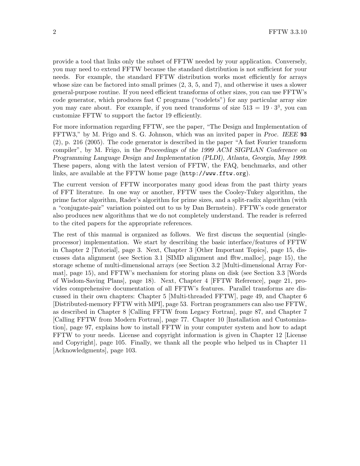provide a tool that links only the subset of FFTW needed by your application. Conversely, you may need to extend FFTW because the standard distribution is not sufficient for your needs. For example, the standard FFTW distribution works most efficiently for arrays whose size can be factored into small primes  $(2, 3, 5, \text{ and } 7)$ , and otherwise it uses a slower general-purpose routine. If you need efficient transforms of other sizes, you can use FFTW's code generator, which produces fast C programs ("codelets") for any particular array size you may care about. For example, if you need transforms of size  $513 = 19 \cdot 3^3$ , you can customize FFTW to support the factor 19 efficiently.

For more information regarding FFTW, see the paper, "The Design and Implementation of FFTW3," by M. Frigo and S. G. Johnson, which was an invited paper in Proc. IEEE 93 (2), p. 216 (2005). The code generator is described in the paper "A fast Fourier transform compiler", by M. Frigo, in the Proceedings of the 1999 ACM SIGPLAN Conference on Programming Language Design and Implementation (PLDI), Atlanta, Georgia, May 1999. These papers, along with the latest version of FFTW, the FAQ, benchmarks, and other links, are available at [the FFTW home page \(](http://www.fftw.org)http://www.fftw.org).

The current version of FFTW incorporates many good ideas from the past thirty years of FFT literature. In one way or another, FFTW uses the Cooley-Tukey algorithm, the prime factor algorithm, Rader's algorithm for prime sizes, and a split-radix algorithm (with a "conjugate-pair" variation pointed out to us by Dan Bernstein). FFTW's code generator also produces new algorithms that we do not completely understand. The reader is referred to the cited papers for the appropriate references.

The rest of this manual is organized as follows. We first discuss the sequential (singleprocessor) implementation. We start by describing the basic interface/features of FFTW in [Chapter 2 \[Tutorial\], page 3](#page-8-0). Next, [Chapter 3 \[Other Important Topics\], page 15,](#page-20-0) discusses data alignment (see [Section 3.1 \[SIMD alignment and fftw](#page-20-1) malloc], page 15), the storage scheme of multi-dimensional arrays (see [Section 3.2 \[Multi-dimensional Array For](#page-20-2)[mat\], page 15](#page-20-2)), and FFTW's mechanism for storing plans on disk (see [Section 3.3 \[Words](#page-23-1) [of Wisdom-Saving Plans\], page 18\)](#page-23-1). Next, [Chapter 4 \[FFTW Reference\], page 21,](#page-26-0) provides comprehensive documentation of all FFTW's features. Parallel transforms are discussed in their own chapters: [Chapter 5 \[Multi-threaded FFTW\], page 49,](#page-54-0) and [Chapter 6](#page-58-0) [\[Distributed-memory FFTW with MPI\], page 53](#page-58-0). Fortran programmers can also use FFTW, as described in [Chapter 8 \[Calling FFTW from Legacy Fortran\], page 87,](#page-92-0) and [Chapter 7](#page-82-0) [\[Calling FFTW from Modern Fortran\], page 77](#page-82-0). [Chapter 10 \[Installation and Customiza](#page-102-0)[tion\], page 97,](#page-102-0) explains how to install FFTW in your computer system and how to adapt FFTW to your needs. License and copyright information is given in [Chapter 12 \[License](#page-110-0) [and Copyright\], page 105](#page-110-0). Finally, we thank all the people who helped us in [Chapter 11](#page-108-0) [\[Acknowledgments\], page 103.](#page-108-0)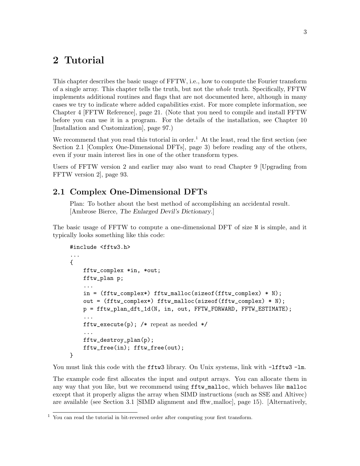# <span id="page-8-0"></span>2 Tutorial

This chapter describes the basic usage of FFTW, i.e., how to compute the Fourier transform of a single array. This chapter tells the truth, but not the whole truth. Specifically, FFTW implements additional routines and flags that are not documented here, although in many cases we try to indicate where added capabilities exist. For more complete information, see [Chapter 4 \[FFTW Reference\], page 21](#page-26-0). (Note that you need to compile and install FFTW before you can use it in a program. For the details of the installation, see [Chapter 10](#page-102-0) [\[Installation and Customization\], page 97](#page-102-0).)

We recommend that you read this tutorial in order.<sup>1</sup> At the least, read the first section (see [Section 2.1 \[Complex One-Dimensional DFTs\], page 3](#page-8-1)) before reading any of the others, even if your main interest lies in one of the other transform types.

Users of FFTW version 2 and earlier may also want to read [Chapter 9 \[Upgrading from](#page-98-0) [FFTW version 2\], page 93.](#page-98-0)

## <span id="page-8-1"></span>2.1 Complex One-Dimensional DFTs

Plan: To bother about the best method of accomplishing an accidental result. [Ambrose Bierce, The Enlarged Devil's Dictionary.]

The basic usage of FFTW to compute a one-dimensional DFT of size N is simple, and it typically looks something like this code:

```
#include <fftw3.h>
...
{
    fftw_complex *in, *out;
    fftw_plan p;
    ...
    in = (fftw\_complex*) fftw_malloc(sizeof(fftw_complex) * N);
    out = (fftw_complex*) fftw_malloc(sizeof(fftw_complex) * N);
    p = fftw_plan_dft_1d(N, in, out, FFTW_FORWARD, FFTW_ESTIMATE);
    ...
    fftw_execute(p); /* repeat as needed */...
    fftw_destroy_plan(p);
    fftw_free(in); fftw_free(out);
}
```
You must link this code with the fftw3 library. On Unix systems, link with  $-I$ fftw3 -lm.

The example code first allocates the input and output arrays. You can allocate them in any way that you like, but we recommend using fftw\_malloc, which behaves like malloc except that it properly aligns the array when SIMD instructions (such as SSE and Altivec) are available (see [Section 3.1 \[SIMD alignment and fftw](#page-20-1) malloc], page 15). [Alternatively,

<sup>1</sup> You can read the tutorial in bit-reversed order after computing your first transform.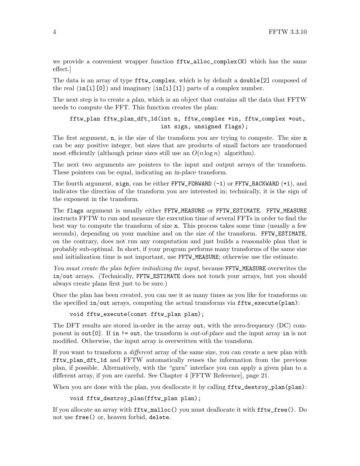we provide a convenient wrapper function fftw\_alloc\_complex(N) which has the same effect.]

The data is an array of type fftw\_complex, which is by default a double[2] composed of the real  $(in[i][0])$  and imaginary  $(in[i][1])$  parts of a complex number.

The next step is to create a plan, which is an object that contains all the data that FFTW needs to compute the FFT. This function creates the plan:

```
fftw_plan fftw_plan_dft_1d(int n, fftw_complex *in, fftw_complex *out,
                           int sign, unsigned flags);
```
The first argument, n, is the size of the transform you are trying to compute. The size n can be any positive integer, but sizes that are products of small factors are transformed most efficiently (although prime sizes still use an  $O(n \log n)$  algorithm).

The next two arguments are pointers to the input and output arrays of the transform. These pointers can be equal, indicating an in-place transform.

The fourth argument, sign, can be either  $FFTW_FORWARD (-1)$  or  $FFTW_BACKWARD (+1)$ , and indicates the direction of the transform you are interested in; technically, it is the sign of the exponent in the transform.

The flags argument is usually either FFTW\_MEASURE or FFTW\_ESTIMATE. FFTW\_MEASURE instructs FFTW to run and measure the execution time of several FFTs in order to find the best way to compute the transform of size n. This process takes some time (usually a few seconds), depending on your machine and on the size of the transform. FFTW\_ESTIMATE, on the contrary, does not run any computation and just builds a reasonable plan that is probably sub-optimal. In short, if your program performs many transforms of the same size and initialization time is not important, use FFTW\_MEASURE; otherwise use the estimate.

You must create the plan before initializing the input, because FFTW\_MEASURE overwrites the in/out arrays. (Technically, FFTW\_ESTIMATE does not touch your arrays, but you should always create plans first just to be sure.)

Once the plan has been created, you can use it as many times as you like for transforms on the specified  $in/out$  arrays, computing the actual transforms via  $fitw$ <sub>-execute</sub>(plan):

#### void fftw\_execute(const fftw\_plan plan);

The DFT results are stored in-order in the array out, with the zero-frequency (DC) component in out[0]. If in != out, the transform is out-of-place and the input array in is not modified. Otherwise, the input array is overwritten with the transform.

If you want to transform a different array of the same size, you can create a new plan with fftw\_plan\_dft\_1d and FFTW automatically reuses the information from the previous plan, if possible. Alternatively, with the "guru" interface you can apply a given plan to a different array, if you are careful. See [Chapter 4 \[FFTW Reference\], page 21](#page-26-0).

When you are done with the plan, you deallocate it by calling  $fftw$  destroy\_plan(plan):

```
void fftw_destroy_plan(fftw_plan plan);
```
If you allocate an array with fftw\_malloc() you must deallocate it with fftw\_free(). Do not use free() or, heaven forbid, delete.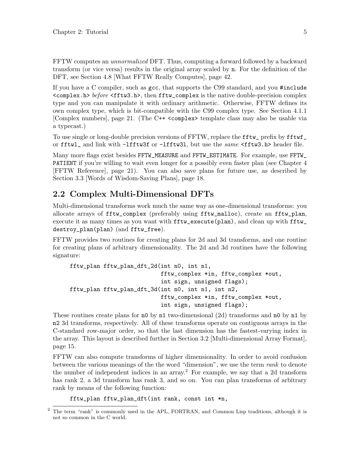<span id="page-10-0"></span>FFTW computes an unnormalized DFT. Thus, computing a forward followed by a backward transform (or vice versa) results in the original array scaled by n. For the definition of the DFT, see [Section 4.8 \[What FFTW Really Computes\], page 42.](#page-47-1)

If you have a C compiler, such as gcc, that supports the C99 standard, and you #include  $\{\text{complex.h}\}$  before  $\{\text{fftw3.h}\}$ , then  $\text{fftw\_complex}$  is the native double-precision complex type and you can manipulate it with ordinary arithmetic. Otherwise, FFTW defines its own complex type, which is bit-compatible with the C99 complex type. See [Section 4.1.1](#page-26-1) [\[Complex numbers\], page 21](#page-26-1). (The C++ <complex> template class may also be usable via a typecast.)

To use single or long-double precision versions of FFTW, replace the fftw\_ prefix by fftwf\_ or fftwl\_ and link with -lfftw3f or -lfftw3l, but use the same <fftw3.h> header file.

Many more flags exist besides FFTW\_MEASURE and FFTW\_ESTIMATE. For example, use FFTW\_ PATIENT if you're willing to wait even longer for a possibly even faster plan (see [Chapter 4](#page-26-0)) [\[FFTW Reference\], page 21](#page-26-0)). You can also save plans for future use, as described by [Section 3.3 \[Words of Wisdom-Saving Plans\], page 18.](#page-23-1)

## <span id="page-10-1"></span>2.2 Complex Multi-Dimensional DFTs

Multi-dimensional transforms work much the same way as one-dimensional transforms: you allocate arrays of fftw\_complex (preferably using fftw\_malloc), create an fftw\_plan, execute it as many times as you want with fftw\_execute(plan), and clean up with fftw\_ destroy\_plan(plan) (and fftw\_free).

FFTW provides two routines for creating plans for 2d and 3d transforms, and one routine for creating plans of arbitrary dimensionality. The 2d and 3d routines have the following signature:

```
fftw_plan fftw_plan_dft_2d(int n0, int n1,
                           fftw_complex *in, fftw_complex *out,
                           int sign, unsigned flags);
fftw_plan fftw_plan_dft_3d(int n0, int n1, int n2,
                           fftw_complex *in, fftw_complex *out,
                           int sign, unsigned flags);
```
These routines create plans for **n0** by **n1** two-dimensional (2d) transforms and **n0** by **n1** by n2 3d transforms, respectively. All of these transforms operate on contiguous arrays in the C-standard row-major order, so that the last dimension has the fastest-varying index in the array. This layout is described further in [Section 3.2 \[Multi-dimensional Array Format\],](#page-20-2) [page 15](#page-20-2).

FFTW can also compute transforms of higher dimensionality. In order to avoid confusion between the various meanings of the the word "dimension", we use the term rank to denote the number of independent indices in an array.<sup>2</sup> For example, we say that a 2d transform has rank 2, a 3d transform has rank 3, and so on. You can plan transforms of arbitrary rank by means of the following function:

fftw\_plan fftw\_plan\_dft(int rank, const int \*n,

<sup>2</sup> The term "rank" is commonly used in the APL, FORTRAN, and Common Lisp traditions, although it is not so common in the C world.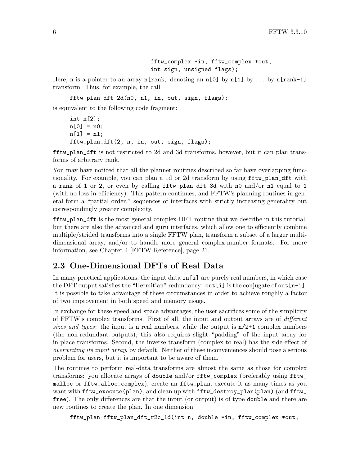```
fftw_complex *in, fftw_complex *out,
int sign, unsigned flags);
```
<span id="page-11-0"></span>Here, **n** is a pointer to an array  $n$ [rank] denoting an  $n$ [0] by  $n$ [1] by ... by  $n$ [rank-1] transform. Thus, for example, the call

fftw\_plan\_dft\_2d(n0, n1, in, out, sign, flags);

is equivalent to the following code fragment:

```
int n[2];
n[0] = n0;n[1] = n1;fftw_plan_dft(2, n, in, out, sign, flags);
```
fftw\_plan\_dft is not restricted to 2d and 3d transforms, however, but it can plan transforms of arbitrary rank.

You may have noticed that all the planner routines described so far have overlapping functionality. For example, you can plan a 1d or 2d transform by using fftw\_plan\_dft with a rank of 1 or 2, or even by calling fftw\_plan\_dft\_3d with n0 and/or n1 equal to 1 (with no loss in efficiency). This pattern continues, and FFTW's planning routines in general form a "partial order," sequences of interfaces with strictly increasing generality but correspondingly greater complexity.

fftw\_plan\_dft is the most general complex-DFT routine that we describe in this tutorial, but there are also the advanced and guru interfaces, which allow one to efficiently combine multiple/strided transforms into a single FFTW plan, transform a subset of a larger multidimensional array, and/or to handle more general complex-number formats. For more information, see [Chapter 4 \[FFTW Reference\], page 21](#page-26-0).

## <span id="page-11-1"></span>2.3 One-Dimensional DFTs of Real Data

In many practical applications, the input data in[i] are purely real numbers, in which case the DFT output satisfies the "Hermitian" redundancy: out [i] is the conjugate of out  $[n-i]$ . It is possible to take advantage of these circumstances in order to achieve roughly a factor of two improvement in both speed and memory usage.

In exchange for these speed and space advantages, the user sacrifices some of the simplicity of FFTW's complex transforms. First of all, the input and output arrays are of different sizes and types: the input is **n** real numbers, while the output is  $n/2+1$  complex numbers (the non-redundant outputs); this also requires slight "padding" of the input array for in-place transforms. Second, the inverse transform (complex to real) has the side-effect of overwriting its input array, by default. Neither of these inconveniences should pose a serious problem for users, but it is important to be aware of them.

The routines to perform real-data transforms are almost the same as those for complex transforms: you allocate arrays of double and/or fftw\_complex (preferably using fftw\_ malloc or fftw\_alloc\_complex), create an fftw\_plan, execute it as many times as you want with fftw\_execute(plan), and clean up with fftw\_destroy\_plan(plan) (and fftw\_ free). The only differences are that the input (or output) is of type double and there are new routines to create the plan. In one dimension:

fftw\_plan fftw\_plan\_dft\_r2c\_1d(int n, double \*in, fftw\_complex \*out,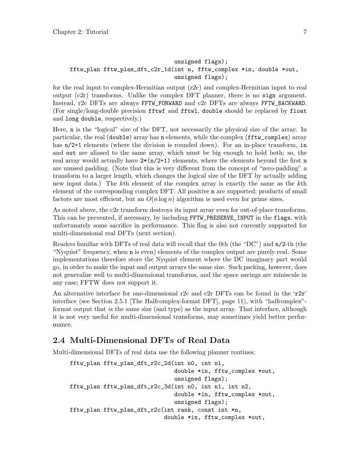#### <span id="page-12-0"></span>unsigned flags); fftw\_plan fftw\_plan\_dft\_c2r\_1d(int n, fftw\_complex \*in, double \*out, unsigned flags);

for the real input to complex-Hermitian output  $(r2c)$  and complex-Hermitian input to real output  $(c2r)$  transforms. Unlike the complex DFT planner, there is no sign argument. Instead, r2c DFTs are always FFTW\_FORWARD and c2r DFTs are always FFTW\_BACKWARD. (For single/long-double precision fftwf and fftwl, double should be replaced by float and long double, respectively.)

Here, n is the "logical" size of the DFT, not necessarily the physical size of the array. In particular, the real (double) array has n elements, while the complex (fftw\_complex) array has  $n/2+1$  elements (where the division is rounded down). For an in-place transform, in and out are aliased to the same array, which must be big enough to hold both; so, the real array would actually have  $2*(n/2+1)$  elements, where the elements beyond the first n are unused padding. (Note that this is very different from the concept of "zero-padding" a transform to a larger length, which changes the logical size of the DFT by actually adding new input data.) The kth element of the complex array is exactly the same as the kth element of the corresponding complex DFT. All positive n are supported; products of small factors are most efficient, but an  $O(n \log n)$  algorithm is used even for prime sizes.

As noted above, the c2r transform destroys its input array even for out-of-place transforms. This can be prevented, if necessary, by including FFTW\_PRESERVE\_INPUT in the flags, with unfortunately some sacrifice in performance. This flag is also not currently supported for multi-dimensional real DFTs (next section).

Readers familiar with DFTs of real data will recall that the 0th (the "DC") and n/2-th (the "Nyquist" frequency, when n is even) elements of the complex output are purely real. Some implementations therefore store the Nyquist element where the DC imaginary part would go, in order to make the input and output arrays the same size. Such packing, however, does not generalize well to multi-dimensional transforms, and the space savings are miniscule in any case; FFTW does not support it.

An alternative interface for one-dimensional r2c and c2r DFTs can be found in the ' $r2r'$ ' interface (see [Section 2.5.1 \[The Halfcomplex-format DFT\], page 11](#page-16-0)), with "halfcomplex" format output that is the same size (and type) as the input array. That interface, although it is not very useful for multi-dimensional transforms, may sometimes yield better performance.

## <span id="page-12-1"></span>2.4 Multi-Dimensional DFTs of Real Data

Multi-dimensional DFTs of real data use the following planner routines:

```
fftw_plan fftw_plan_dft_r2c_2d(int n0, int n1,
                               double *in, fftw_complex *out,
                               unsigned flags);
fftw_plan fftw_plan_dft_r2c_3d(int n0, int n1, int n2,
                               double *in, fftw_complex *out,
                               unsigned flags);
fftw_plan fftw_plan_dft_r2c(int rank, const int *n,
                            double *in, fftw_complex *out,
```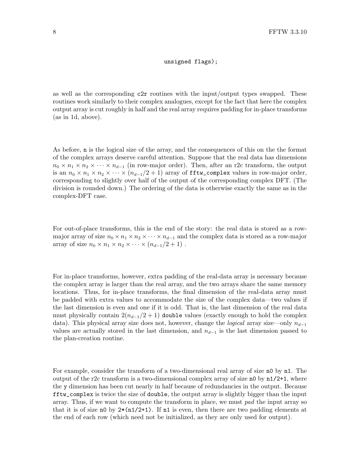#### unsigned flags);

as well as the corresponding c2r routines with the input/output types swapped. These routines work similarly to their complex analogues, except for the fact that here the complex output array is cut roughly in half and the real array requires padding for in-place transforms (as in 1d, above).

As before, n is the logical size of the array, and the consequences of this on the the format of the complex arrays deserve careful attention. Suppose that the real data has dimensions  $n_0 \times n_1 \times n_2 \times \cdots \times n_{d-1}$  (in row-major order). Then, after an r2c transform, the output is an  $n_0 \times n_1 \times n_2 \times \cdots \times (n_{d-1}/2+1)$  array of fity\_complex values in row-major order, corresponding to slightly over half of the output of the corresponding complex DFT. (The division is rounded down.) The ordering of the data is otherwise exactly the same as in the complex-DFT case.

For out-of-place transforms, this is the end of the story: the real data is stored as a rowmajor array of size  $n_0 \times n_1 \times n_2 \times \cdots \times n_{d-1}$  and the complex data is stored as a row-major array of size  $n_0 \times n_1 \times n_2 \times \cdots \times (n_{d-1}/2+1)$ .

For in-place transforms, however, extra padding of the real-data array is necessary because the complex array is larger than the real array, and the two arrays share the same memory locations. Thus, for in-place transforms, the final dimension of the real-data array must be padded with extra values to accommodate the size of the complex data—two values if the last dimension is even and one if it is odd. That is, the last dimension of the real data must physically contain  $2(n_{d-1}/2 + 1)$  double values (exactly enough to hold the complex data). This physical array size does not, however, change the *logical* array size—only  $n_{d-1}$ values are actually stored in the last dimension, and  $n_{d-1}$  is the last dimension passed to the plan-creation routine.

For example, consider the transform of a two-dimensional real array of size no by n1. The output of the r2c transform is a two-dimensional complex array of size  $n0$  by  $n1/2+1$ , where the y dimension has been cut nearly in half because of redundancies in the output. Because fftw\_complex is twice the size of double, the output array is slightly bigger than the input array. Thus, if we want to compute the transform in place, we must pad the input array so that it is of size n0 by  $2*(n1/2+1)$ . If n1 is even, then there are two padding elements at the end of each row (which need not be initialized, as they are only used for output).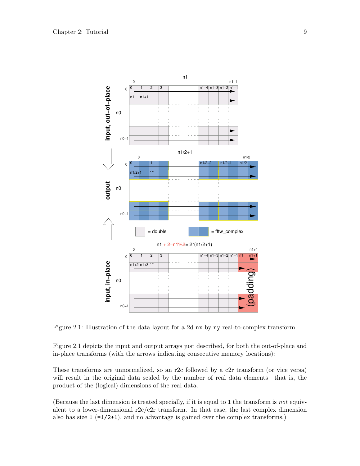<span id="page-14-0"></span>

Figure 2.1: Illustration of the data layout for a 2d nx by ny real-to-complex transform.

[Figure 2.1](#page-14-0) depicts the input and output arrays just described, for both the out-of-place and in-place transforms (with the arrows indicating consecutive memory locations):

These transforms are unnormalized, so an r2c followed by a c2r transform (or vice versa) will result in the original data scaled by the number of real data elements—that is, the product of the (logical) dimensions of the real data.

(Because the last dimension is treated specially, if it is equal to 1 the transform is not equivalent to a lower-dimensional  $r2c/c2r$  transform. In that case, the last complex dimension also has size  $1$  (=1/2+1), and no advantage is gained over the complex transforms.)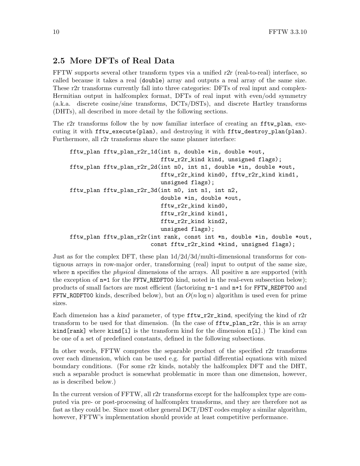## <span id="page-15-0"></span>2.5 More DFTs of Real Data

FFTW supports several other transform types via a unified  $r2r$  (real-to-real) interface, so called because it takes a real (double) array and outputs a real array of the same size. These r2r transforms currently fall into three categories: DFTs of real input and complex-Hermitian output in halfcomplex format, DFTs of real input with even/odd symmetry (a.k.a. discrete cosine/sine transforms, DCTs/DSTs), and discrete Hartley transforms (DHTs), all described in more detail by the following sections.

The r2r transforms follow the by now familiar interface of creating an **fftw\_plan**, executing it with fftw\_execute(plan), and destroying it with fftw\_destroy\_plan(plan). Furthermore, all r2r transforms share the same planner interface:

```
fftw_plan fftw_plan_r2r_1d(int n, double *in, double *out,
                           fftw_r2r_kind kind, unsigned flags);
fftw_plan fftw_plan_r2r_2d(int n0, int n1, double *in, double *out,
                           fftw_r2r_kind kind0, fftw_r2r_kind kind1,
                           unsigned flags);
fftw_plan fftw_plan_r2r_3d(int n0, int n1, int n2,
                           double *in, double *out,
                           fftw_r2r_kind kind0,
                           fftw_r2r_kind kind1,
                           fftw_r2r_kind kind2,
                           unsigned flags);
fftw_plan fftw_plan_r2r(int rank, const int *n, double *in, double *out,
                        const fftw_r2r_kind *kind, unsigned flags);
```
Just as for the complex DFT, these plan 1d/2d/3d/multi-dimensional transforms for contiguous arrays in row-major order, transforming (real) input to output of the same size, where **n** specifies the *physical* dimensions of the arrays. All positive **n** are supported (with the exception of n=1 for the FFTW\_REDFT00 kind, noted in the real-even subsection below); products of small factors are most efficient (factorizing n-1 and n+1 for FFTW\_REDFT00 and FFTW\_RODFT00 kinds, described below), but an  $O(n \log n)$  algorithm is used even for prime sizes.

Each dimension has a kind parameter, of type  $\texttt{fftw\_r2r\_kind}$ , specifying the kind of r2r transform to be used for that dimension. (In the case of fftw\_plan\_r2r, this is an array kind  $[\text{rank}]$  where kind  $[i]$  is the transform kind for the dimension  $n[i]$ . The kind can be one of a set of predefined constants, defined in the following subsections.

In other words, FFTW computes the separable product of the specified r2r transforms over each dimension, which can be used e.g. for partial differential equations with mixed boundary conditions. (For some r2r kinds, notably the halfcomplex DFT and the DHT, such a separable product is somewhat problematic in more than one dimension, however, as is described below.)

In the current version of FFTW, all r2r transforms except for the halfcomplex type are computed via pre- or post-processing of halfcomplex transforms, and they are therefore not as fast as they could be. Since most other general DCT/DST codes employ a similar algorithm, however, FFTW's implementation should provide at least competitive performance.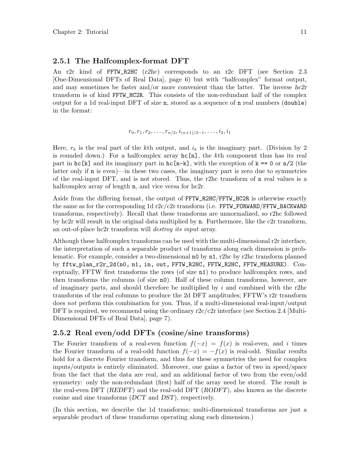#### <span id="page-16-0"></span>2.5.1 The Halfcomplex-format DFT

An r2r kind of FFTW\_R2HC (r2hc) corresponds to an r2c DFT (see [Section 2.3](#page-11-1) [\[One-Dimensional DFTs of Real Data\], page 6](#page-11-1)) but with "halfcomplex" format output, and may sometimes be faster and/or more convenient than the latter. The inverse  $hc2r$ transform is of kind FFTW\_HC2R. This consists of the non-redundant half of the complex output for a 1d real-input DFT of size n, stored as a sequence of n real numbers (double) in the format:

$$
r_0, r_1, r_2, \ldots, r_{n/2}, i_{(n+1)/2-1}, \ldots, i_2, i_1
$$

Here,  $r_k$  is the real part of the kth output, and  $i_k$  is the imaginary part. (Division by 2 is rounded down.) For a halfcomplex array  $hc[n]$ , the kth component thus has its real part in hc[k] and its imaginary part in hc[n-k], with the exception of  $k == 0$  or  $n/2$  (the latter only if n is even)—in these two cases, the imaginary part is zero due to symmetries of the real-input DFT, and is not stored. Thus, the r2hc transform of n real values is a halfcomplex array of length **n**, and vice versa for hc2r.

Aside from the differing format, the output of FFTW\_R2HC/FFTW\_HC2R is otherwise exactly the same as for the corresponding  $1d$  r2c/c2r transform (i.e. FFTW\_FORWARD/FFTW\_BACKWARD transforms, respectively). Recall that these transforms are unnormalized, so r2hc followed by hc2r will result in the original data multiplied by n. Furthermore, like the c2r transform, an out-of-place hc2r transform will destroy its input array.

Although these halfcomplex transforms can be used with the multi-dimensional r2r interface, the interpretation of such a separable product of transforms along each dimension is problematic. For example, consider a two-dimensional n0 by n1, r2hc by r2hc transform planned by fftw\_plan\_r2r\_2d(n0, n1, in, out, FFTW\_R2HC, FFTW\_R2HC, FFTW\_MEASURE). Conceptually, FFTW first transforms the rows (of size n1) to produce halfcomplex rows, and then transforms the columns (of size n0). Half of these column transforms, however, are of imaginary parts, and should therefore be multiplied by  $i$  and combined with the r2hc transforms of the real columns to produce the 2d DFT amplitudes; FFTW's r2r transform does not perform this combination for you. Thus, if a multi-dimensional real-input/output DFT is required, we recommend using the ordinary  $r2c/c2r$  interface (see [Section 2.4 \[Multi-](#page-12-1)[Dimensional DFTs of Real Data\], page 7](#page-12-1)).

### 2.5.2 Real even/odd DFTs (cosine/sine transforms)

The Fourier transform of a real-even function  $f(-x) = f(x)$  is real-even, and i times the Fourier transform of a real-odd function  $f(-x) = -f(x)$  is real-odd. Similar results hold for a discrete Fourier transform, and thus for these symmetries the need for complex inputs/outputs is entirely eliminated. Moreover, one gains a factor of two in speed/space from the fact that the data are real, and an additional factor of two from the even/odd symmetry: only the non-redundant (first) half of the array need be stored. The result is the real-even DFT ( $REDFT$ ) and the real-odd DFT ( $RODFT$ ), also known as the discrete cosine and sine transforms (DCT and DST), respectively.

(In this section, we describe the 1d transforms; multi-dimensional transforms are just a separable product of these transforms operating along each dimension.)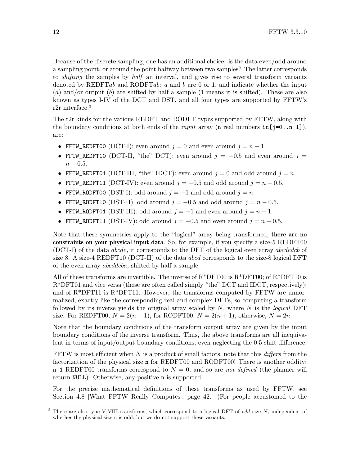Because of the discrete sampling, one has an additional choice: is the data even/odd around a sampling point, or around the point halfway between two samples? The latter corresponds to shifting the samples by half an interval, and gives rise to several transform variants denoted by REDFTab and RODFTab: a and b are 0 or 1, and indicate whether the input (a) and/or output (b) are shifted by half a sample  $(1 \text{ means it is shifted})$ . These are also known as types I-IV of the DCT and DST, and all four types are supported by FFTW's r<sub>2</sub>r interface.<sup>3</sup>

The r2r kinds for the various REDFT and RODFT types supported by FFTW, along with the boundary conditions at both ends of the *input* array (n real numbers  $in[i=0..n-1]$ ), are:

- FFTW\_REDFT00 (DCT-I): even around  $j = 0$  and even around  $j = n 1$ .
- FFTW\_REDFT10 (DCT-II, "the" DCT): even around  $j = -0.5$  and even around  $j =$  $n - 0.5$ .
- FFTW\_REDFT01 (DCT-III, "the" IDCT): even around  $j = 0$  and odd around  $j = n$ .
- FFTW\_REDFT11 (DCT-IV): even around  $j = -0.5$  and odd around  $j = n 0.5$ .
- FFTW\_RODFT00 (DST-I): odd around  $j = -1$  and odd around  $j = n$ .
- FFTW\_RODFT10 (DST-II): odd around  $j = -0.5$  and odd around  $j = n 0.5$ .
- FFTW\_RODFT01 (DST-III): odd around  $j = -1$  and even around  $j = n 1$ .
- FFTW\_RODFT11 (DST-IV): odd around  $j = -0.5$  and even around  $j = n 0.5$ .

Note that these symmetries apply to the "logical" array being transformed; there are no constraints on your physical input data. So, for example, if you specify a size-5 REDFT00 (DCT-I) of the data abcde, it corresponds to the DFT of the logical even array abcdedcb of size 8. A size-4 REDFT10 (DCT-II) of the data abcd corresponds to the size-8 logical DFT of the even array abcddcba, shifted by half a sample.

All of these transforms are invertible. The inverse of  $R^*DFT00$  is  $R^*DFT00$ ; of  $R^*DFT10$  is R\*DFT01 and vice versa (these are often called simply "the" DCT and IDCT, respectively); and of  $R^*DFT11$  is  $R^*DFT11$ . However, the transforms computed by  $FFTW$  are unnormalized, exactly like the corresponding real and complex DFTs, so computing a transform followed by its inverse yields the original array scaled by  $N$ , where  $N$  is the *logical* DFT size. For REDFT00,  $N = 2(n-1)$ ; for RODFT00,  $N = 2(n+1)$ ; otherwise,  $N = 2n$ .

Note that the boundary conditions of the transform output array are given by the input boundary conditions of the inverse transform. Thus, the above transforms are all inequivalent in terms of input/output boundary conditions, even neglecting the 0.5 shift difference.

FFTW is most efficient when N is a product of small factors; note that this  $differs$  from the factorization of the physical size n for REDFT00 and RODFT00! There is another oddity:  $n=1$  REDFT00 transforms correspond to  $N = 0$ , and so are not defined (the planner will return NULL). Otherwise, any positive n is supported.

For the precise mathematical definitions of these transforms as used by FFTW, see [Section 4.8 \[What FFTW Really Computes\], page 42.](#page-47-1) (For people accustomed to the

There are also type V-VIII transforms, which correspond to a logical DFT of odd size  $N$ , independent of whether the physical size n is odd, but we do not support these variants.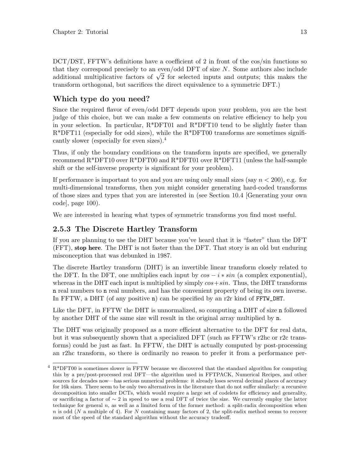<span id="page-18-0"></span>DCT/DST, FFTW's definitions have a coefficient of 2 in front of the cos/sin functions so that they correspond precisely to an even/odd DFT of size  $N$ . Some authors also include that they correspond precisely to an even/odd DFT of size N. Some authors also include additional multiplicative factors of  $\sqrt{2}$  for selected inputs and outputs; this makes the transform orthogonal, but sacrifices the direct equivalence to a symmetric DFT.)

## Which type do you need?

Since the required flavor of even/odd DFT depends upon your problem, you are the best judge of this choice, but we can make a few comments on relative efficiency to help you in your selection. In particular, R\*DFT01 and R\*DFT10 tend to be slightly faster than  $R^*$ DFT11 (especially for odd sizes), while the  $R^*$ DFT00 transforms are sometimes significantly slower (especially for even sizes).<sup>4</sup>

Thus, if only the boundary conditions on the transform inputs are specified, we generally recommend  $R^*DFT10$  over  $R^*DFT00$  and  $R^*DFT01$  over  $R^*DFT11$  (unless the half-sample shift or the self-inverse property is significant for your problem).

If performance is important to you and you are using only small sizes (say  $n < 200$ ), e.g. for multi-dimensional transforms, then you might consider generating hard-coded transforms of those sizes and types that you are interested in (see [Section 10.4 \[Generating your own](#page-105-1) [code\], page 100](#page-105-1)).

We are interested in hearing what types of symmetric transforms you find most useful.

#### 2.5.3 The Discrete Hartley Transform

If you are planning to use the DHT because you've heard that it is "faster" than the DFT (FFT), stop here. The DHT is not faster than the DFT. That story is an old but enduring misconception that was debunked in 1987.

The discrete Hartley transform (DHT) is an invertible linear transform closely related to the DFT. In the DFT, one multiplies each input by  $\cos - i * \sin$  (a complex exponential), whereas in the DHT each input is multiplied by simply  $cos+sin$ . Thus, the DHT transforms n real numbers to n real numbers, and has the convenient property of being its own inverse. In FFTW, a DHT (of any positive n) can be specified by an r2r kind of FFTW\_DHT.

Like the DFT, in FFTW the DHT is unnormalized, so computing a DHT of size n followed by another DHT of the same size will result in the original array multiplied by n.

The DHT was originally proposed as a more efficient alternative to the DFT for real data, but it was subsequently shown that a specialized DFT (such as FFTW's r2hc or r2c transforms) could be just as fast. In FFTW, the DHT is actually computed by post-processing an r2hc transform, so there is ordinarily no reason to prefer it from a performance per-

 $4 \text{ R*DFT00}$  is sometimes slower in FFTW because we discovered that the standard algorithm for computing this by a pre/post-processed real DFT—the algorithm used in FFTPACK, Numerical Recipes, and other sources for decades now—has serious numerical problems: it already loses several decimal places of accuracy for 16k sizes. There seem to be only two alternatives in the literature that do not suffer similarly: a recursive decomposition into smaller DCTs, which would require a large set of codelets for efficiency and generality, or sacrificing a factor of ∼ 2 in speed to use a real DFT of twice the size. We currently employ the latter technique for general  $n$ , as well as a limited form of the former method: a split-radix decomposition when  $n$  is odd (N a multiple of 4). For N containing many factors of 2, the split-radix method seems to recover most of the speed of the standard algorithm without the accuracy tradeoff.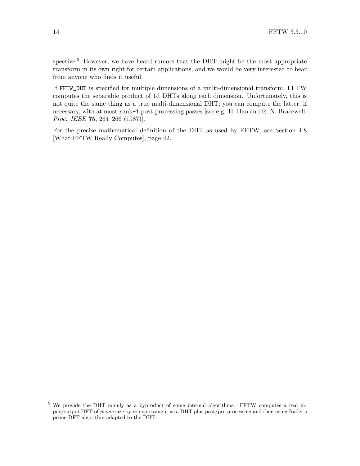spective.<sup>5</sup> However, we have heard rumors that the DHT might be the most appropriate transform in its own right for certain applications, and we would be very interested to hear from anyone who finds it useful.

If FFTW\_DHT is specified for multiple dimensions of a multi-dimensional transform, FFTW computes the separable product of 1d DHTs along each dimension. Unfortunately, this is not quite the same thing as a true multi-dimensional DHT; you can compute the latter, if necessary, with at most rank-1 post-processing passes [see e.g. H. Hao and R. N. Bracewell, Proc. IEEE 75, 264–266 (1987)].

For the precise mathematical definition of the DHT as used by FFTW, see [Section 4.8](#page-47-1) [\[What FFTW Really Computes\], page 42](#page-47-1).

<sup>5</sup> We provide the DHT mainly as a byproduct of some internal algorithms. FFTW computes a real input/output DFT of prime size by re-expressing it as a DHT plus post/pre-processing and then using Rader's prime-DFT algorithm adapted to the DHT.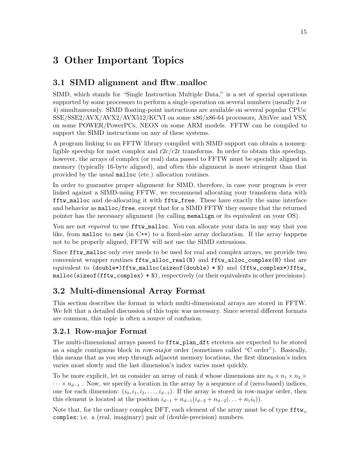# <span id="page-20-0"></span>3 Other Important Topics

## <span id="page-20-1"></span>3.1 SIMD alignment and fitw\_malloc

SIMD, which stands for "Single Instruction Multiple Data," is a set of special operations supported by some processors to perform a single operation on several numbers (usually 2 or 4) simultaneously. SIMD floating-point instructions are available on several popular CPUs: SSE/SSE2/AVX/AVX2/AVX512/KCVI on some x86/x86-64 processors, AltiVec and VSX on some POWER/PowerPCs, NEON on some ARM models. FFTW can be compiled to support the SIMD instructions on any of these systems.

A program linking to an FFTW library compiled with SIMD support can obtain a nonnegligible speedup for most complex and  $r2c/c2r$  transforms. In order to obtain this speedup, however, the arrays of complex (or real) data passed to FFTW must be specially aligned in memory (typically 16-byte aligned), and often this alignment is more stringent than that provided by the usual malloc (etc.) allocation routines.

In order to guarantee proper alignment for SIMD, therefore, in case your program is ever linked against a SIMD-using FFTW, we recommend allocating your transform data with fftw\_malloc and de-allocating it with fftw\_free. These have exactly the same interface and behavior as malloc/free, except that for a SIMD FFTW they ensure that the returned pointer has the necessary alignment (by calling memalign or its equivalent on your OS).

You are not required to use fitu\_malloc. You can allocate your data in any way that you like, from malloc to new (in  $C^{++}$ ) to a fixed-size array declaration. If the array happens not to be properly aligned, FFTW will not use the SIMD extensions.

Since fftw\_malloc only ever needs to be used for real and complex arrays, we provide two convenient wrapper routines fftw\_alloc\_real(N) and fftw\_alloc\_complex(N) that are equivalent to (double\*)fftw\_malloc(sizeof(double) \* N) and (fftw\_complex\*)fftw\_ malloc(sizeof(fftw\_complex) \* N), respectively (or their equivalents in other precisions).

## <span id="page-20-2"></span>3.2 Multi-dimensional Array Format

This section describes the format in which multi-dimensional arrays are stored in FFTW. We felt that a detailed discussion of this topic was necessary. Since several different formats are common, this topic is often a source of confusion.

## 3.2.1 Row-major Format

The multi-dimensional arrays passed to fftw\_plan\_dft etcetera are expected to be stored as a single contiguous block in row-major order (sometimes called "C order"). Basically, this means that as you step through adjacent memory locations, the first dimension's index varies most slowly and the last dimension's index varies most quickly.

To be more explicit, let us consider an array of rank d whose dimensions are  $n_0 \times n_1 \times n_2 \times$  $\cdots \times n_{d-1}$ . Now, we specify a location in the array by a sequence of d (zero-based) indices, one for each dimension:  $(i_0, i_1, i_2, \ldots, i_{d-1})$ . If the array is stored in row-major order, then this element is located at the position  $i_{d-1} + n_{d-1}(i_{d-2} + n_{d-2}(\ldots + n_1 i_0)).$ 

Note that, for the ordinary complex DFT, each element of the array must be of type fftw complex; i.e. a (real, imaginary) pair of (double-precision) numbers.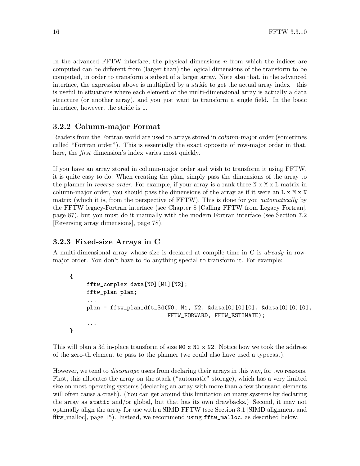<span id="page-21-0"></span>In the advanced FFTW interface, the physical dimensions  $n$  from which the indices are computed can be different from (larger than) the logical dimensions of the transform to be computed, in order to transform a subset of a larger array. Note also that, in the advanced interface, the expression above is multiplied by a stride to get the actual array index—this is useful in situations where each element of the multi-dimensional array is actually a data structure (or another array), and you just want to transform a single field. In the basic interface, however, the stride is 1.

### 3.2.2 Column-major Format

Readers from the Fortran world are used to arrays stored in column-major order (sometimes called "Fortran order"). This is essentially the exact opposite of row-major order in that, here, the *first* dimension's index varies most quickly.

If you have an array stored in column-major order and wish to transform it using FFTW, it is quite easy to do. When creating the plan, simply pass the dimensions of the array to the planner in *reverse order*. For example, if your array is a rank three  $N \times N \times L$  matrix in column-major order, you should pass the dimensions of the array as if it were an  $L \times M \times N$ matrix (which it is, from the perspective of FFTW). This is done for you *automatically* by the FFTW legacy-Fortran interface (see [Chapter 8 \[Calling FFTW from Legacy Fortran\],](#page-92-0) [page 87\)](#page-92-0), but you must do it manually with the modern Fortran interface (see [Section 7.2](#page-83-1) [\[Reversing array dimensions\], page 78\)](#page-83-1).

#### 3.2.3 Fixed-size Arrays in C

A multi-dimensional array whose size is declared at compile time in C is already in rowmajor order. You don't have to do anything special to transform it. For example:

```
{
     fftw_complex data[N0][N1][N2];
     fftw_plan plan;
     ...
     plan = fftw_plan_dft_3d(N0, N1, N2, \&data[0][0][0], \&data[0][0][0],FFTW_FORWARD, FFTW_ESTIMATE);
     ...
}
```
This will plan a 3d in-place transform of size N0 x N1 x N2. Notice how we took the address of the zero-th element to pass to the planner (we could also have used a typecast).

However, we tend to *discourage* users from declaring their arrays in this way, for two reasons. First, this allocates the array on the stack ("automatic" storage), which has a very limited size on most operating systems (declaring an array with more than a few thousand elements will often cause a crash). (You can get around this limitation on many systems by declaring the array as static and/or global, but that has its own drawbacks.) Second, it may not optimally align the array for use with a SIMD FFTW (see [Section 3.1 \[SIMD alignment and](#page-20-1) fftw [malloc\], page 15](#page-20-1)). Instead, we recommend using fftw\_malloc, as described below.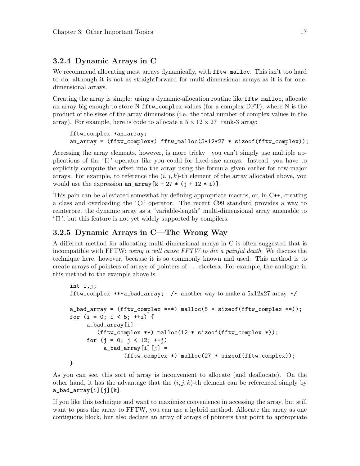#### <span id="page-22-0"></span>3.2.4 Dynamic Arrays in C

We recommend allocating most arrays dynamically, with **fftw\_malloc**. This isn't too hard to do, although it is not as straightforward for multi-dimensional arrays as it is for onedimensional arrays.

Creating the array is simple: using a dynamic-allocation routine like fftw\_malloc, allocate an array big enough to store N fftw\_complex values (for a complex DFT), where N is the product of the sizes of the array dimensions (i.e. the total number of complex values in the array). For example, here is code to allocate a  $5 \times 12 \times 27$  rank-3 array:

```
fftw_complex *an_array;
an_array = (fftw_complex*) fftw_malloc(5*12*27 * sizeof(fftw_complex));
```
Accessing the array elements, however, is more tricky—you can't simply use multiple applications of the '[]' operator like you could for fixed-size arrays. Instead, you have to explicitly compute the offset into the array using the formula given earlier for row-major arrays. For example, to reference the  $(i, j, k)$ -th element of the array allocated above, you would use the expression  $an_array[k + 27 * (j + 12 * i)].$ 

This pain can be alleviated somewhat by defining appropriate macros, or, in C++, creating a class and overloading the '()' operator. The recent C99 standard provides a way to reinterpret the dynamic array as a "variable-length" multi-dimensional array amenable to '[]', but this feature is not yet widely supported by compilers.

#### 3.2.5 Dynamic Arrays in C—The Wrong Way

A different method for allocating multi-dimensional arrays in C is often suggested that is incompatible with FFTW: using it will cause FFTW to die a painful death. We discuss the technique here, however, because it is so commonly known and used. This method is to create arrays of pointers of arrays of pointers of . . . etcetera. For example, the analogue in this method to the example above is:

```
int i,j;
fftw_complex ***a_bad_array; /* another way to make a 5x12x27 array */
a_bad_array = (fftw_complex ***) malloc(5 * sizeof(fftw_complex **));
for (i = 0; i < 5; ++i) {
    a_bad_array[i] =(fftw_complex **) malloc(12 * sizeof(fftw_complex *));
     for (j = 0; j < 12; ++j)a_bad_array[i][j] =(fftw_complex *) malloc(27 * sizeof(fftw_complex));
}
```
As you can see, this sort of array is inconvenient to allocate (and deallocate). On the other hand, it has the advantage that the  $(i, j, k)$ -th element can be referenced simply by  $a$ \_bad\_array $[i][j][k]$ .

If you like this technique and want to maximize convenience in accessing the array, but still want to pass the array to FFTW, you can use a hybrid method. Allocate the array as one contiguous block, but also declare an array of arrays of pointers that point to appropriate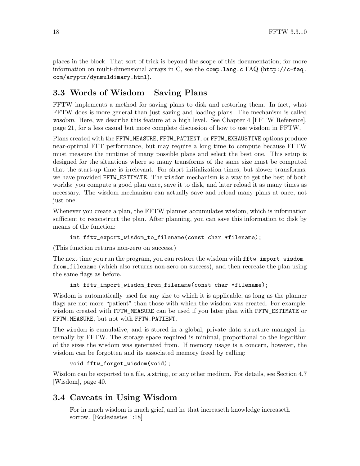<span id="page-23-0"></span>places in the block. That sort of trick is beyond the scope of this documentation; for more information on multi-dimensional arrays in C, see the comp.lang.c FAQ ([http://c-faq.](http://c-faq.com/aryptr/dynmuldimary.html) [com/aryptr/dynmuldimary.html](http://c-faq.com/aryptr/dynmuldimary.html)).

## <span id="page-23-1"></span>3.3 Words of Wisdom—Saving Plans

FFTW implements a method for saving plans to disk and restoring them. In fact, what FFTW does is more general than just saving and loading plans. The mechanism is called wisdom. Here, we describe this feature at a high level. See [Chapter 4 \[FFTW Reference\],](#page-26-0) [page 21](#page-26-0), for a less casual but more complete discussion of how to use wisdom in FFTW.

Plans created with the FFTW\_MEASURE, FFTW\_PATIENT, or FFTW\_EXHAUSTIVE options produce near-optimal FFT performance, but may require a long time to compute because FFTW must measure the runtime of many possible plans and select the best one. This setup is designed for the situations where so many transforms of the same size must be computed that the start-up time is irrelevant. For short initialization times, but slower transforms, we have provided FFTW\_ESTIMATE. The wisdom mechanism is a way to get the best of both worlds: you compute a good plan once, save it to disk, and later reload it as many times as necessary. The wisdom mechanism can actually save and reload many plans at once, not just one.

Whenever you create a plan, the FFTW planner accumulates wisdom, which is information sufficient to reconstruct the plan. After planning, you can save this information to disk by means of the function:

```
int fftw_export_wisdom_to_filename(const char *filename);
```
(This function returns non-zero on success.)

The next time you run the program, you can restore the wisdom with fftw\_import\_wisdom\_ from\_filename (which also returns non-zero on success), and then recreate the plan using the same flags as before.

int fftw\_import\_wisdom\_from\_filename(const char \*filename);

Wisdom is automatically used for any size to which it is applicable, as long as the planner flags are not more "patient" than those with which the wisdom was created. For example, wisdom created with FFTW\_MEASURE can be used if you later plan with FFTW\_ESTIMATE or FFTW\_MEASURE, but not with FFTW\_PATIENT.

The wisdom is cumulative, and is stored in a global, private data structure managed internally by FFTW. The storage space required is minimal, proportional to the logarithm of the sizes the wisdom was generated from. If memory usage is a concern, however, the wisdom can be forgotten and its associated memory freed by calling:

```
void fftw_forget_wisdom(void);
```
Wisdom can be exported to a file, a string, or any other medium. For details, see [Section 4.7](#page-45-1) [\[Wisdom\], page 40](#page-45-1).

## 3.4 Caveats in Using Wisdom

For in much wisdom is much grief, and he that increaseth knowledge increaseth sorrow. [Ecclesiastes 1:18]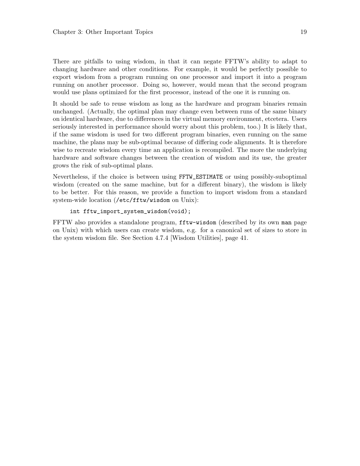There are pitfalls to using wisdom, in that it can negate FFTW's ability to adapt to changing hardware and other conditions. For example, it would be perfectly possible to export wisdom from a program running on one processor and import it into a program running on another processor. Doing so, however, would mean that the second program would use plans optimized for the first processor, instead of the one it is running on.

It should be safe to reuse wisdom as long as the hardware and program binaries remain unchanged. (Actually, the optimal plan may change even between runs of the same binary on identical hardware, due to differences in the virtual memory environment, etcetera. Users seriously interested in performance should worry about this problem, too.) It is likely that, if the same wisdom is used for two different program binaries, even running on the same machine, the plans may be sub-optimal because of differing code alignments. It is therefore wise to recreate wisdom every time an application is recompiled. The more the underlying hardware and software changes between the creation of wisdom and its use, the greater grows the risk of sub-optimal plans.

Nevertheless, if the choice is between using FFTW\_ESTIMATE or using possibly-suboptimal wisdom (created on the same machine, but for a different binary), the wisdom is likely to be better. For this reason, we provide a function to import wisdom from a standard system-wide location (/etc/fftw/wisdom on Unix):

#### int fftw\_import\_system\_wisdom(void);

FFTW also provides a standalone program, fftw-wisdom (described by its own man page on Unix) with which users can create wisdom, e.g. for a canonical set of sizes to store in the system wisdom file. See [Section 4.7.4 \[Wisdom Utilities\], page 41.](#page-46-1)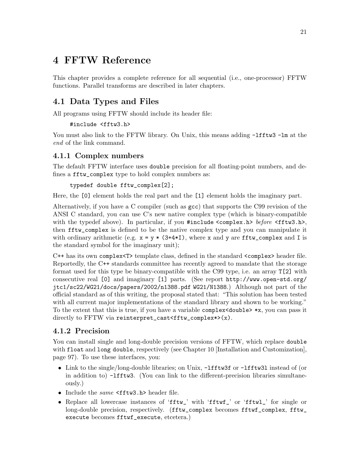# <span id="page-26-0"></span>4 FFTW Reference

This chapter provides a complete reference for all sequential (i.e., one-processor) FFTW functions. Parallel transforms are described in later chapters.

## 4.1 Data Types and Files

All programs using FFTW should include its header file:

```
#include <fftw3.h>
```
You must also link to the FFTW library. On Unix, this means adding  $-I$ **fftw3**  $-I$ m at the end of the link command.

## <span id="page-26-1"></span>4.1.1 Complex numbers

The default FFTW interface uses double precision for all floating-point numbers, and defines a fftw\_complex type to hold complex numbers as:

```
typedef double fftw_complex[2];
```
Here, the [0] element holds the real part and the [1] element holds the imaginary part.

Alternatively, if you have a C compiler (such as gcc) that supports the C99 revision of the ANSI C standard, you can use C's new native complex type (which is binary-compatible with the typedef above). In particular, if you  $\#$ include <complex.h> before <fftw3.h>, then fftw\_complex is defined to be the native complex type and you can manipulate it with ordinary arithmetic (e.g.  $x = y * (3+4*1)$ , where x and y are fftw\_complex and I is the standard symbol for the imaginary unit);

C++ has its own complex<T> template class, defined in the standard <complex> header file. Reportedly, the C++ standards committee has recently agreed to mandate that the storage format used for this type be binary-compatible with the C99 type, i.e. an array T[2] with consecutive real [0] and imaginary [1] parts. (See report [http://www.open-std.org/](http://www.open-std.org/jtc1/sc22/WG21/docs/papers/2002/n1388.pdf WG21/N1388) [jtc1/sc22/WG21/docs/papers/2002/n1388.pdf WG21/N1388](http://www.open-std.org/jtc1/sc22/WG21/docs/papers/2002/n1388.pdf WG21/N1388).) Although not part of the official standard as of this writing, the proposal stated that: "This solution has been tested with all current major implementations of the standard library and shown to be working." To the extent that this is true, if you have a variable complex  $\alpha$  double  $\alpha$  \*x, you can pass it directly to FFTW via reinterpret\_cast<fftw\_complex\*>(x).

## 4.1.2 Precision

You can install single and long-double precision versions of FFTW, which replace double with float and long double, respectively (see [Chapter 10 \[Installation and Customization\],](#page-102-0) [page 97](#page-102-0)). To use these interfaces, you:

- Link to the single/long-double libraries; on Unix,  $-Ifftw3f$  or  $-Ifftw31$  instead of (or in addition to) -lfftw3. (You can link to the different-precision libraries simultaneously.)
- Include the same <fftw3.h> header file.
- Replace all lowercase instances of 'fftw\_' with 'fftwf\_' or 'fftwl\_' for single or long-double precision, respectively. (fftw\_complex becomes fftwf\_complex, fftw\_ execute becomes fftwf\_execute, etcetera.)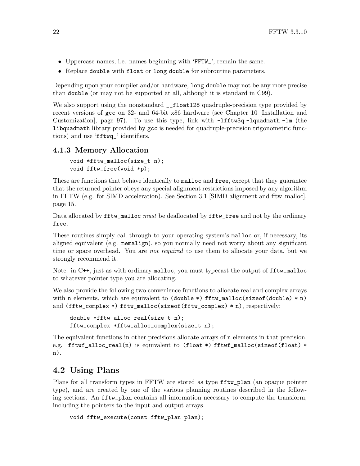- <span id="page-27-0"></span>• Uppercase names, i.e. names beginning with 'FFTW\_', remain the same.
- Replace double with float or long double for subroutine parameters.

Depending upon your compiler and/or hardware, long double may not be any more precise than double (or may not be supported at all, although it is standard in C99).

We also support using the nonstandard  $_{-}$ float128 quadruple-precision type provided by recent versions of gcc on 32- and 64-bit x86 hardware (see [Chapter 10 \[Installation and](#page-102-0) [Customization\], page 97\)](#page-102-0). To use this type, link with -lfftw3q -lquadmath -lm (the libquadmath library provided by gcc is needed for quadruple-precision trigonometric functions) and use 'fftwq\_' identifiers.

#### 4.1.3 Memory Allocation

```
void *fftw_malloc(size_t n);
void fftw_free(void *p);
```
These are functions that behave identically to malloc and free, except that they guarantee that the returned pointer obeys any special alignment restrictions imposed by any algorithm in FFTW (e.g. for SIMD acceleration). See [Section 3.1 \[SIMD alignment and fftw](#page-20-1) malloc], [page 15](#page-20-1).

Data allocated by fftw\_malloc must be deallocated by fftw\_free and not by the ordinary free.

These routines simply call through to your operating system's malloc or, if necessary, its aligned equivalent (e.g. memalign), so you normally need not worry about any significant time or space overhead. You are *not required* to use them to allocate your data, but we strongly recommend it.

Note: in C++, just as with ordinary malloc, you must typecast the output of  $\texttt{fftw\_malloc}$ to whatever pointer type you are allocating.

We also provide the following two convenience functions to allocate real and complex arrays with n elements, which are equivalent to  $(double \ast)$  fftw\_malloc(sizeof(double)  $*$  n) and (fftw\_complex \*) fftw\_malloc(sizeof(fftw\_complex) \* n), respectively:

```
double *fftw_alloc_real(size_t n);
fftw_complex *fftw_alloc_complex(size_t n);
```
The equivalent functions in other precisions allocate arrays of n elements in that precision. e.g. fftwf\_alloc\_real(n) is equivalent to (float \*) fftwf\_malloc(sizeof(float) \* n).

## <span id="page-27-1"></span>4.2 Using Plans

Plans for all transform types in FFTW are stored as type fftw\_plan (an opaque pointer type), and are created by one of the various planning routines described in the following sections. An fftw\_plan contains all information necessary to compute the transform, including the pointers to the input and output arrays.

```
void fftw_execute(const fftw_plan plan);
```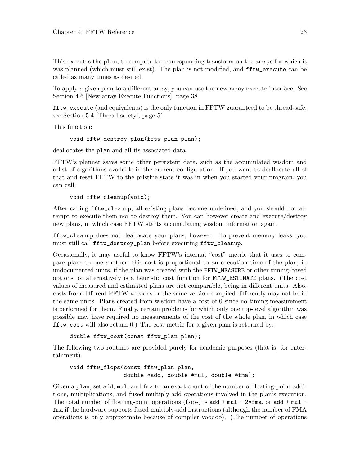This executes the plan, to compute the corresponding transform on the arrays for which it was planned (which must still exist). The plan is not modified, and  $\texttt{fftw\_execute}$  can be called as many times as desired.

To apply a given plan to a different array, you can use the new-array execute interface. See [Section 4.6 \[New-array Execute Functions\], page 38.](#page-43-1)

fftw\_execute (and equivalents) is the only function in FFTW guaranteed to be thread-safe; see [Section 5.4 \[Thread safety\], page 51](#page-56-1).

This function:

```
void fftw_destroy_plan(fftw_plan plan);
```
deallocates the plan and all its associated data.

FFTW's planner saves some other persistent data, such as the accumulated wisdom and a list of algorithms available in the current configuration. If you want to deallocate all of that and reset FFTW to the pristine state it was in when you started your program, you can call:

```
void fftw_cleanup(void);
```
After calling fftw\_cleanup, all existing plans become undefined, and you should not attempt to execute them nor to destroy them. You can however create and execute/destroy new plans, in which case FFTW starts accumulating wisdom information again.

fftw\_cleanup does not deallocate your plans, however. To prevent memory leaks, you must still call fftw\_destroy\_plan before executing fftw\_cleanup.

Occasionally, it may useful to know FFTW's internal "cost" metric that it uses to compare plans to one another; this cost is proportional to an execution time of the plan, in undocumented units, if the plan was created with the FFTW\_MEASURE or other timing-based options, or alternatively is a heuristic cost function for FFTW\_ESTIMATE plans. (The cost values of measured and estimated plans are not comparable, being in different units. Also, costs from different FFTW versions or the same version compiled differently may not be in the same units. Plans created from wisdom have a cost of 0 since no timing measurement is performed for them. Finally, certain problems for which only one top-level algorithm was possible may have required no measurements of the cost of the whole plan, in which case fftw\_cost will also return 0.) The cost metric for a given plan is returned by:

double fftw\_cost(const fftw\_plan plan);

The following two routines are provided purely for academic purposes (that is, for entertainment).

```
void fftw_flops(const fftw_plan plan,
                double *add, double *mul, double *fma);
```
Given a plan, set add, mul, and fma to an exact count of the number of floating-point additions, multiplications, and fused multiply-add operations involved in the plan's execution. The total number of floating-point operations (flops) is add  $+$  mul  $+$  2 $*$ fma, or add  $+$  mul  $+$ fma if the hardware supports fused multiply-add instructions (although the number of FMA operations is only approximate because of compiler voodoo). (The number of operations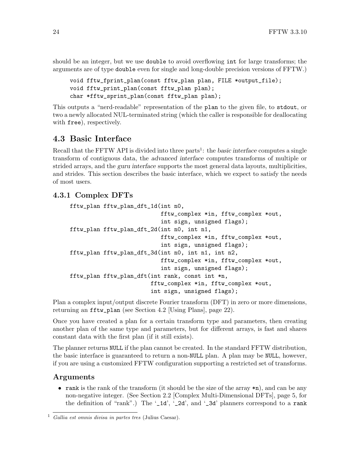<span id="page-29-0"></span>should be an integer, but we use double to avoid overflowing int for large transforms; the arguments are of type double even for single and long-double precision versions of FFTW.)

```
void fftw_fprint_plan(const fftw_plan plan, FILE *output_file);
void fftw_print_plan(const fftw_plan plan);
char *fftw_sprint_plan(const fftw_plan plan);
```
This outputs a "nerd-readable" representation of the plan to the given file, to stdout, or two a newly allocated NUL-terminated string (which the caller is responsible for deallocating with free), respectively.

## 4.3 Basic Interface

Recall that the FFTW API is divided into three parts<sup>1</sup>: the basic interface computes a single transform of contiguous data, the advanced interface computes transforms of multiple or strided arrays, and the *guru interface* supports the most general data layouts, multiplicities, and strides. This section describes the basic interface, which we expect to satisfy the needs of most users.

#### 4.3.1 Complex DFTs

```
fftw_plan fftw_plan_dft_1d(int n0,
                           fftw_complex *in, fftw_complex *out,
                           int sign, unsigned flags);
fftw_plan fftw_plan_dft_2d(int n0, int n1,
                           fftw_complex *in, fftw_complex *out,
                           int sign, unsigned flags);
fftw_plan fftw_plan_dft_3d(int n0, int n1, int n2,
                           fftw_complex *in, fftw_complex *out,
                           int sign, unsigned flags);
fftw_plan fftw_plan_dft(int rank, const int *n,
                        fftw_complex *in, fftw_complex *out,
                        int sign, unsigned flags);
```
Plan a complex input/output discrete Fourier transform (DFT) in zero or more dimensions, returning an fftw\_plan (see [Section 4.2 \[Using Plans\], page 22\)](#page-27-1).

Once you have created a plan for a certain transform type and parameters, then creating another plan of the same type and parameters, but for different arrays, is fast and shares constant data with the first plan (if it still exists).

The planner returns NULL if the plan cannot be created. In the standard FFTW distribution, the basic interface is guaranteed to return a non-NULL plan. A plan may be NULL, however, if you are using a customized FFTW configuration supporting a restricted set of transforms.

#### Arguments

• rank is the rank of the transform (it should be the size of the array  $\ast n$ ), and can be any non-negative integer. (See [Section 2.2 \[Complex Multi-Dimensional DFTs\], page 5,](#page-10-1) for the definition of "rank".) The '\_1d', '\_2d', and '\_3d' planners correspond to a rank

 $\frac{1}{1}$  Gallia est omnis divisa in partes tres (Julius Caesar).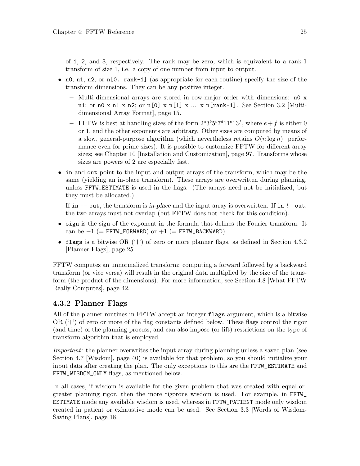<span id="page-30-0"></span>of 1, 2, and 3, respectively. The rank may be zero, which is equivalent to a rank-1 transform of size 1, i.e. a copy of one number from input to output.

- n0, n1, n2, or  $n[0..rank-1]$  (as appropriate for each routine) specify the size of the transform dimensions. They can be any positive integer.
	- − Multi-dimensional arrays are stored in row-major order with dimensions: n0 x n1; or n0 x n1 x n2; or n[0] x n[1] x ... x n[rank-1]. See [Section 3.2 \[Multi](#page-20-2)[dimensional Array Format\], page 15](#page-20-2).
	- − FFTW is best at handling sizes of the form  $2^a 3^b 5^c 7^d 11^e 13^f$ , where  $e+f$  is either 0 or 1, and the other exponents are arbitrary. Other sizes are computed by means of a slow, general-purpose algorithm (which nevertheless retains  $O(n \log n)$ ) performance even for prime sizes). It is possible to customize FFTW for different array sizes; see [Chapter 10 \[Installation and Customization\], page 97](#page-102-0). Transforms whose sizes are powers of 2 are especially fast.
- in and out point to the input and output arrays of the transform, which may be the same (yielding an in-place transform). These arrays are overwritten during planning, unless FFTW\_ESTIMATE is used in the flags. (The arrays need not be initialized, but they must be allocated.)

If in  $==$  out, the transform is in-place and the input array is overwritten. If in  $!=$  out, the two arrays must not overlap (but FFTW does not check for this condition).

- sign is the sign of the exponent in the formula that defines the Fourier transform. It can be  $-1$  (= FFTW\_FORWARD) or  $+1$  (= FFTW\_BACKWARD).
- flags is a bitwise OR  $('')$  of zero or more planner flags, as defined in [Section 4.3.2](#page-30-1) [\[Planner Flags\], page 25.](#page-30-1)

FFTW computes an unnormalized transform: computing a forward followed by a backward transform (or vice versa) will result in the original data multiplied by the size of the transform (the product of the dimensions). For more information, see [Section 4.8 \[What FFTW](#page-47-1) [Really Computes\], page 42.](#page-47-1)

### <span id="page-30-1"></span>4.3.2 Planner Flags

All of the planner routines in FFTW accept an integer flags argument, which is a bitwise OR ('|') of zero or more of the flag constants defined below. These flags control the rigor (and time) of the planning process, and can also impose (or lift) restrictions on the type of transform algorithm that is employed.

Important: the planner overwrites the input array during planning unless a saved plan (see [Section 4.7 \[Wisdom\], page 40](#page-45-1)) is available for that problem, so you should initialize your input data after creating the plan. The only exceptions to this are the FFTW\_ESTIMATE and FFTW\_WISDOM\_ONLY flags, as mentioned below.

In all cases, if wisdom is available for the given problem that was created with equal-orgreater planning rigor, then the more rigorous wisdom is used. For example, in FFTW\_ ESTIMATE mode any available wisdom is used, whereas in FFTW\_PATIENT mode only wisdom created in patient or exhaustive mode can be used. See [Section 3.3 \[Words of Wisdom-](#page-23-1)[Saving Plans\], page 18](#page-23-1).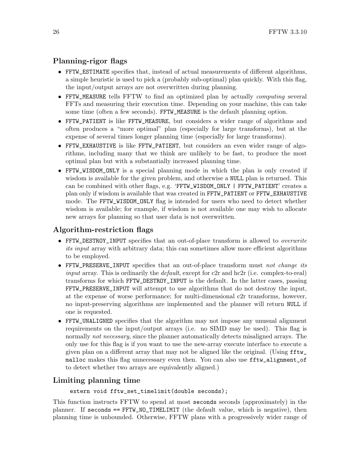#### Planning-rigor flags

- FFTW\_ESTIMATE specifies that, instead of actual measurements of different algorithms, a simple heuristic is used to pick a (probably sub-optimal) plan quickly. With this flag, the input/output arrays are not overwritten during planning.
- FFTW\_MEASURE tells FFTW to find an optimized plan by actually computing several FFTs and measuring their execution time. Depending on your machine, this can take some time (often a few seconds). FFTW\_MEASURE is the default planning option.
- FFTW\_PATIENT is like FFTW\_MEASURE, but considers a wider range of algorithms and often produces a "more optimal" plan (especially for large transforms), but at the expense of several times longer planning time (especially for large transforms).
- FFTW\_EXHAUSTIVE is like FFTW\_PATIENT, but considers an even wider range of algorithms, including many that we think are unlikely to be fast, to produce the most optimal plan but with a substantially increased planning time.
- FFTW\_WISDOM\_ONLY is a special planning mode in which the plan is only created if wisdom is available for the given problem, and otherwise a NULL plan is returned. This can be combined with other flags, e.g. 'FFTW\_WISDOM\_ONLY | FFTW\_PATIENT' creates a plan only if wisdom is available that was created in FFTW\_PATIENT or FFTW\_EXHAUSTIVE mode. The FFTW\_WISDOM\_ONLY flag is intended for users who need to detect whether wisdom is available; for example, if wisdom is not available one may wish to allocate new arrays for planning so that user data is not overwritten.

#### Algorithm-restriction flags

- FFTW\_DESTROY\_INPUT specifies that an out-of-place transform is allowed to *overwrite* its input array with arbitrary data; this can sometimes allow more efficient algorithms to be employed.
- FFTW\_PRESERVE\_INPUT specifies that an out-of-place transform must not change its *input* array. This is ordinarily the *default*, except for  $c2r$  and  $hc2r$  (i.e. complex-to-real) transforms for which FFTW\_DESTROY\_INPUT is the default. In the latter cases, passing FFTW\_PRESERVE\_INPUT will attempt to use algorithms that do not destroy the input, at the expense of worse performance; for multi-dimensional c2r transforms, however, no input-preserving algorithms are implemented and the planner will return NULL if one is requested.
- FFTW\_UNALIGNED specifies that the algorithm may not impose any unusual alignment requirements on the input/output arrays (i.e. no SIMD may be used). This flag is normally not necessary, since the planner automatically detects misaligned arrays. The only use for this flag is if you want to use the new-array execute interface to execute a given plan on a different array that may not be aligned like the original. (Using fftw\_ malloc makes this flag unnecessary even then. You can also use fftw\_alignment\_of to detect whether two arrays are equivalently aligned.)

#### Limiting planning time

#### extern void fftw\_set\_timelimit(double seconds);

This function instructs FFTW to spend at most seconds seconds (approximately) in the planner. If seconds == FFTW\_NO\_TIMELIMIT (the default value, which is negative), then planning time is unbounded. Otherwise, FFTW plans with a progressively wider range of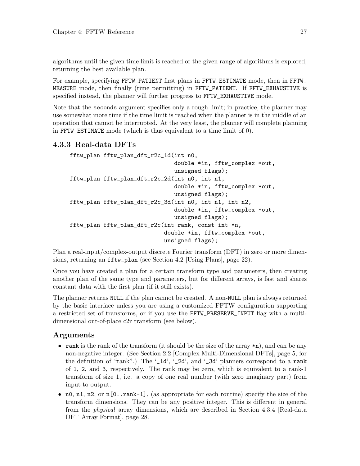<span id="page-32-0"></span>algorithms until the given time limit is reached or the given range of algorithms is explored, returning the best available plan.

For example, specifying FFTW\_PATIENT first plans in FFTW\_ESTIMATE mode, then in FFTW\_ MEASURE mode, then finally (time permitting) in FFTW\_PATIENT. If FFTW\_EXHAUSTIVE is specified instead, the planner will further progress to FFTW\_EXHAUSTIVE mode.

Note that the seconds argument specifies only a rough limit; in practice, the planner may use somewhat more time if the time limit is reached when the planner is in the middle of an operation that cannot be interrupted. At the very least, the planner will complete planning in FFTW\_ESTIMATE mode (which is thus equivalent to a time limit of 0).

#### 4.3.3 Real-data DFTs

```
fftw_plan fftw_plan_dft_r2c_1d(int n0,
                               double *in, fftw_complex *out,
                               unsigned flags);
fftw_plan fftw_plan_dft_r2c_2d(int n0, int n1,
                               double *in, fftw_complex *out,
                               unsigned flags);
fftw_plan fftw_plan_dft_r2c_3d(int n0, int n1, int n2,
                               double *in, fftw_complex *out,
                               unsigned flags);
fftw_plan fftw_plan_dft_r2c(int rank, const int *n,
                            double *in, fftw_complex *out,
                            unsigned flags);
```
Plan a real-input/complex-output discrete Fourier transform (DFT) in zero or more dimensions, returning an fftw\_plan (see [Section 4.2 \[Using Plans\], page 22\)](#page-27-1).

Once you have created a plan for a certain transform type and parameters, then creating another plan of the same type and parameters, but for different arrays, is fast and shares constant data with the first plan (if it still exists).

The planner returns NULL if the plan cannot be created. A non-NULL plan is always returned by the basic interface unless you are using a customized FFTW configuration supporting a restricted set of transforms, or if you use the FFTW\_PRESERVE\_INPUT flag with a multidimensional out-of-place c2r transform (see below).

#### Arguments

- rank is the rank of the transform (it should be the size of the array  $\ast n$ ), and can be any non-negative integer. (See [Section 2.2 \[Complex Multi-Dimensional DFTs\], page 5,](#page-10-1) for the definition of "rank".) The '\_1d', '\_2d', and '\_3d' planners correspond to a rank of 1, 2, and 3, respectively. The rank may be zero, which is equivalent to a rank-1 transform of size 1, i.e. a copy of one real number (with zero imaginary part) from input to output.
- n0, n1, n2, or  $n[0..\text{rank}-1]$ , (as appropriate for each routine) specify the size of the transform dimensions. They can be any positive integer. This is different in general from the physical array dimensions, which are described in [Section 4.3.4 \[Real-data](#page-33-1) [DFT Array Format\], page 28.](#page-33-1)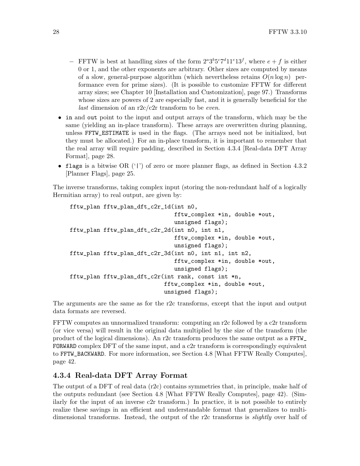- <span id="page-33-0"></span>− FFTW is best at handling sizes of the form  $2^a 3^b 5^c 7^d 11^e 13^f$ , where  $e + f$  is either 0 or 1, and the other exponents are arbitrary. Other sizes are computed by means of a slow, general-purpose algorithm (which nevertheless retains  $O(n \log n)$ ) performance even for prime sizes). (It is possible to customize FFTW for different array sizes; see [Chapter 10 \[Installation and Customization\], page 97.](#page-102-0)) Transforms whose sizes are powers of 2 are especially fast, and it is generally beneficial for the *last* dimension of an  $r2c/c2r$  transform to be *even*.
- in and out point to the input and output arrays of the transform, which may be the same (yielding an in-place transform). These arrays are overwritten during planning, unless FFTW\_ESTIMATE is used in the flags. (The arrays need not be initialized, but they must be allocated.) For an in-place transform, it is important to remember that the real array will require padding, described in [Section 4.3.4 \[Real-data DFT Array](#page-33-1) [Format\], page 28](#page-33-1).
- flags is a bitwise OR ('|') of zero or more planner flags, as defined in [Section 4.3.2](#page-30-1) [\[Planner Flags\], page 25.](#page-30-1)

The inverse transforms, taking complex input (storing the non-redundant half of a logically Hermitian array) to real output, are given by:

```
fftw_plan fftw_plan_dft_c2r_1d(int n0,
                               fftw_complex *in, double *out,
                               unsigned flags);
fftw_plan fftw_plan_dft_c2r_2d(int n0, int n1,
                               fftw_complex *in, double *out,
                               unsigned flags);
fftw_plan fftw_plan_dft_c2r_3d(int n0, int n1, int n2,
                               fftw_complex *in, double *out,
                               unsigned flags);
fftw_plan fftw_plan_dft_c2r(int rank, const int *n,
                            fftw_complex *in, double *out,
                            unsigned flags);
```
The arguments are the same as for the r2c transforms, except that the input and output data formats are reversed.

FFTW computes an unnormalized transform: computing an r2c followed by a c2r transform (or vice versa) will result in the original data multiplied by the size of the transform (the product of the logical dimensions). An r2c transform produces the same output as a FFTW\_ FORWARD complex DFT of the same input, and a c2r transform is correspondingly equivalent to FFTW\_BACKWARD. For more information, see [Section 4.8 \[What FFTW Really Computes\],](#page-47-1) [page 42](#page-47-1).

#### <span id="page-33-1"></span>4.3.4 Real-data DFT Array Format

The output of a DFT of real data (r2c) contains symmetries that, in principle, make half of the outputs redundant (see [Section 4.8 \[What FFTW Really Computes\], page 42](#page-47-1)). (Similarly for the input of an inverse c2r transform.) In practice, it is not possible to entirely realize these savings in an efficient and understandable format that generalizes to multidimensional transforms. Instead, the output of the r2c transforms is *slightly* over half of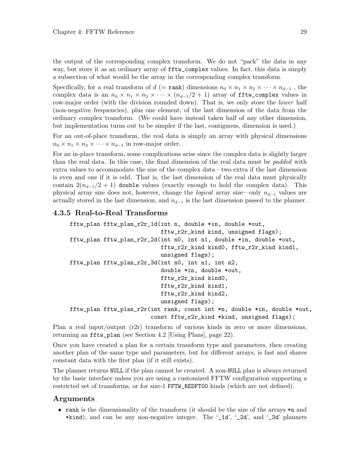<span id="page-34-0"></span>the output of the corresponding complex transform. We do not "pack" the data in any way, but store it as an ordinary array of fftw\_complex values. In fact, this data is simply a subsection of what would be the array in the corresponding complex transform.

Specifically, for a real transform of  $d$  (= rank) dimensions  $n_0 \times n_1 \times n_2 \times \cdots \times n_{d-1}$ , the complex data is an  $n_0 \times n_1 \times n_2 \times \cdots \times (n_{d-1}/2 + 1)$  array of fitu\_complex values in row-major order (with the division rounded down). That is, we only store the *lower* half (non-negative frequencies), plus one element, of the last dimension of the data from the ordinary complex transform. (We could have instead taken half of any other dimension, but implementation turns out to be simpler if the last, contiguous, dimension is used.)

For an out-of-place transform, the real data is simply an array with physical dimensions  $n_0 \times n_1 \times n_2 \times \cdots \times n_{d-1}$  in row-major order.

For an in-place transform, some complications arise since the complex data is slightly larger than the real data. In this case, the final dimension of the real data must be padded with extra values to accommodate the size of the complex data—two extra if the last dimension is even and one if it is odd. That is, the last dimension of the real data must physically contain  $2(n_{d-1}/2 + 1)$  double values (exactly enough to hold the complex data). This physical array size does not, however, change the *logical* array size—only  $n_{d-1}$  values are actually stored in the last dimension, and  $n_{d-1}$  is the last dimension passed to the planner.

#### 4.3.5 Real-to-Real Transforms

```
fftw_plan fftw_plan_r2r_1d(int n, double *in, double *out,
                           fftw_r2r_kind kind, unsigned flags);
fftw_plan fftw_plan_r2r_2d(int n0, int n1, double *in, double *out,
                           fftw_r2r_kind kind0, fftw_r2r_kind kind1,
                           unsigned flags);
fftw_plan fftw_plan_r2r_3d(int n0, int n1, int n2,
                           double *in, double *out,
                           fftw_r2r_kind kind0,
                           fftw_r2r_kind kind1,
                           fftw_r2r_kind kind2,
                           unsigned flags);
fftw_plan fftw_plan_r2r(int rank, const int *n, double *in, double *out,
                        const fftw_r2r_kind *kind, unsigned flags);
```
Plan a real input/output (r2r) transform of various kinds in zero or more dimensions, returning an fftw\_plan (see [Section 4.2 \[Using Plans\], page 22\)](#page-27-1).

Once you have created a plan for a certain transform type and parameters, then creating another plan of the same type and parameters, but for different arrays, is fast and shares constant data with the first plan (if it still exists).

The planner returns NULL if the plan cannot be created. A non-NULL plan is always returned by the basic interface unless you are using a customized FFTW configuration supporting a restricted set of transforms, or for size-1 FFTW\_REDFT00 kinds (which are not defined).

#### Arguments

• rank is the dimensionality of the transform (it should be the size of the arrays  $\ast$ n and \*kind), and can be any non-negative integer. The  $\angle$ 1d',  $\angle$ 2d', and  $\angle$ 3d' planners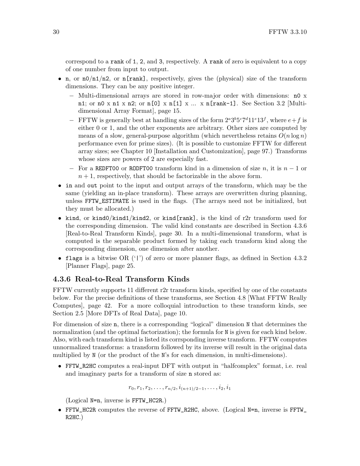<span id="page-35-0"></span>correspond to a rank of 1, 2, and 3, respectively. A rank of zero is equivalent to a copy of one number from input to output.

- n, or  $n0/n1/n2$ , or  $n[rank]$ , respectively, gives the (physical) size of the transform dimensions. They can be any positive integer.
	- − Multi-dimensional arrays are stored in row-major order with dimensions: n0 x n1; or n0 x n1 x n2; or n[0] x n[1] x ... x n[rank-1]. See [Section 3.2 \[Multi](#page-20-2)[dimensional Array Format\], page 15](#page-20-2).
	- − FFTW is generally best at handling sizes of the form  $2^a 3^b 5^c 7^d 11^e 13^f$ , where  $e+f$  is either 0 or 1, and the other exponents are arbitrary. Other sizes are computed by means of a slow, general-purpose algorithm (which nevertheless retains  $O(n \log n)$ ) performance even for prime sizes). (It is possible to customize FFTW for different array sizes; see [Chapter 10 \[Installation and Customization\], page 97.](#page-102-0)) Transforms whose sizes are powers of 2 are especially fast.
	- $-$  For a REDFT00 or RODFT00 transform kind in a dimension of size n, it is  $n 1$  or  $n + 1$ , respectively, that should be factorizable in the above form.
- in and out point to the input and output arrays of the transform, which may be the same (yielding an in-place transform). These arrays are overwritten during planning, unless FFTW\_ESTIMATE is used in the flags. (The arrays need not be initialized, but they must be allocated.)
- kind, or kind $0/k$ ind $1/k$ ind2, or kind $[rank]$ , is the kind of r2r transform used for the corresponding dimension. The valid kind constants are described in [Section 4.3.6](#page-35-1) [\[Real-to-Real Transform Kinds\], page 30](#page-35-1). In a multi-dimensional transform, what is computed is the separable product formed by taking each transform kind along the corresponding dimension, one dimension after another.
- flags is a bitwise OR  $('')$  of zero or more planner flags, as defined in [Section 4.3.2](#page-30-1) [\[Planner Flags\], page 25.](#page-30-1)

## <span id="page-35-1"></span>4.3.6 Real-to-Real Transform Kinds

FFTW currently supports 11 different r2r transform kinds, specified by one of the constants below. For the precise definitions of these transforms, see [Section 4.8 \[What FFTW Really](#page-47-1) [Computes\], page 42.](#page-47-1) For a more colloquial introduction to these transform kinds, see [Section 2.5 \[More DFTs of Real Data\], page 10](#page-15-0).

For dimension of size **n**, there is a corresponding "logical" dimension N that determines the normalization (and the optimal factorization); the formula for N is given for each kind below. Also, with each transform kind is listed its corrsponding inverse transform. FFTW computes unnormalized transforms: a transform followed by its inverse will result in the original data multiplied by N (or the product of the N's for each dimension, in multi-dimensions).

• FFTW\_R2HC computes a real-input DFT with output in "halfcomplex" format, i.e. real and imaginary parts for a transform of size n stored as:

 $r_0, r_1, r_2, \ldots, r_{n/2}, i_{(n+1)/2-1}, \ldots, i_2, i_1$ 

(Logical N=n, inverse is FFTW\_HC2R.)

• FFTW\_HC2R computes the reverse of FFTW\_R2HC, above. (Logical N=n, inverse is FFTW\_ R2HC.)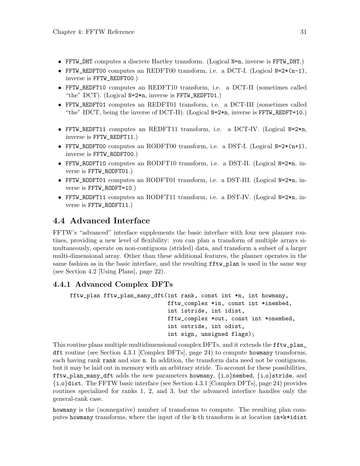- FFTW\_DHT computes a discrete Hartley transform. (Logical N=n, inverse is FFTW\_DHT.)
- FFTW\_REDFT00 computes an REDFT00 transform, i.e. a DCT-I. (Logical N=2 $*(n-1)$ , inverse is FFTW\_REDFT00.)
- FFTW\_REDFT10 computes an REDFT10 transform, i.e. a DCT-II (sometimes called "the" DCT). (Logical  $N=2*n$ , inverse is FFTW\_REDFT01.)
- FFTW\_REDFT01 computes an REDFT01 transform, i.e. a DCT-III (sometimes called "the" IDCT, being the inverse of DCT-II). (Logical  $N=2*n$ , inverse is FFTW\_REDFT=10.)
- FFTW\_REDFT11 computes an REDFT11 transform, i.e. a DCT-IV. (Logical N=2\*n, inverse is FFTW\_REDFT11.)
- FFTW\_RODFT00 computes an RODFT00 transform, i.e. a DST-I. (Logical  $N=2*(n+1)$ , inverse is FFTW\_RODFT00.)
- FFTW\_RODFT10 computes an RODFT10 transform, i.e. a DST-II. (Logical N=2\*n, inverse is FFTW\_RODFT01.)
- FFTW\_RODFT01 computes an RODFT01 transform, i.e. a DST-III. (Logical N=2\*n, inverse is FFTW\_RODFT=10.)
- FFTW\_RODFT11 computes an RODFT11 transform, i.e. a DST-IV. (Logical N=2\*n, inverse is FFTW\_RODFT11.)

## <span id="page-36-0"></span>4.4 Advanced Interface

FFTW's "advanced" interface supplements the basic interface with four new planner routines, providing a new level of flexibility: you can plan a transform of multiple arrays simultaneously, operate on non-contiguous (strided) data, and transform a subset of a larger multi-dimensional array. Other than these additional features, the planner operates in the same fashion as in the basic interface, and the resulting  $f f t w$ -plan is used in the same way (see [Section 4.2 \[Using Plans\], page 22\)](#page-27-0).

### 4.4.1 Advanced Complex DFTs

```
fftw_plan fftw_plan_many_dft(int rank, const int *n, int howmany,
                             fftw_complex *in, const int *inembed,
                             int istride, int idist,
                             fftw_complex *out, const int *onembed,
                             int ostride, int odist,
                             int sign, unsigned flags);
```
This routine plans multiple multidimensional complex DFTs, and it extends the **fftw\_plan** dft routine (see [Section 4.3.1 \[Complex DFTs\], page 24](#page-29-0)) to compute howmany transforms, each having rank rank and size n. In addition, the transform data need not be contiguous, but it may be laid out in memory with an arbitrary stride. To account for these possibilities, fftw\_plan\_many\_dft adds the new parameters howmany,  $\{i,o\}$ nembed,  $\{i,o\}$ stride, and {i,o}dist. The FFTW basic interface (see [Section 4.3.1 \[Complex DFTs\], page 24\)](#page-29-0) provides routines specialized for ranks 1, 2, and 3, but the advanced interface handles only the general-rank case.

howmany is the (nonnegative) number of transforms to compute. The resulting plan computes howmany transforms, where the input of the k-th transform is at location in+k\*idist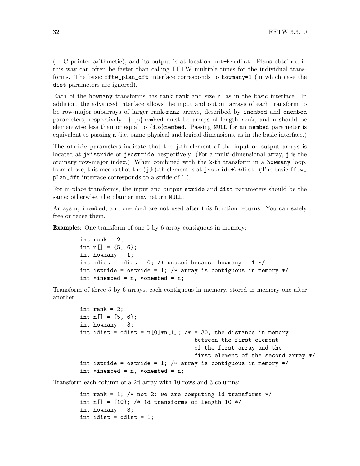(in C pointer arithmetic), and its output is at location out+k\*odist. Plans obtained in this way can often be faster than calling FFTW multiple times for the individual transforms. The basic fftw\_plan\_dft interface corresponds to howmany=1 (in which case the dist parameters are ignored).

Each of the howmany transforms has rank rank and size n, as in the basic interface. In addition, the advanced interface allows the input and output arrays of each transform to be row-major subarrays of larger rank-rank arrays, described by inembed and onembed parameters, respectively.  $\{i,o\}$  nembed must be arrays of length rank, and n should be elementwise less than or equal to  $\{i,o\}$  nembed. Passing NULL for an nembed parameter is equivalent to passing n (i.e. same physical and logical dimensions, as in the basic interface.)

The stride parameters indicate that the j-th element of the input or output arrays is located at j\*istride or j\*ostride, respectively. (For a multi-dimensional array, j is the ordinary row-major index.) When combined with the k-th transform in a howmany loop, from above, this means that the  $(j,k)$ -th element is at j\*stride+k\*dist. (The basic fftw\_ plan\_dft interface corresponds to a stride of 1.)

For in-place transforms, the input and output stride and dist parameters should be the same; otherwise, the planner may return NULL.

Arrays n, inembed, and onembed are not used after this function returns. You can safely free or reuse them.

Examples: One transform of one 5 by 6 array contiguous in memory:

```
int rank = 2;
int n[] = \{5, 6\};
int howmany = 1;
int idist = odist = 0; /* unused because howmany = 1 */
int istride = ostride = 1; /* array is contiguous in memory */int *inembed = n, *onembed = n;
```
Transform of three 5 by 6 arrays, each contiguous in memory, stored in memory one after another:

```
int rank = 2;
int n[] = {5, 6};int howmany = 3;
int idist = odist = n[0]*n[1]; /* = 30, the distance in memory
                                 between the first element
                                 of the first array and the
                                 first element of the second array */
int istride = ostride = 1; /* array is contiguous in memory */int *inembed = n, *onembed = n;
```
Transform each column of a 2d array with 10 rows and 3 columns:

```
int rank = 1; /* not 2: we are computing 1d transforms */int n[] = \{10\}; /* 1d transforms of length 10 */
int howmany = 3;
int idist = odist = 1;
```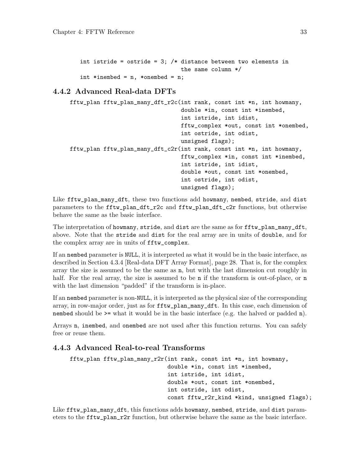```
int istride = ostride = 3; /* distance between two elements in
                              the same column */
int *inembed = n, *onembed = n;
```
### <span id="page-38-0"></span>4.4.2 Advanced Real-data DFTs

| fftw_plan fftw_plan_many_dft_r2c(int rank, const int *n, int howmany, |                                        |
|-----------------------------------------------------------------------|----------------------------------------|
|                                                                       | double *in, const int *inembed,        |
|                                                                       | int istride, int idist,                |
|                                                                       | fftw_complex *out, const int *onembed, |
|                                                                       | int ostride, int odist,                |
|                                                                       | unsigned flags);                       |
| fftw_plan fftw_plan_many_dft_c2r(int rank, const int *n, int howmany, |                                        |
|                                                                       | fftw_complex *in, const int *inembed,  |
|                                                                       | int istride, int idist,                |
|                                                                       | double *out, const int *onembed,       |
|                                                                       | int ostride, int odist,                |
|                                                                       | unsigned flags);                       |

Like fftw\_plan\_many\_dft, these two functions add howmany, nembed, stride, and dist parameters to the fftw\_plan\_dft\_r2c and fftw\_plan\_dft\_c2r functions, but otherwise behave the same as the basic interface.

The interpretation of howmany, stride, and dist are the same as for fitu\_plan\_many\_dft, above. Note that the stride and dist for the real array are in units of double, and for the complex array are in units of fftw\_complex.

If an nembed parameter is NULL, it is interpreted as what it would be in the basic interface, as described in [Section 4.3.4 \[Real-data DFT Array Format\], page 28](#page-33-0). That is, for the complex array the size is assumed to be the same as n, but with the last dimension cut roughly in half. For the real array, the size is assumed to be **n** if the transform is out-of-place, or **n** with the last dimension "padded" if the transform is in-place.

If an nembed parameter is non-NULL, it is interpreted as the physical size of the corresponding array, in row-major order, just as for fftw\_plan\_many\_dft. In this case, each dimension of nembed should be >= what it would be in the basic interface (e.g. the halved or padded n).

Arrays n, inembed, and onembed are not used after this function returns. You can safely free or reuse them.

#### 4.4.3 Advanced Real-to-real Transforms

```
fftw_plan fftw_plan_many_r2r(int rank, const int *n, int howmany,
                             double *in, const int *inembed,
                             int istride, int idist,
                             double *out, const int *onembed,
                             int ostride, int odist,
                             const fftw_r2r_kind *kind, unsigned flags);
```
Like fftw\_plan\_many\_dft, this functions adds howmany, nembed, stride, and dist parameters to the fftw\_plan\_r2r function, but otherwise behave the same as the basic interface.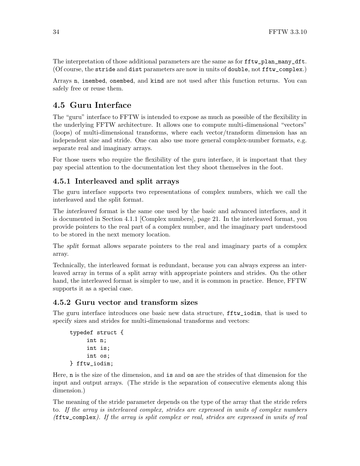The interpretation of those additional parameters are the same as for  $\texttt{fftw}$ -plan\_many\_dft. (Of course, the stride and dist parameters are now in units of double, not fftw\_complex.)

Arrays n, inembed, onembed, and kind are not used after this function returns. You can safely free or reuse them.

## 4.5 Guru Interface

The "guru" interface to FFTW is intended to expose as much as possible of the flexibility in the underlying FFTW architecture. It allows one to compute multi-dimensional "vectors" (loops) of multi-dimensional transforms, where each vector/transform dimension has an independent size and stride. One can also use more general complex-number formats, e.g. separate real and imaginary arrays.

For those users who require the flexibility of the guru interface, it is important that they pay special attention to the documentation lest they shoot themselves in the foot.

#### 4.5.1 Interleaved and split arrays

The guru interface supports two representations of complex numbers, which we call the interleaved and the split format.

The interleaved format is the same one used by the basic and advanced interfaces, and it is documented in [Section 4.1.1 \[Complex numbers\], page 21](#page-26-0). In the interleaved format, you provide pointers to the real part of a complex number, and the imaginary part understood to be stored in the next memory location.

The split format allows separate pointers to the real and imaginary parts of a complex array.

Technically, the interleaved format is redundant, because you can always express an interleaved array in terms of a split array with appropriate pointers and strides. On the other hand, the interleaved format is simpler to use, and it is common in practice. Hence, FFTW supports it as a special case.

#### <span id="page-39-0"></span>4.5.2 Guru vector and transform sizes

The guru interface introduces one basic new data structure, fftw\_iodim, that is used to specify sizes and strides for multi-dimensional transforms and vectors:

```
typedef struct {
     int n;
     int is;
     int os;
} fftw_iodim;
```
Here, n is the size of the dimension, and is and os are the strides of that dimension for the input and output arrays. (The stride is the separation of consecutive elements along this dimension.)

The meaning of the stride parameter depends on the type of the array that the stride refers to. If the array is interleaved complex, strides are expressed in units of complex numbers (fftw\_complex). If the array is split complex or real, strides are expressed in units of real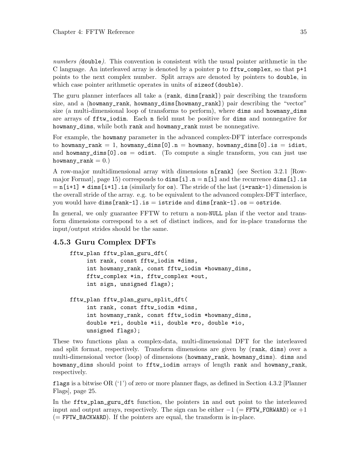numbers (double). This convention is consistent with the usual pointer arithmetic in the C language. An interleaved array is denoted by a pointer p to fftw\_complex, so that p+1 points to the next complex number. Split arrays are denoted by pointers to double, in which case pointer arithmetic operates in units of sizeof (double).

The guru planner interfaces all take a (rank, dims [rank]) pair describing the transform size, and a (howmany\_rank, howmany\_dims[howmany\_rank]) pair describing the "vector" size (a multi-dimensional loop of transforms to perform), where dims and howmany\_dims are arrays of fftw\_iodim. Each n field must be positive for dims and nonnegative for howmany\_dims, while both rank and howmany\_rank must be nonnegative.

For example, the howmany parameter in the advanced complex-DFT interface corresponds to howmany\_rank = 1, howmany\_dims[0].n = howmany, howmany\_dims[0].is = idist, and howmany\_dims[0].os = odist. (To compute a single transform, you can just use howmany\_rank  $= 0.$ )

A row-major multidimensional array with dimensions n[rank] (see [Section 3.2.1 \[Row](#page-20-0)major Format, page 15) corresponds to  $\dim$  [i].n = n[i] and the recurrence dims[i].is  $= n[i+1] * dim [i+1]$ . is (similarly for os). The stride of the last (i=rank-1) dimension is the overall stride of the array. e.g. to be equivalent to the advanced complex-DFT interface, you would have dims[rank-1].is = istride and dims[rank-1].os = ostride.

In general, we only guarantee FFTW to return a non-NULL plan if the vector and transform dimensions correspond to a set of distinct indices, and for in-place transforms the input/output strides should be the same.

### 4.5.3 Guru Complex DFTs

```
fftw_plan fftw_plan_guru_dft(
     int rank, const fftw_iodim *dims,
     int howmany_rank, const fftw_iodim *howmany_dims,
     fftw_complex *in, fftw_complex *out,
     int sign, unsigned flags);
```
#### fftw\_plan fftw\_plan\_guru\_split\_dft( int rank, const fftw\_iodim \*dims, int howmany\_rank, const fftw\_iodim \*howmany\_dims, double \*ri, double \*ii, double \*ro, double \*io, unsigned flags);

These two functions plan a complex-data, multi-dimensional DFT for the interleaved and split format, respectively. Transform dimensions are given by (rank, dims) over a multi-dimensional vector (loop) of dimensions (howmany\_rank, howmany\_dims). dims and howmany\_dims should point to fftw\_iodim arrays of length rank and howmany\_rank, respectively.

flags is a bitwise OR  $('')$  of zero or more planner flags, as defined in [Section 4.3.2 \[Planner](#page-30-0)] [Flags\], page 25](#page-30-0).

In the fftw\_plan\_guru\_dft function, the pointers in and out point to the interleaved input and output arrays, respectively. The sign can be either  $-1$  (= FFTW\_FORWARD) or  $+1$  $(= FFTW_BACKWARD)$ . If the pointers are equal, the transform is in-place.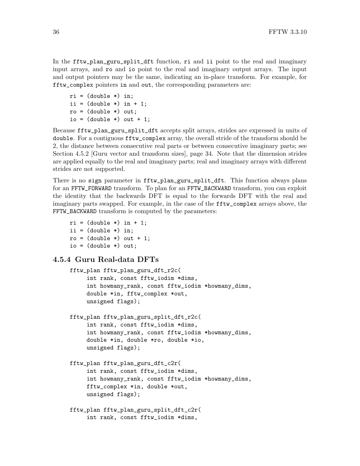In the fftw\_plan\_guru\_split\_dft function, ri and ii point to the real and imaginary input arrays, and ro and io point to the real and imaginary output arrays. The input and output pointers may be the same, indicating an in-place transform. For example, for fftw\_complex pointers in and out, the corresponding parameters are:

 $ri = (double *) in;$ ii =  $(double *)$  in + 1;  $ro = (double *) out;$ io =  $(double *) out + 1;$ 

Because fftw\_plan\_guru\_split\_dft accepts split arrays, strides are expressed in units of double. For a contiguous fftw\_complex array, the overall stride of the transform should be 2, the distance between consecutive real parts or between consecutive imaginary parts; see [Section 4.5.2 \[Guru vector and transform sizes\], page 34](#page-39-0). Note that the dimension strides are applied equally to the real and imaginary parts; real and imaginary arrays with different strides are not supported.

There is no sign parameter in fftw\_plan\_guru\_split\_dft. This function always plans for an FFTW\_FORWARD transform. To plan for an FFTW\_BACKWARD transform, you can exploit the identity that the backwards DFT is equal to the forwards DFT with the real and imaginary parts swapped. For example, in the case of the fftw\_complex arrays above, the FFTW\_BACKWARD transform is computed by the parameters:

```
ri = (double *) in + 1;ii = (double *) in;ro = (double *) out + 1;io = (double *) out;
```
#### 4.5.4 Guru Real-data DFTs

```
fftw_plan fftw_plan_guru_dft_r2c(
     int rank, const fftw_iodim *dims,
     int howmany_rank, const fftw_iodim *howmany_dims,
     double *in, fftw_complex *out,
     unsigned flags);
fftw_plan fftw_plan_guru_split_dft_r2c(
     int rank, const fftw_iodim *dims,
     int howmany_rank, const fftw_iodim *howmany_dims,
     double *in, double *ro, double *io,
     unsigned flags);
fftw_plan fftw_plan_guru_dft_c2r(
     int rank, const fftw_iodim *dims,
     int howmany_rank, const fftw_iodim *howmany_dims,
     fftw_complex *in, double *out,
    unsigned flags);
fftw_plan fftw_plan_guru_split_dft_c2r(
     int rank, const fftw_iodim *dims,
```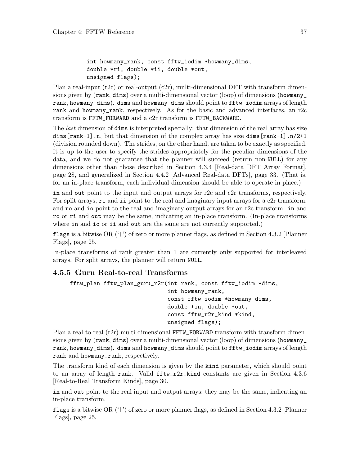```
int howmany_rank, const fftw_iodim *howmany_dims,
double *ri, double *ii, double *out,
unsigned flags);
```
Plan a real-input  $(r2c)$  or real-output  $(c2r)$ , multi-dimensional DFT with transform dimensions given by (rank, dims) over a multi-dimensional vector (loop) of dimensions (howmany\_ rank, howmany\_dims). dims and howmany\_dims should point to fftw\_iodim arrays of length rank and howmany\_rank, respectively. As for the basic and advanced interfaces, an r2c transform is FFTW\_FORWARD and a c2r transform is FFTW\_BACKWARD.

The *last* dimension of **dims** is interpreted specially: that dimension of the real array has size dims[rank-1].n, but that dimension of the complex array has size dims[rank-1].n/2+1 (division rounded down). The strides, on the other hand, are taken to be exactly as specified. It is up to the user to specify the strides appropriately for the peculiar dimensions of the data, and we do not guarantee that the planner will succeed (return non-NULL) for any dimensions other than those described in [Section 4.3.4 \[Real-data DFT Array Format\],](#page-33-0) [page 28,](#page-33-0) and generalized in [Section 4.4.2 \[Advanced Real-data DFTs\], page 33](#page-38-0). (That is, for an in-place transform, each individual dimension should be able to operate in place.)

in and out point to the input and output arrays for r2c and c2r transforms, respectively. For split arrays,  $\tau i$  and  $i i$  point to the real and imaginary input arrays for a c2r transform, and ro and io point to the real and imaginary output arrays for an r2c transform. in and ro or ri and out may be the same, indicating an in-place transform. (In-place transforms where in and io or ii and out are the same are not currently supported.)

flags is a bitwise OR ('|') of zero or more planner flags, as defined in [Section 4.3.2 \[Planner](#page-30-0) [Flags\], page 25](#page-30-0).

In-place transforms of rank greater than 1 are currently only supported for interleaved arrays. For split arrays, the planner will return NULL.

#### 4.5.5 Guru Real-to-real Transforms

```
fftw_plan fftw_plan_guru_r2r(int rank, const fftw_iodim *dims,
                             int howmany_rank,
                             const fftw_iodim *howmany_dims,
                             double *in, double *out,
                             const fftw_r2r_kind *kind,
                             unsigned flags);
```
Plan a real-to-real (r2r) multi-dimensional FFTW\_FORWARD transform with transform dimensions given by (rank, dims) over a multi-dimensional vector (loop) of dimensions (howmany\_ rank, howmany\_dims). dims and howmany\_dims should point to fftw\_iodim arrays of length rank and howmany\_rank, respectively.

The transform kind of each dimension is given by the kind parameter, which should point to an array of length rank. Valid fftw\_r2r\_kind constants are given in [Section 4.3.6](#page-35-0) [\[Real-to-Real Transform Kinds\], page 30](#page-35-0).

in and out point to the real input and output arrays; they may be the same, indicating an in-place transform.

flags is a bitwise OR ('|') of zero or more planner flags, as defined in [Section 4.3.2 \[Planner](#page-30-0) [Flags\], page 25](#page-30-0).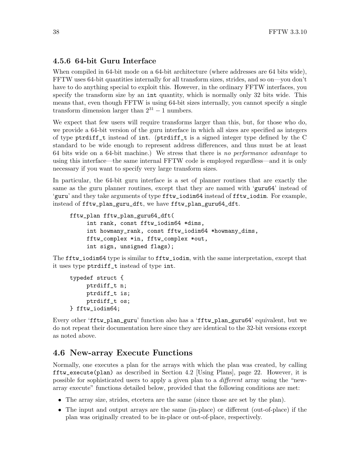#### <span id="page-43-1"></span>4.5.6 64-bit Guru Interface

When compiled in 64-bit mode on a 64-bit architecture (where addresses are 64 bits wide), FFTW uses 64-bit quantities internally for all transform sizes, strides, and so on—you don't have to do anything special to exploit this. However, in the ordinary FFTW interfaces, you specify the transform size by an int quantity, which is normally only 32 bits wide. This means that, even though FFTW is using 64-bit sizes internally, you cannot specify a single transform dimension larger than  $2^{31} - 1$  numbers.

We expect that few users will require transforms larger than this, but, for those who do, we provide a 64-bit version of the guru interface in which all sizes are specified as integers of type ptrdiff\_t instead of int. (ptrdiff\_t is a signed integer type defined by the C standard to be wide enough to represent address differences, and thus must be at least 64 bits wide on a 64-bit machine.) We stress that there is no performance advantage to using this interface—the same internal FFTW code is employed regardless—and it is only necessary if you want to specify very large transform sizes.

In particular, the 64-bit guru interface is a set of planner routines that are exactly the same as the guru planner routines, except that they are named with 'guru64' instead of 'guru' and they take arguments of type fftw\_iodim64 instead of fftw\_iodim. For example, instead of fftw\_plan\_guru\_dft, we have fftw\_plan\_guru64\_dft.

```
fftw_plan fftw_plan_guru64_dft(
     int rank, const fftw_iodim64 *dims,
     int howmany_rank, const fftw_iodim64 *howmany_dims,
     fftw_complex *in, fftw_complex *out,
     int sign, unsigned flags);
```
The fftw\_iodim64 type is similar to fftw\_iodim, with the same interpretation, except that it uses type ptrdiff\_t instead of type int.

```
typedef struct {
     ptrdiff_t n;
     ptrdiff_t is;
     ptrdiff_t os;
} fftw_iodim64;
```
Every other 'fftw\_plan\_guru' function also has a 'fftw\_plan\_guru64' equivalent, but we do not repeat their documentation here since they are identical to the 32-bit versions except as noted above.

### <span id="page-43-0"></span>4.6 New-array Execute Functions

Normally, one executes a plan for the arrays with which the plan was created, by calling fftw\_execute(plan) as described in [Section 4.2 \[Using Plans\], page 22](#page-27-0). However, it is possible for sophisticated users to apply a given plan to a different array using the "newarray execute" functions detailed below, provided that the following conditions are met:

- The array size, strides, etcetera are the same (since those are set by the plan).
- The input and output arrays are the same (in-place) or different (out-of-place) if the plan was originally created to be in-place or out-of-place, respectively.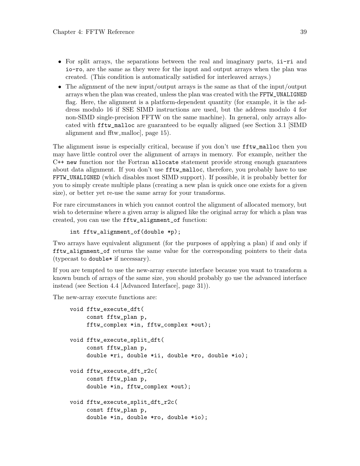- For split arrays, the separations between the real and imaginary parts, ii-ri and io-ro, are the same as they were for the input and output arrays when the plan was created. (This condition is automatically satisfied for interleaved arrays.)
- The alignment of the new input/output arrays is the same as that of the input/output arrays when the plan was created, unless the plan was created with the FFTW\_UNALIGNED flag. Here, the alignment is a platform-dependent quantity (for example, it is the address modulo 16 if SSE SIMD instructions are used, but the address modulo 4 for non-SIMD single-precision FFTW on the same machine). In general, only arrays allocated with fftw\_malloc are guaranteed to be equally aligned (see [Section 3.1 \[SIMD](#page-20-1) alignment and fitw\_malloc, page 15).

The alignment issue is especially critical, because if you don't use fftw\_malloc then you may have little control over the alignment of arrays in memory. For example, neither the C++ new function nor the Fortran allocate statement provide strong enough guarantees about data alignment. If you don't use fftw\_malloc, therefore, you probably have to use FFTW\_UNALIGNED (which disables most SIMD support). If possible, it is probably better for you to simply create multiple plans (creating a new plan is quick once one exists for a given size), or better yet re-use the same array for your transforms.

For rare circumstances in which you cannot control the alignment of allocated memory, but wish to determine where a given array is aligned like the original array for which a plan was created, you can use the fftw\_alignment\_of function:

```
int fftw_alignment_of(double *p);
```
Two arrays have equivalent alignment (for the purposes of applying a plan) if and only if fftw\_alignment\_of returns the same value for the corresponding pointers to their data (typecast to double\* if necessary).

If you are tempted to use the new-array execute interface because you want to transform a known bunch of arrays of the same size, you should probably go use the advanced interface instead (see [Section 4.4 \[Advanced Interface\], page 31](#page-36-0))).

The new-array execute functions are:

```
void fftw_execute_dft(
     const fftw_plan p,
     fftw_complex *in, fftw_complex *out);
void fftw_execute_split_dft(
     const fftw_plan p,
     double *ri, double *ii, double *ro, double *io);
void fftw_execute_dft_r2c(
     const fftw_plan p,
     double *in, fftw_complex *out);
void fftw_execute_split_dft_r2c(
     const fftw_plan p,
     double *in, double *ro, double *io);
```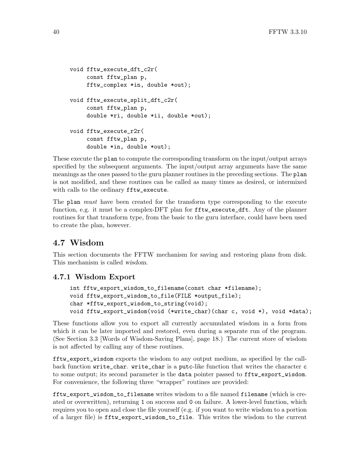```
void fftw_execute_dft_c2r(
     const fftw_plan p,
     fftw_complex *in, double *out);
void fftw_execute_split_dft_c2r(
     const fftw_plan p,
     double *ri, double *ii, double *out);
void fftw_execute_r2r(
    const fftw_plan p,
     double *in, double *out);
```
These execute the plan to compute the corresponding transform on the input/output arrays specified by the subsequent arguments. The input/output array arguments have the same meanings as the ones passed to the guru planner routines in the preceding sections. The plan is not modified, and these routines can be called as many times as desired, or intermixed with calls to the ordinary fftw\_execute.

The plan *must* have been created for the transform type corresponding to the execute function, e.g. it must be a complex-DFT plan for  $\texttt{fftw\_execute\_dft}$ . Any of the planner routines for that transform type, from the basic to the guru interface, could have been used to create the plan, however.

## 4.7 Wisdom

This section documents the FFTW mechanism for saving and restoring plans from disk. This mechanism is called wisdom.

#### 4.7.1 Wisdom Export

```
int fftw_export_wisdom_to_filename(const char *filename);
void fftw_export_wisdom_to_file(FILE *output_file);
char *fftw_export_wisdom_to_string(void);
void fftw_export_wisdom(void (*write_char)(char c, void *), void *data);
```
These functions allow you to export all currently accumulated wisdom in a form from which it can be later imported and restored, even during a separate run of the program. (See [Section 3.3 \[Words of Wisdom-Saving Plans\], page 18](#page-23-0).) The current store of wisdom is not affected by calling any of these routines.

fftw\_export\_wisdom exports the wisdom to any output medium, as specified by the callback function write\_char. write\_char is a putc-like function that writes the character c to some output; its second parameter is the data pointer passed to fftw\_export\_wisdom. For convenience, the following three "wrapper" routines are provided:

fftw\_export\_wisdom\_to\_filename writes wisdom to a file named filename (which is created or overwritten), returning 1 on success and 0 on failure. A lower-level function, which requires you to open and close the file yourself (e.g. if you want to write wisdom to a portion of a larger file) is fftw\_export\_wisdom\_to\_file. This writes the wisdom to the current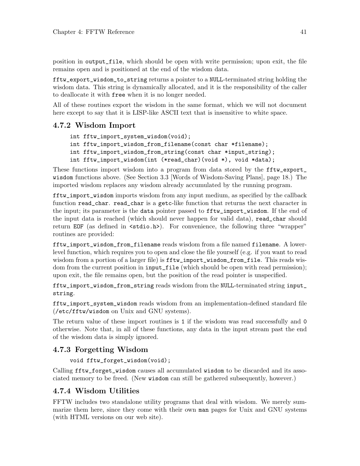position in output\_file, which should be open with write permission; upon exit, the file remains open and is positioned at the end of the wisdom data.

fftw\_export\_wisdom\_to\_string returns a pointer to a NULL-terminated string holding the wisdom data. This string is dynamically allocated, and it is the responsibility of the caller to deallocate it with free when it is no longer needed.

All of these routines export the wisdom in the same format, which we will not document here except to say that it is LISP-like ASCII text that is insensitive to white space.

### 4.7.2 Wisdom Import

```
int fftw_import_system_wisdom(void);
int fftw_import_wisdom_from_filename(const char *filename);
int fftw_import_wisdom_from_string(const char *input_string);
int fftw_import_wisdom(int (*read_char)(void *), void *data);
```
These functions import wisdom into a program from data stored by the fftw\_export\_ wisdom functions above. (See [Section 3.3 \[Words of Wisdom-Saving Plans\], page 18.](#page-23-0)) The imported wisdom replaces any wisdom already accumulated by the running program.

fftw\_import\_wisdom imports wisdom from any input medium, as specified by the callback function read\_char. read\_char is a getc-like function that returns the next character in the input; its parameter is the data pointer passed to fftw\_import\_wisdom. If the end of the input data is reached (which should never happen for valid data), read\_char should return EOF (as defined in  $\textless$  stdio.h>). For convenience, the following three "wrapper" routines are provided:

fftw\_import\_wisdom\_from\_filename reads wisdom from a file named filename. A lowerlevel function, which requires you to open and close the file yourself (e.g. if you want to read wisdom from a portion of a larger file) is  $\texttt{fftw\_import\_wisdom\_from_file}$ . This reads wisdom from the current position in input\_file (which should be open with read permission); upon exit, the file remains open, but the position of the read pointer is unspecified.

fftw\_import\_wisdom\_from\_string reads wisdom from the NULL-terminated string input\_ string.

fftw\_import\_system\_wisdom reads wisdom from an implementation-defined standard file (/etc/fftw/wisdom on Unix and GNU systems).

The return value of these import routines is 1 if the wisdom was read successfully and 0 otherwise. Note that, in all of these functions, any data in the input stream past the end of the wisdom data is simply ignored.

## 4.7.3 Forgetting Wisdom

void fftw\_forget\_wisdom(void);

Calling fftw\_forget\_wisdom causes all accumulated wisdom to be discarded and its associated memory to be freed. (New wisdom can still be gathered subsequently, however.)

## 4.7.4 Wisdom Utilities

FFTW includes two standalone utility programs that deal with wisdom. We merely summarize them here, since they come with their own man pages for Unix and GNU systems (with HTML versions on our web site).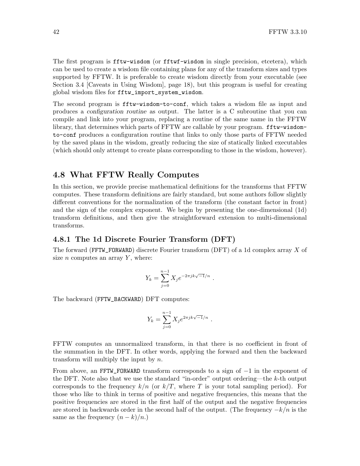The first program is fftw-wisdom (or fftwf-wisdom in single precision, etcetera), which can be used to create a wisdom file containing plans for any of the transform sizes and types supported by FFTW. It is preferable to create wisdom directly from your executable (see [Section 3.4 \[Caveats in Using Wisdom\], page 18\)](#page-23-1), but this program is useful for creating global wisdom files for fftw\_import\_system\_wisdom.

The second program is fftw-wisdom-to-conf, which takes a wisdom file as input and produces a configuration routine as output. The latter is a C subroutine that you can compile and link into your program, replacing a routine of the same name in the FFTW library, that determines which parts of FFTW are callable by your program. fftw-wisdomto-conf produces a configuration routine that links to only those parts of FFTW needed by the saved plans in the wisdom, greatly reducing the size of statically linked executables (which should only attempt to create plans corresponding to those in the wisdom, however).

## 4.8 What FFTW Really Computes

In this section, we provide precise mathematical definitions for the transforms that FFTW computes. These transform definitions are fairly standard, but some authors follow slightly different conventions for the normalization of the transform (the constant factor in front) and the sign of the complex exponent. We begin by presenting the one-dimensional (1d) transform definitions, and then give the straightforward extension to multi-dimensional transforms.

#### 4.8.1 The 1d Discrete Fourier Transform (DFT)

The forward (FFTW\_FORWARD) discrete Fourier transform (DFT) of a 1d complex array X of size  $n$  computes an array  $Y$ , where:

$$
Y_k = \sum_{j=0}^{n-1} X_j e^{-2\pi j k \sqrt{-1}/n} .
$$

The backward (FFTW\_BACKWARD) DFT computes:

$$
Y_k = \sum_{j=0}^{n-1} X_j e^{2\pi j k \sqrt{-1}/n} .
$$

FFTW computes an unnormalized transform, in that there is no coefficient in front of the summation in the DFT. In other words, applying the forward and then the backward transform will multiply the input by n.

From above, an FFTW\_FORWARD transform corresponds to a sign of −1 in the exponent of the DFT. Note also that we use the standard "in-order" output ordering—the k-th output corresponds to the frequency  $k/n$  (or  $k/T$ , where T is your total sampling period). For those who like to think in terms of positive and negative frequencies, this means that the positive frequencies are stored in the first half of the output and the negative frequencies are stored in backwards order in the second half of the output. (The frequency  $-k/n$  is the same as the frequency  $(n-k)/n$ .)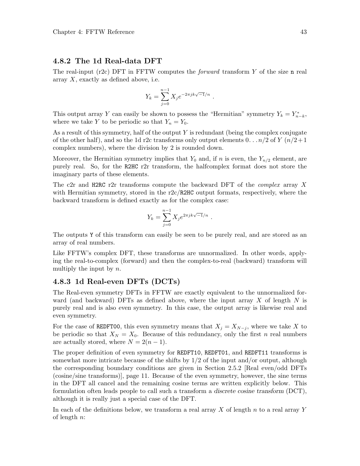#### 4.8.2 The 1d Real-data DFT

The real-input (r2c) DFT in FFTW computes the *forward* transform Y of the size n real array X, exactly as defined above, i.e.

$$
Y_k = \sum_{j=0}^{n-1} X_j e^{-2\pi j k \sqrt{-1}/n} .
$$

This output array Y can easily be shown to possess the "Hermitian" symmetry  $Y_k = Y_{n-k}^*$ , where we take Y to be periodic so that  $Y_n = Y_0$ .

As a result of this symmetry, half of the output  $Y$  is redundant (being the complex conjugate of the other half), and so the 1d r2c transforms only output elements  $0 \dots n/2$  of  $Y(n/2+1)$ complex numbers), where the division by 2 is rounded down.

Moreover, the Hermitian symmetry implies that  $Y_0$  and, if n is even, the  $Y_{n/2}$  element, are purely real. So, for the R2HC r2r transform, the halfcomplex format does not store the imaginary parts of these elements.

The c2r and H2RC r2r transforms compute the backward DFT of the *complex* array  $X$ with Hermitian symmetry, stored in the r2c/R2HC output formats, respectively, where the backward transform is defined exactly as for the complex case:

$$
Y_k = \sum_{j=0}^{n-1} X_j e^{2\pi j k \sqrt{-1}/n}.
$$

The outputs Y of this transform can easily be seen to be purely real, and are stored as an array of real numbers.

Like FFTW's complex DFT, these transforms are unnormalized. In other words, applying the real-to-complex (forward) and then the complex-to-real (backward) transform will multiply the input by  $n$ .

#### 4.8.3 1d Real-even DFTs (DCTs)

The Real-even symmetry DFTs in FFTW are exactly equivalent to the unnormalized forward (and backward) DFTs as defined above, where the input array  $X$  of length  $N$  is purely real and is also even symmetry. In this case, the output array is likewise real and even symmetry.

For the case of REDFT00, this even symmetry means that  $X_j = X_{N-j}$ , where we take X to be periodic so that  $X_N = X_0$ . Because of this redundancy, only the first n real numbers are actually stored, where  $N = 2(n - 1)$ .

The proper definition of even symmetry for REDFT10, REDFT01, and REDFT11 transforms is somewhat more intricate because of the shifts by  $1/2$  of the input and/or output, although the corresponding boundary conditions are given in [Section 2.5.2 \[Real even/odd DFTs](#page-16-0) [\(cosine/sine transforms\)\], page 11](#page-16-0). Because of the even symmetry, however, the sine terms in the DFT all cancel and the remaining cosine terms are written explicitly below. This formulation often leads people to call such a transform a discrete cosine transform (DCT), although it is really just a special case of the DFT.

In each of the definitions below, we transform a real array X of length n to a real array Y of length  $n$ :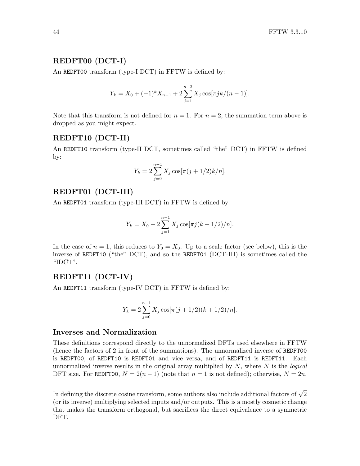#### REDFT00 (DCT-I)

An REDFT00 transform (type-I DCT) in FFTW is defined by:

$$
Y_k = X_0 + (-1)^k X_{n-1} + 2 \sum_{j=1}^{n-2} X_j \cos[\pi j k/(n-1)].
$$

Note that this transform is not defined for  $n = 1$ . For  $n = 2$ , the summation term above is dropped as you might expect.

#### REDFT10 (DCT-II)

An REDFT10 transform (type-II DCT, sometimes called "the" DCT) in FFTW is defined by:

$$
Y_k = 2\sum_{j=0}^{n-1} X_j \cos[\pi(j+1/2)k/n].
$$

#### REDFT01 (DCT-III)

An REDFT01 transform (type-III DCT) in FFTW is defined by:

$$
Y_k = X_0 + 2\sum_{j=1}^{n-1} X_j \cos[\pi j(k+1/2)/n].
$$

In the case of  $n = 1$ , this reduces to  $Y_0 = X_0$ . Up to a scale factor (see below), this is the inverse of REDFT10 ("the" DCT), and so the REDFT01 (DCT-III) is sometimes called the "IDCT".

#### REDFT11 (DCT-IV)

An REDFT11 transform (type-IV DCT) in FFTW is defined by:

$$
Y_k = 2\sum_{j=0}^{n-1} X_j \cos[\pi(j+1/2)(k+1/2)/n].
$$

#### Inverses and Normalization

These definitions correspond directly to the unnormalized DFTs used elsewhere in FFTW (hence the factors of 2 in front of the summations). The unnormalized inverse of REDFT00 is REDFT00, of REDFT10 is REDFT01 and vice versa, and of REDFT11 is REDFT11. Each unnormalized inverse results in the original array multiplied by  $N$ , where  $N$  is the *logical* DFT size. For REDFT00,  $N = 2(n-1)$  (note that  $n = 1$  is not defined); otherwise,  $N = 2n$ .

In defining the discrete cosine transform, some authors also include additional factors of  $\sqrt{2}$ (or its inverse) multiplying selected inputs and/or outputs. This is a mostly cosmetic change that makes the transform orthogonal, but sacrifices the direct equivalence to a symmetric DFT.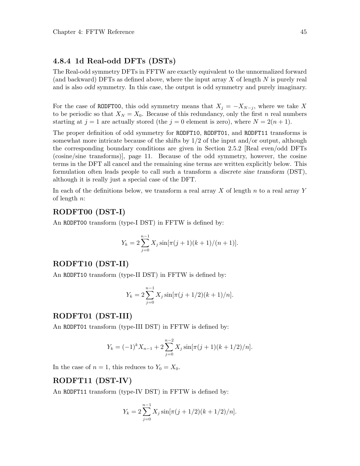### 4.8.4 1d Real-odd DFTs (DSTs)

The Real-odd symmetry DFTs in FFTW are exactly equivalent to the unnormalized forward (and backward) DFTs as defined above, where the input array  $X$  of length  $N$  is purely real and is also odd symmetry. In this case, the output is odd symmetry and purely imaginary.

For the case of RODFT00, this odd symmetry means that  $X_j = -X_{N-j}$ , where we take X to be periodic so that  $X_N = X_0$ . Because of this redundancy, only the first n real numbers starting at  $j = 1$  are actually stored (the  $j = 0$  element is zero), where  $N = 2(n + 1)$ .

The proper definition of odd symmetry for RODFT10, RODFT01, and RODFT11 transforms is somewhat more intricate because of the shifts by  $1/2$  of the input and/or output, although the corresponding boundary conditions are given in [Section 2.5.2 \[Real even/odd DFTs](#page-16-0) [\(cosine/sine transforms\)\], page 11.](#page-16-0) Because of the odd symmetry, however, the cosine terms in the DFT all cancel and the remaining sine terms are written explicitly below. This formulation often leads people to call such a transform a discrete sine transform (DST), although it is really just a special case of the DFT.

In each of the definitions below, we transform a real array  $X$  of length  $n$  to a real array Y of length  $n$ :

#### RODFT00 (DST-I)

An RODFT00 transform (type-I DST) in FFTW is defined by:

$$
Y_k = 2\sum_{j=0}^{n-1} X_j \sin[\pi(j+1)(k+1)/(n+1)].
$$

#### RODFT10 (DST-II)

An RODFT10 transform (type-II DST) in FFTW is defined by:

$$
Y_k = 2\sum_{j=0}^{n-1} X_j \sin[\pi(j+1/2)(k+1)/n].
$$

#### RODFT01 (DST-III)

An RODFT01 transform (type-III DST) in FFTW is defined by:

$$
Y_k = (-1)^k X_{n-1} + 2 \sum_{j=0}^{n-2} X_j \sin[\pi(j+1)(k+1/2)/n].
$$

In the case of  $n = 1$ , this reduces to  $Y_0 = X_0$ .

#### RODFT11 (DST-IV)

An RODFT11 transform (type-IV DST) in FFTW is defined by:

$$
Y_k = 2\sum_{j=0}^{n-1} X_j \sin[\pi(j+1/2)(k+1/2)/n].
$$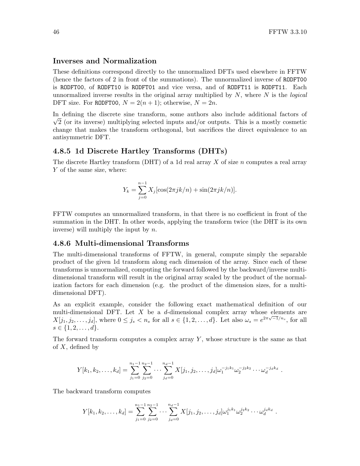#### Inverses and Normalization

These definitions correspond directly to the unnormalized DFTs used elsewhere in FFTW (hence the factors of 2 in front of the summations). The unnormalized inverse of RODFT00 is RODFT00, of RODFT10 is RODFT01 and vice versa, and of RODFT11 is RODFT11. Each unnormalized inverse results in the original array multiplied by  $N$ , where  $N$  is the *logical* DFT size. For RODFT00,  $N = 2(n + 1)$ ; otherwise,  $N = 2n$ .

In defining the discrete sine transform, some authors also include additional factors of √  $\sqrt{2}$  (or its inverse) multiplying selected inputs and/or outputs. This is a mostly cosmetic change that makes the transform orthogonal, but sacrifices the direct equivalence to an antisymmetric DFT.

#### 4.8.5 1d Discrete Hartley Transforms (DHTs)

The discrete Hartley transform (DHT) of a 1d real array  $X$  of size  $n$  computes a real array Y of the same size, where:

$$
Y_k = \sum_{j=0}^{n-1} X_j [\cos(2\pi jk/n) + \sin(2\pi jk/n)].
$$

FFTW computes an unnormalized transform, in that there is no coefficient in front of the summation in the DHT. In other words, applying the transform twice (the DHT is its own inverse) will multiply the input by n.

#### 4.8.6 Multi-dimensional Transforms

The multi-dimensional transforms of FFTW, in general, compute simply the separable product of the given 1d transform along each dimension of the array. Since each of these transforms is unnormalized, computing the forward followed by the backward/inverse multidimensional transform will result in the original array scaled by the product of the normalization factors for each dimension (e.g. the product of the dimension sizes, for a multidimensional DFT).

As an explicit example, consider the following exact mathematical definition of our multi-dimensional DFT. Let X be a d-dimensional complex array whose elements are  $X[j_1, j_2, \ldots, j_d]$ , where  $0 \le j_s < n_s$  for all  $s \in \{1, 2, \ldots, d\}$ . Let also  $\omega_s = e^{2\pi\sqrt{-1}/n_s}$ , for all  $s \in \{1, 2, \ldots, d\}.$ 

The forward transform computes a complex array  $Y$ , whose structure is the same as that of  $X$ , defined by

$$
Y[k_1, k_2, \ldots, k_d] = \sum_{j_1=0}^{n_1-1} \sum_{j_2=0}^{n_2-1} \cdots \sum_{j_d=0}^{n_d-1} X[j_1, j_2, \ldots, j_d] \omega_1^{-j_1 k_1} \omega_2^{-j_2 k_2} \cdots \omega_d^{-j_d k_d}.
$$

The backward transform computes

$$
Y[k_1, k_2, \ldots, k_d] = \sum_{j_1=0}^{n_1-1} \sum_{j_2=0}^{n_2-1} \cdots \sum_{j_d=0}^{n_d-1} X[j_1, j_2, \ldots, j_d] \omega_1^{j_1 k_1} \omega_2^{j_2 k_2} \cdots \omega_d^{j_d k_d}.
$$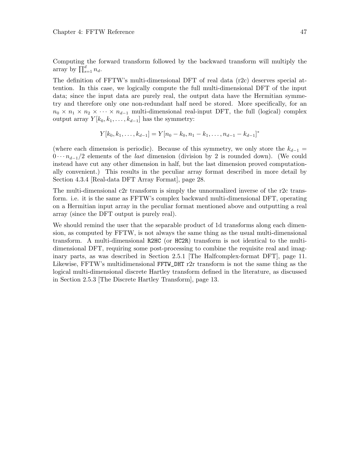Computing the forward transform followed by the backward transform will multiply the array by  $\prod_{s=1}^{d} n_d$ .

The definition of FFTW's multi-dimensional DFT of real data (r2c) deserves special attention. In this case, we logically compute the full multi-dimensional DFT of the input data; since the input data are purely real, the output data have the Hermitian symmetry and therefore only one non-redundant half need be stored. More specifically, for an  $n_0 \times n_1 \times n_2 \times \cdots \times n_{d-1}$  multi-dimensional real-input DFT, the full (logical) complex output array  $Y[k_0, k_1, \ldots, k_{d-1}]$  has the symmetry:

$$
Y[k_0, k_1, \ldots, k_{d-1}] = Y[n_0 - k_0, n_1 - k_1, \ldots, n_{d-1} - k_{d-1}]^*
$$

(where each dimension is periodic). Because of this symmetry, we only store the  $k_{d-1}$  =  $0 \cdots n_{d-1}/2$  elements of the *last* dimension (division by 2 is rounded down). (We could instead have cut any other dimension in half, but the last dimension proved computationally convenient.) This results in the peculiar array format described in more detail by [Section 4.3.4 \[Real-data DFT Array Format\], page 28](#page-33-0).

The multi-dimensional c2r transform is simply the unnormalized inverse of the r2c transform. i.e. it is the same as FFTW's complex backward multi-dimensional DFT, operating on a Hermitian input array in the peculiar format mentioned above and outputting a real array (since the DFT output is purely real).

We should remind the user that the separable product of 1d transforms along each dimension, as computed by FFTW, is not always the same thing as the usual multi-dimensional transform. A multi-dimensional R2HC (or HC2R) transform is not identical to the multidimensional DFT, requiring some post-processing to combine the requisite real and imaginary parts, as was described in [Section 2.5.1 \[The Halfcomplex-format DFT\], page 11.](#page-16-1) Likewise, FFTW's multidimensional FFTW\_DHT r2r transform is not the same thing as the logical multi-dimensional discrete Hartley transform defined in the literature, as discussed in [Section 2.5.3 \[The Discrete Hartley Transform\], page 13](#page-18-0).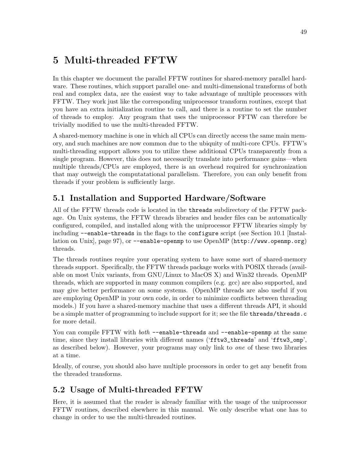# <span id="page-54-0"></span>5 Multi-threaded FFTW

In this chapter we document the parallel FFTW routines for shared-memory parallel hardware. These routines, which support parallel one- and multi-dimensional transforms of both real and complex data, are the easiest way to take advantage of multiple processors with FFTW. They work just like the corresponding uniprocessor transform routines, except that you have an extra initialization routine to call, and there is a routine to set the number of threads to employ. Any program that uses the uniprocessor FFTW can therefore be trivially modified to use the multi-threaded FFTW.

A shared-memory machine is one in which all CPUs can directly access the same main memory, and such machines are now common due to the ubiquity of multi-core CPUs. FFTW's multi-threading support allows you to utilize these additional CPUs transparently from a single program. However, this does not necessarily translate into performance gains—when multiple threads/CPUs are employed, there is an overhead required for synchronization that may outweigh the computatational parallelism. Therefore, you can only benefit from threads if your problem is sufficiently large.

## 5.1 Installation and Supported Hardware/Software

All of the FFTW threads code is located in the threads subdirectory of the FFTW package. On Unix systems, the FFTW threads libraries and header files can be automatically configured, compiled, and installed along with the uniprocessor FFTW libraries simply by including --enable-threads in the flags to the configure script (see [Section 10.1 \[Instal](#page-102-0)[lation on Unix\], page 97](#page-102-0)), or --enable-openmp to use OpenMP (<http://www.openmp.org>) threads.

The threads routines require your operating system to have some sort of shared-memory threads support. Specifically, the FFTW threads package works with POSIX threads (available on most Unix variants, from GNU/Linux to MacOS X) and Win32 threads. OpenMP threads, which are supported in many common compilers (e.g. gcc) are also supported, and may give better performance on some systems. (OpenMP threads are also useful if you are employing OpenMP in your own code, in order to minimize conflicts between threading models.) If you have a shared-memory machine that uses a different threads API, it should be a simple matter of programming to include support for it; see the file threads/threads.c for more detail.

You can compile FFTW with *both* --enable-threads and --enable-openmp at the same time, since they install libraries with different names ('fftw3\_threads' and 'fftw3\_omp', as described below). However, your programs may only link to one of these two libraries at a time.

Ideally, of course, you should also have multiple processors in order to get any benefit from the threaded transforms.

## 5.2 Usage of Multi-threaded FFTW

Here, it is assumed that the reader is already familiar with the usage of the uniprocessor FFTW routines, described elsewhere in this manual. We only describe what one has to change in order to use the multi-threaded routines.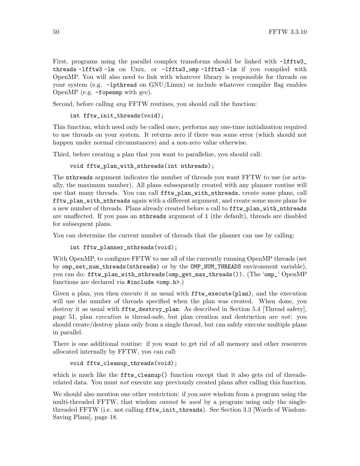```
First, programs using the parallel complex transforms should be linked with -Ifftw3threads -lfftw3 -lm on Unix, or -lfftw3_omp -lfftw3 -lm if you compiled with
OpenMP. You will also need to link with whatever library is responsible for threads on
your system (e.g. -lpthread on GNU/Linux) or include whatever compiler flag enables
OpenMP (e.g. -fopenmp with gcc).
```
Second, before calling *any* FFTW routines, you should call the function:

```
int fftw_init_threads(void);
```
This function, which need only be called once, performs any one-time initialization required to use threads on your system. It returns zero if there was some error (which should not happen under normal circumstances) and a non-zero value otherwise.

Third, before creating a plan that you want to parallelize, you should call:

```
void fftw_plan_with_nthreads(int nthreads);
```
The nthreads argument indicates the number of threads you want FFTW to use (or actually, the maximum number). All plans subsequently created with any planner routine will use that many threads. You can call fftw\_plan\_with\_nthreads, create some plans, call fftw\_plan\_with\_nthreads again with a different argument, and create some more plans for a new number of threads. Plans already created before a call to fftw\_plan\_with\_nthreads are unaffected. If you pass an nthreads argument of 1 (the default), threads are disabled for subsequent plans.

You can determine the current number of threads that the planner can use by calling:

```
int fftw_planner_nthreads(void);
```
With OpenMP, to configure FFTW to use all of the currently running OpenMP threads (set by omp\_set\_num\_threads(nthreads) or by the OMP\_NUM\_THREADS environment variable), you can do: fftw\_plan\_with\_nthreads(omp\_get\_max\_threads()). (The 'omp\_' OpenMP functions are declared via #include <omp.h>.)

Given a plan, you then execute it as usual with  $fftw$  execute(plan), and the execution will use the number of threads specified when the plan was created. When done, you destroy it as usual with fftw\_destroy\_plan. As described in [Section 5.4 \[Thread safety\],](#page-56-0) [page 51,](#page-56-0) plan execution is thread-safe, but plan creation and destruction are not: you should create/destroy plans only from a single thread, but can safely execute multiple plans in parallel.

There is one additional routine: if you want to get rid of all memory and other resources allocated internally by FFTW, you can call:

```
void fftw_cleanup_threads(void);
```
which is much like the fftw\_cleanup() function except that it also gets rid of threadsrelated data. You must *not* execute any previously created plans after calling this function.

We should also mention one other restriction: if you save wisdom from a program using the multi-threaded FFTW, that wisdom *cannot be used* by a program using only the singlethreaded FFTW (i.e. not calling fftw\_init\_threads). See [Section 3.3 \[Words of Wisdom-](#page-23-0)[Saving Plans\], page 18](#page-23-0).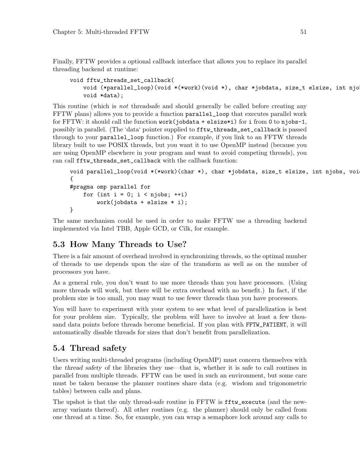Finally, FFTW provides a optional callback interface that allows you to replace its parallel threading backend at runtime:

```
void fftw_threads_set_callback(
   void (*parallel_loop)(void *(*work)(void *), char *jobdata, size_t elsize, int njo
   void *data);
```
This routine (which is *not* threadsafe and should generally be called before creating any FFTW plans) allows you to provide a function parallel\_loop that executes parallel work for FFTW: it should call the function work(jobdata + elsize\*i) for i from 0 to njobs-1, possibly in parallel. (The 'data' pointer supplied to fftw\_threads\_set\_callback is passed through to your parallel\_loop function.) For example, if you link to an FFTW threads library built to use POSIX threads, but you want it to use OpenMP instead (because you are using OpenMP elsewhere in your program and want to avoid competing threads), you can call fftw\_threads\_set\_callback with the callback function:

```
void parallel_loop(void *(*work)(char *), char *jobdata, size_t elsize, int njobs, voi
{
#pragma omp parallel for
    for (int i = 0; i < njobs; ++i)
        work(jobdata + elsize * i);}
```
The same mechanism could be used in order to make FFTW use a threading backend implemented via Intel TBB, Apple GCD, or Cilk, for example.

## 5.3 How Many Threads to Use?

There is a fair amount of overhead involved in synchronizing threads, so the optimal number of threads to use depends upon the size of the transform as well as on the number of processors you have.

As a general rule, you don't want to use more threads than you have processors. (Using more threads will work, but there will be extra overhead with no benefit.) In fact, if the problem size is too small, you may want to use fewer threads than you have processors.

You will have to experiment with your system to see what level of parallelization is best for your problem size. Typically, the problem will have to involve at least a few thousand data points before threads become beneficial. If you plan with FFTW\_PATIENT, it will automatically disable threads for sizes that don't benefit from parallelization.

## <span id="page-56-0"></span>5.4 Thread safety

Users writing multi-threaded programs (including OpenMP) must concern themselves with the thread safety of the libraries they use—that is, whether it is safe to call routines in parallel from multiple threads. FFTW can be used in such an environment, but some care must be taken because the planner routines share data (e.g. wisdom and trigonometric tables) between calls and plans.

The upshot is that the only thread-safe routine in FFTW is fftw\_execute (and the newarray variants thereof). All other routines (e.g. the planner) should only be called from one thread at a time. So, for example, you can wrap a semaphore lock around any calls to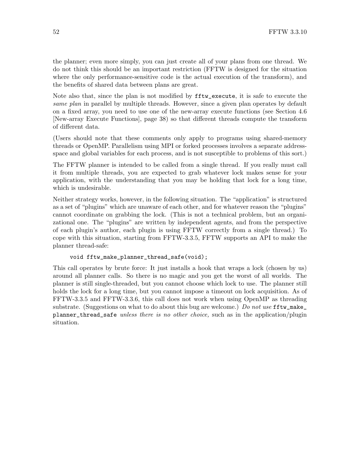the planner; even more simply, you can just create all of your plans from one thread. We do not think this should be an important restriction (FFTW is designed for the situation where the only performance-sensitive code is the actual execution of the transform), and the benefits of shared data between plans are great.

Note also that, since the plan is not modified by fftw\_execute, it is safe to execute the same plan in parallel by multiple threads. However, since a given plan operates by default on a fixed array, you need to use one of the new-array execute functions (see [Section 4.6](#page-43-0) [\[New-array Execute Functions\], page 38](#page-43-0)) so that different threads compute the transform of different data.

(Users should note that these comments only apply to programs using shared-memory threads or OpenMP. Parallelism using MPI or forked processes involves a separate addressspace and global variables for each process, and is not susceptible to problems of this sort.)

The FFTW planner is intended to be called from a single thread. If you really must call it from multiple threads, you are expected to grab whatever lock makes sense for your application, with the understanding that you may be holding that lock for a long time, which is undesirable.

Neither strategy works, however, in the following situation. The "application" is structured as a set of "plugins" which are unaware of each other, and for whatever reason the "plugins" cannot coordinate on grabbing the lock. (This is not a technical problem, but an organizational one. The "plugins" are written by independent agents, and from the perspective of each plugin's author, each plugin is using FFTW correctly from a single thread.) To cope with this situation, starting from FFTW-3.3.5, FFTW supports an API to make the planner thread-safe:

```
void fftw_make_planner_thread_safe(void);
```
This call operates by brute force: It just installs a hook that wraps a lock (chosen by us) around all planner calls. So there is no magic and you get the worst of all worlds. The planner is still single-threaded, but you cannot choose which lock to use. The planner still holds the lock for a long time, but you cannot impose a timeout on lock acquisition. As of FFTW-3.3.5 and FFTW-3.3.6, this call does not work when using OpenMP as threading substrate. (Suggestions on what to do about this bug are welcome.) Do not use  $\texttt{fftw\_make\_}$ planner\_thread\_safe unless there is no other choice, such as in the application/plugin situation.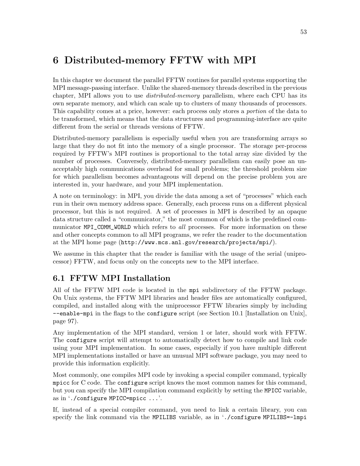# 6 Distributed-memory FFTW with MPI

In this chapter we document the parallel FFTW routines for parallel systems supporting the MPI message-passing interface. Unlike the shared-memory threads described in the previous chapter, MPI allows you to use distributed-memory parallelism, where each CPU has its own separate memory, and which can scale up to clusters of many thousands of processors. This capability comes at a price, however: each process only stores a portion of the data to be transformed, which means that the data structures and programming-interface are quite different from the serial or threads versions of FFTW.

Distributed-memory parallelism is especially useful when you are transforming arrays so large that they do not fit into the memory of a single processor. The storage per-process required by FFTW's MPI routines is proportional to the total array size divided by the number of processes. Conversely, distributed-memory parallelism can easily pose an unacceptably high communications overhead for small problems; the threshold problem size for which parallelism becomes advantageous will depend on the precise problem you are interested in, your hardware, and your MPI implementation.

A note on terminology: in MPI, you divide the data among a set of "processes" which each run in their own memory address space. Generally, each process runs on a different physical processor, but this is not required. A set of processes in MPI is described by an opaque data structure called a "communicator," the most common of which is the predefined communicator MPI\_COMM\_WORLD which refers to all processes. For more information on these and other concepts common to all MPI programs, we refer the reader to the documentation at the MPI home page (<http://www.mcs.anl.gov/research/projects/mpi/>).

We assume in this chapter that the reader is familiar with the usage of the serial (uniprocessor) FFTW, and focus only on the concepts new to the MPI interface.

## 6.1 FFTW MPI Installation

All of the FFTW MPI code is located in the mpi subdirectory of the FFTW package. On Unix systems, the FFTW MPI libraries and header files are automatically configured, compiled, and installed along with the uniprocessor FFTW libraries simply by including --enable-mpi in the flags to the configure script (see [Section 10.1 \[Installation on Unix\],](#page-102-0) [page 97](#page-102-0)).

Any implementation of the MPI standard, version 1 or later, should work with FFTW. The configure script will attempt to automatically detect how to compile and link code using your MPI implementation. In some cases, especially if you have multiple different MPI implementations installed or have an unusual MPI software package, you may need to provide this information explicitly.

Most commonly, one compiles MPI code by invoking a special compiler command, typically mpicc for C code. The configure script knows the most common names for this command, but you can specify the MPI compilation command explicitly by setting the MPICC variable, as in './configure MPICC=mpicc ...'.

If, instead of a special compiler command, you need to link a certain library, you can specify the link command via the MPILIBS variable, as in './configure MPILIBS=-lmpi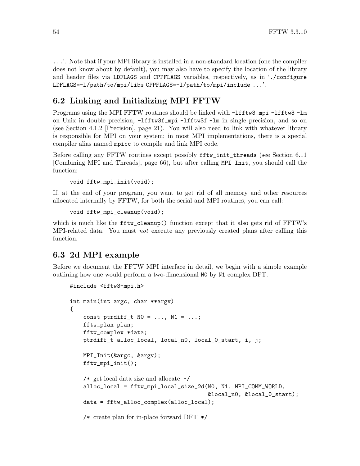...'. Note that if your MPI library is installed in a non-standard location (one the compiler does not know about by default), you may also have to specify the location of the library and header files via LDFLAGS and CPPFLAGS variables, respectively, as in './configure LDFLAGS=-L/path/to/mpi/libs CPPFLAGS=-I/path/to/mpi/include ...'.

## 6.2 Linking and Initializing MPI FFTW

Programs using the MPI FFTW routines should be linked with -lfftw3\_mpi -lfftw3 -lm on Unix in double precision, -lfftw3f\_mpi -lfftw3f -lm in single precision, and so on (see [Section 4.1.2 \[Precision\], page 21\)](#page-26-1). You will also need to link with whatever library is responsible for MPI on your system; in most MPI implementations, there is a special compiler alias named mpicc to compile and link MPI code.

Before calling any FFTW routines except possibly fftw\_init\_threads (see [Section 6.11](#page-71-0) [\[Combining MPI and Threads\], page 66\)](#page-71-0), but after calling MPI\_Init, you should call the function:

```
void fftw_mpi_init(void);
```
If, at the end of your program, you want to get rid of all memory and other resources allocated internally by FFTW, for both the serial and MPI routines, you can call:

```
void fftw_mpi_cleanup(void);
```
which is much like the fftw\_cleanup() function except that it also gets rid of FFTW's MPI-related data. You must not execute any previously created plans after calling this function.

## <span id="page-59-0"></span>6.3 2d MPI example

Before we document the FFTW MPI interface in detail, we begin with a simple example outlining how one would perform a two-dimensional N0 by N1 complex DFT.

```
#include <fftw3-mpi.h>
int main(int argc, char **argv)
{
    const ptrdiff_t NO = ..., N1 = ...;
    fftw_plan plan;
    fftw_complex *data;
    ptrdiff_t alloc_local, local_n0, local_0_start, i, j;
    MPI_Init(&argc, &argv);
    fftw_mpi_init();
    /* get local data size and allocate */
    alloc_local = fftw_mpi_local_size_2d(N0, N1, MPI_COMM_WORLD,
                                          &local_n0, &local_0_start);
    data = fftw_alloc_complex(alloc_local);
```
/\* create plan for in-place forward DFT \*/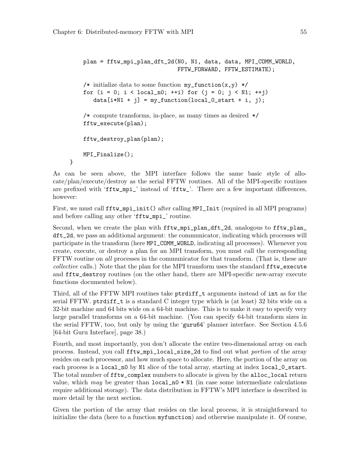}

```
plan = fftw_mpi_plan_dft_2d(N0, N1, data, data, MPI_COMM_WORLD,
                             FFTW_FORWARD, FFTW_ESTIMATE);
/* initialize data to some function my_function(x,y) */
for (i = 0; i < local_n0; ++i) for (j = 0; j < N1; ++i)data[i*N1 + j] = my_function(local_0.start + i, j);/* compute transforms, in-place, as many times as desired */
fftw_execute(plan);
fftw_destroy_plan(plan);
MPI_Finalize();
```
As can be seen above, the MPI interface follows the same basic style of allocate/plan/execute/destroy as the serial FFTW routines. All of the MPI-specific routines are prefixed with 'fftw\_mpi\_' instead of 'fftw\_'. There are a few important differences, however:

First, we must call  $fftw_mpi_{\text{init}}$  after calling MPI\_Init (required in all MPI programs) and before calling any other 'fftw\_mpi\_' routine.

Second, when we create the plan with fftw\_mpi\_plan\_dft\_2d, analogous to fftw\_plan\_ dft\_2d, we pass an additional argument: the communicator, indicating which processes will participate in the transform (here MPI\_COMM\_WORLD, indicating all processes). Whenever you create, execute, or destroy a plan for an MPI transform, you must call the corresponding FFTW routine on all processes in the communicator for that transform. (That is, these are collective calls.) Note that the plan for the MPI transform uses the standard fftw\_execute and fftw\_destroy routines (on the other hand, there are MPI-specific new-array execute functions documented below).

Third, all of the FFTW MPI routines take ptrdiff\_t arguments instead of int as for the serial FFTW. ptrdiff\_t is a standard C integer type which is (at least) 32 bits wide on a 32-bit machine and 64 bits wide on a 64-bit machine. This is to make it easy to specify very large parallel transforms on a 64-bit machine. (You can specify 64-bit transform sizes in the serial FFTW, too, but only by using the 'guru64' planner interface. See [Section 4.5.6](#page-43-1) [\[64-bit Guru Interface\], page 38.](#page-43-1))

Fourth, and most importantly, you don't allocate the entire two-dimensional array on each process. Instead, you call fftw\_mpi\_local\_size\_2d to find out what portion of the array resides on each processor, and how much space to allocate. Here, the portion of the array on each process is a local\_n0 by N1 slice of the total array, starting at index local\_0\_start. The total number of fftw\_complex numbers to allocate is given by the alloc\_local return value, which may be greater than  $local_n0 * N1$  (in case some intermediate calculations require additional storage). The data distribution in FFTW's MPI interface is described in more detail by the next section.

Given the portion of the array that resides on the local process, it is straightforward to initialize the data (here to a function myfunction) and otherwise manipulate it. Of course,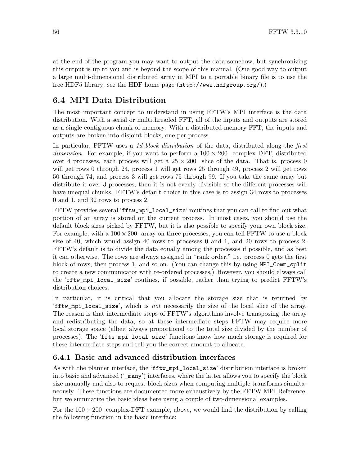at the end of the program you may want to output the data somehow, but synchronizing this output is up to you and is beyond the scope of this manual. (One good way to output a large multi-dimensional distributed array in MPI to a portable binary file is to use the free HDF5 library; see the HDF home page (<http://www.hdfgroup.org/>).)

## 6.4 MPI Data Distribution

The most important concept to understand in using FFTW's MPI interface is the data distribution. With a serial or multithreaded FFT, all of the inputs and outputs are stored as a single contiguous chunk of memory. With a distributed-memory FFT, the inputs and outputs are broken into disjoint blocks, one per process.

In particular, FFTW uses a 1d block distribution of the data, distributed along the first dimension. For example, if you want to perform a  $100 \times 200$  complex DFT, distributed over 4 processes, each process will get a  $25 \times 200$  slice of the data. That is, process 0 will get rows 0 through 24, process 1 will get rows 25 through 49, process 2 will get rows 50 through 74, and process 3 will get rows 75 through 99. If you take the same array but distribute it over 3 processes, then it is not evenly divisible so the different processes will have unequal chunks. FFTW's default choice in this case is to assign 34 rows to processes 0 and 1, and 32 rows to process 2.

FFTW provides several 'fftw\_mpi\_local\_size' routines that you can call to find out what portion of an array is stored on the current process. In most cases, you should use the default block sizes picked by FFTW, but it is also possible to specify your own block size. For example, with a  $100 \times 200$  array on three processes, you can tell FFTW to use a block size of 40, which would assign 40 rows to processes 0 and 1, and 20 rows to process 2. FFTW's default is to divide the data equally among the processes if possible, and as best it can otherwise. The rows are always assigned in "rank order," i.e. process 0 gets the first block of rows, then process 1, and so on. (You can change this by using MPI\_Comm\_split to create a new communicator with re-ordered processes.) However, you should always call the 'fftw\_mpi\_local\_size' routines, if possible, rather than trying to predict FFTW's distribution choices.

In particular, it is critical that you allocate the storage size that is returned by 'fftw\_mpi\_local\_size', which is not necessarily the size of the local slice of the array. The reason is that intermediate steps of FFTW's algorithms involve transposing the array and redistributing the data, so at these intermediate steps FFTW may require more local storage space (albeit always proportional to the total size divided by the number of processes). The 'fftw\_mpi\_local\_size' functions know how much storage is required for these intermediate steps and tell you the correct amount to allocate.

#### 6.4.1 Basic and advanced distribution interfaces

As with the planner interface, the 'fftw\_mpi\_local\_size' distribution interface is broken into basic and advanced ('\_many') interfaces, where the latter allows you to specify the block size manually and also to request block sizes when computing multiple transforms simultaneously. These functions are documented more exhaustively by the FFTW MPI Reference, but we summarize the basic ideas here using a couple of two-dimensional examples.

For the  $100 \times 200$  complex-DFT example, above, we would find the distribution by calling the following function in the basic interface: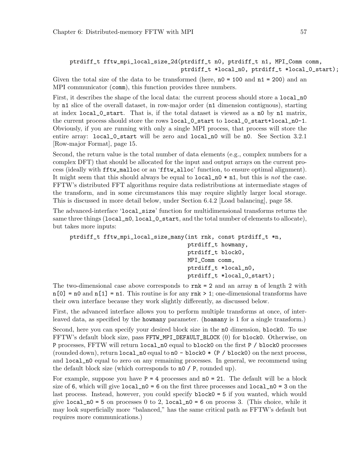```
ptrdiff_t fftw_mpi_local_size_2d(ptrdiff_t n0, ptrdiff_t n1, MPI_Comm comm,
                                 ptrdiff_t *local_n0, ptrdiff_t *local_0_start);
```
Given the total size of the data to be transformed (here,  $n0 = 100$  and  $n1 = 200$ ) and an MPI communicator (comm), this function provides three numbers.

First, it describes the shape of the local data: the current process should store a local no by n1 slice of the overall dataset, in row-major order (n1 dimension contiguous), starting at index local\_0\_start. That is, if the total dataset is viewed as a n0 by n1 matrix, the current process should store the rows local\_0\_start to local\_0\_start+local\_n0-1. Obviously, if you are running with only a single MPI process, that process will store the entire array: local\_0\_start will be zero and local\_n0 will be n0. See [Section 3.2.1](#page-20-0) [\[Row-major Format\], page 15](#page-20-0).

Second, the return value is the total number of data elements (e.g., complex numbers for a complex DFT) that should be allocated for the input and output arrays on the current process (ideally with fftw\_malloc or an 'fftw\_alloc' function, to ensure optimal alignment). It might seem that this should always be equal to  $local_n0 * n1$ , but this is not the case. FFTW's distributed FFT algorithms require data redistributions at intermediate stages of the transform, and in some circumstances this may require slightly larger local storage. This is discussed in more detail below, under [Section 6.4.2 \[Load balancing\], page 58.](#page-63-0)

The advanced-interface 'local\_size' function for multidimensional transforms returns the same three things (local\_n0, local\_0\_start, and the total number of elements to allocate), but takes more inputs:

```
ptrdiff_t fftw_mpi_local_size_many(int rnk, const ptrdiff_t *n,
                                   ptrdiff_t howmany,
                                   ptrdiff_t block0,
                                   MPI_Comm comm,
                                   ptrdiff_t *local_n0,
                                   ptrdiff_t *local_0_start);
```
The two-dimensional case above corresponds to  $\mathbf{r}$  in  $\mathbf{k}$  = 2 and an array n of length 2 with  $n[0] = n0$  and  $n[1] = n1$ . This routine is for any rnk > 1; one-dimensional transforms have their own interface because they work slightly differently, as discussed below.

First, the advanced interface allows you to perform multiple transforms at once, of interleaved data, as specified by the howmany parameter. (hoamany is 1 for a single transform.)

Second, here you can specify your desired block size in the n0 dimension, block0. To use FFTW's default block size, pass FFTW\_MPI\_DEFAULT\_BLOCK (0) for block0. Otherwise, on P processes, FFTW will return local\_n0 equal to block0 on the first P / block0 processes (rounded down), return  $local_n0$  equal to  $n0 - block0 * (P / block0)$  on the next process, and local\_n0 equal to zero on any remaining processes. In general, we recommend using the default block size (which corresponds to n0 / P, rounded up).

For example, suppose you have  $P = 4$  processes and  $n0 = 21$ . The default will be a block size of 6, which will give  $local_n = 6$  on the first three processes and  $local_n = 3$  on the last process. Instead, however, you could specify block0 = 5 if you wanted, which would give local  $n0 = 5$  on processes 0 to 2, local  $n0 = 6$  on process 3. (This choice, while it may look superficially more "balanced," has the same critical path as FFTW's default but requires more communications.)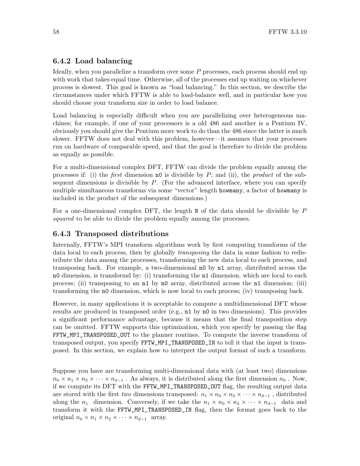#### <span id="page-63-0"></span>6.4.2 Load balancing

Ideally, when you parallelize a transform over some P processes, each process should end up with work that takes equal time. Otherwise, all of the processes end up waiting on whichever process is slowest. This goal is known as "load balancing." In this section, we describe the circumstances under which FFTW is able to load-balance well, and in particular how you should choose your transform size in order to load balance.

Load balancing is especially difficult when you are parallelizing over heterogeneous machines; for example, if one of your processors is a old 486 and another is a Pentium IV, obviously you should give the Pentium more work to do than the 486 since the latter is much slower. FFTW does not deal with this problem, however—it assumes that your processes run on hardware of comparable speed, and that the goal is therefore to divide the problem as equally as possible.

For a multi-dimensional complex DFT, FFTW can divide the problem equally among the processes if: (i) the *first* dimension no is divisible by  $P$ ; and (ii), the *product* of the subsequent dimensions is divisible by  $P$ . (For the advanced interface, where you can specify multiple simultaneous transforms via some "vector" length howmany, a factor of howmany is included in the product of the subsequent dimensions.)

For a one-dimensional complex DFT, the length  $N$  of the data should be divisible by  $P$ squared to be able to divide the problem equally among the processes.

#### <span id="page-63-1"></span>6.4.3 Transposed distributions

Internally, FFTW's MPI transform algorithms work by first computing transforms of the data local to each process, then by globally transposing the data in some fashion to redistribute the data among the processes, transforming the new data local to each process, and transposing back. For example, a two-dimensional n0 by n1 array, distributed across the n0 dimension, is transformd by: (i) transforming the n1 dimension, which are local to each process; (ii) transposing to an n1 by n0 array, distributed across the n1 dimension; (iii) transforming the n0 dimension, which is now local to each process; (iv) transposing back.

However, in many applications it is acceptable to compute a multidimensional DFT whose results are produced in transposed order (e.g., n1 by n0 in two dimensions). This provides a significant performance advantage, because it means that the final transposition step can be omitted. FFTW supports this optimization, which you specify by passing the flag FFTW\_MPI\_TRANSPOSED\_OUT to the planner routines. To compute the inverse transform of transposed output, you specify FFTW\_MPI\_TRANSPOSED\_IN to tell it that the input is transposed. In this section, we explain how to interpret the output format of such a transform.

Suppose you have are transforming multi-dimensional data with (at least two) dimensions  $n_0 \times n_1 \times n_2 \times \cdots \times n_{d-1}$ . As always, it is distributed along the first dimension  $n_0$ . Now, if we compute its DFT with the FFTW\_MPI\_TRANSPOSED\_OUT flag, the resulting output data are stored with the first *two* dimensions transposed:  $n_1 \times n_0 \times n_2 \times \cdots \times n_{d-1}$ , distributed along the  $n_1$  dimension. Conversely, if we take the  $n_1 \times n_0 \times n_2 \times \cdots \times n_{d-1}$  data and transform it with the FFTW\_MPI\_TRANSPOSED\_IN flag, then the format goes back to the original  $n_0 \times n_1 \times n_2 \times \cdots \times n_{d-1}$  array.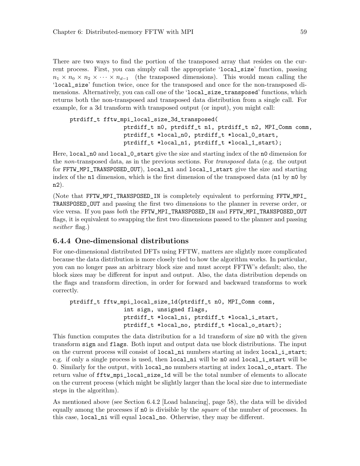There are two ways to find the portion of the transposed array that resides on the current process. First, you can simply call the appropriate 'local\_size' function, passing  $n_1 \times n_0 \times n_2 \times \cdots \times n_{d-1}$  (the transposed dimensions). This would mean calling the 'local\_size' function twice, once for the transposed and once for the non-transposed dimensions. Alternatively, you can call one of the 'local\_size\_transposed' functions, which returns both the non-transposed and transposed data distribution from a single call. For example, for a 3d transform with transposed output (or input), you might call:

```
ptrdiff_t fftw_mpi_local_size_3d_transposed(
                ptrdiff_t n0, ptrdiff_t n1, ptrdiff_t n2, MPI_Comm comm,
                ptrdiff_t *local_n0, ptrdiff_t *local_0_start,
                ptrdiff_t *local_n1, ptrdiff_t *local_1_start);
```
Here, local\_n0 and local\_0\_start give the size and starting index of the n0 dimension for the non-transposed data, as in the previous sections. For transposed data (e.g. the output for FFTW\_MPI\_TRANSPOSED\_OUT), local\_n1 and local\_1\_start give the size and starting index of the n1 dimension, which is the first dimension of the transposed data (n1 by n0 by n2).

(Note that FFTW\_MPI\_TRANSPOSED\_IN is completely equivalent to performing FFTW\_MPI\_ TRANSPOSED\_OUT and passing the first two dimensions to the planner in reverse order, or vice versa. If you pass both the FFTW\_MPI\_TRANSPOSED\_IN and FFTW\_MPI\_TRANSPOSED\_OUT flags, it is equivalent to swapping the first two dimensions passed to the planner and passing neither flag.)

#### 6.4.4 One-dimensional distributions

For one-dimensional distributed DFTs using FFTW, matters are slightly more complicated because the data distribution is more closely tied to how the algorithm works. In particular, you can no longer pass an arbitrary block size and must accept FFTW's default; also, the block sizes may be different for input and output. Also, the data distribution depends on the flags and transform direction, in order for forward and backward transforms to work correctly.

```
ptrdiff_t fftw_mpi_local_size_1d(ptrdiff_t n0, MPI_Comm comm,
                int sign, unsigned flags,
                ptrdiff_t *local_ni, ptrdiff_t *local_i_start,
                ptrdiff_t *local_no, ptrdiff_t *local_o_start);
```
This function computes the data distribution for a 1d transform of size n0 with the given transform sign and flags. Both input and output data use block distributions. The input on the current process will consist of local\_ni numbers starting at index local\_i\_start; e.g. if only a single process is used, then local\_ni will be n0 and local\_i\_start will be 0. Similarly for the output, with local\_no numbers starting at index local\_o\_start. The return value of fftw\_mpi\_local\_size\_1d will be the total number of elements to allocate on the current process (which might be slightly larger than the local size due to intermediate steps in the algorithm).

As mentioned above (see [Section 6.4.2 \[Load balancing\], page 58\)](#page-63-0), the data will be divided equally among the processes if n0 is divisible by the square of the number of processes. In this case, local\_ni will equal local\_no. Otherwise, they may be different.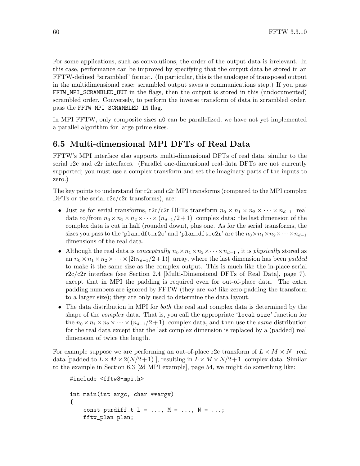For some applications, such as convolutions, the order of the output data is irrelevant. In this case, performance can be improved by specifying that the output data be stored in an FFTW-defined "scrambled" format. (In particular, this is the analogue of transposed output in the multidimensional case: scrambled output saves a communications step.) If you pass FFTW\_MPI\_SCRAMBLED\_OUT in the flags, then the output is stored in this (undocumented) scrambled order. Conversely, to perform the inverse transform of data in scrambled order, pass the FFTW\_MPI\_SCRAMBLED\_IN flag.

In MPI FFTW, only composite sizes n0 can be parallelized; we have not yet implemented a parallel algorithm for large prime sizes.

### 6.5 Multi-dimensional MPI DFTs of Real Data

FFTW's MPI interface also supports multi-dimensional DFTs of real data, similar to the serial r2c and c2r interfaces. (Parallel one-dimensional real-data DFTs are not currently supported; you must use a complex transform and set the imaginary parts of the inputs to zero.)

The key points to understand for r2c and c2r MPI transforms (compared to the MPI complex DFTs or the serial  $r2c/c2r$  transforms), are:

- Just as for serial transforms, r2c/c2r DFTs transform  $n_0 \times n_1 \times n_2 \times \cdots \times n_{d-1}$  real data to/from  $n_0 \times n_1 \times n_2 \times \cdots \times (n_{d-1}/2+1)$  complex data: the last dimension of the complex data is cut in half (rounded down), plus one. As for the serial transforms, the sizes you pass to the 'plan\_dft\_r2c' and 'plan\_dft\_c2r' are the  $n_0 \times n_1 \times n_2 \times \cdots \times n_{d-1}$ dimensions of the real data.
- Although the real data is *conceptually*  $n_0 \times n_1 \times n_2 \times \cdots \times n_{d-1}$ , it is *physically* stored as an  $n_0 \times n_1 \times n_2 \times \cdots \times [2(n_{d-1}/2+1)]$  array, where the last dimension has been *padded* to make it the same size as the complex output. This is much like the in-place serial  $r2c/c2r$  interface (see [Section 2.4 \[Multi-Dimensional DFTs of Real Data\], page 7\)](#page-12-0), except that in MPI the padding is required even for out-of-place data. The extra padding numbers are ignored by FFTW (they are not like zero-padding the transform to a larger size); they are only used to determine the data layout.
- The data distribution in MPI for *both* the real and complex data is determined by the shape of the *complex* data. That is, you call the appropriate 'local size' function for the  $n_0 \times n_1 \times n_2 \times \cdots \times (n_{d-1}/2+1)$  complex data, and then use the same distribution for the real data except that the last complex dimension is replaced by a (padded) real dimension of twice the length.

For example suppose we are performing an out-of-place r2c transform of  $L \times M \times N$  real data [padded to  $L \times M \times 2(N/2+1)$ ], resulting in  $L \times M \times N/2+1$  complex data. Similar to the example in [Section 6.3 \[2d MPI example\], page 54,](#page-59-0) we might do something like:

```
#include <fftw3-mpi.h>
int main(int argc, char **argv)
{
    const ptrdiff_t L = \ldots, M = \ldots, N = \ldots;
    fftw_plan plan;
```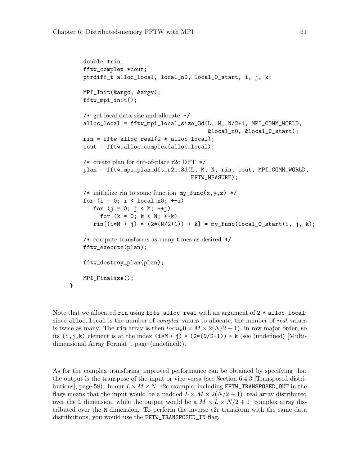}

```
double *rin;
fftw_complex *cout;
ptrdiff_t alloc_local, local_n0, local_0_start, i, j, k;
MPI_Init(&argc, &argv);
fftw_mpi_init();
/* get local data size and allocate */
alloc_local = fftw_mpi_local_size_3d(L, M, N/2+1, MPI_COMM_WORLD,
                                       &local_n0, &local_0_start);
rin = fftw_alloc\_real(2 * alloc\_local);cout = fftw_alloc_complex(alloc_local);
/* create plan for out-of-place r2c DFT */
plan = fftw_mpi_plan_dft_r2c_3d(L, M, N, rin, cout, MPI_COMM_WORLD,
                                 FFTW_MEASURE);
/* initialize rin to some function my\_func(x,y,z) */
for (i = 0; i < local_n0; ++i)for (j = 0; j < M; ++j)for (k = 0; k < N; ++k)rin[(i*M + j) * (2*(N/2+1)) + k] = my_function[local_0_start+i, j, k);/* compute transforms as many times as desired */
fftw_execute(plan);
fftw_destroy_plan(plan);
MPI_Finalize();
```
Note that we allocated rin using  $\texttt{fftw}\text{-}\texttt{alloc}\text{-}\texttt{real}$  with an argument of  $2 * \texttt{alloc}\text{-}\texttt{local}:$ since alloc\_local is the number of *complex* values to allocate, the number of real values is twice as many. The rin array is then  $local_n0 \times M \times 2(N/2+1)$  in row-major order, so its  $(i,j,k)$  element is at the index  $(i*M + j) * (2*(N/2+1)) + k$  (see  $\langle$ [undefined](#page-0-0)) [Multidimensional Array Format  $\vert$ , page  $\langle$ undefined $\rangle$ ).

As for the complex transforms, improved performance can be obtained by specifying that the output is the transpose of the input or vice versa (see [Section 6.4.3 \[Transposed distri](#page-63-1)[butions\], page 58](#page-63-1)). In our  $L \times M \times N$  r2c example, including FFTW\_TRANSPOSED\_OUT in the flags means that the input would be a padded  $L \times M \times 2(N/2 + 1)$  real array distributed over the L dimension, while the output would be a  $M \times L \times N/2 + 1$  complex array distributed over the M dimension. To perform the inverse c2r transform with the same data distributions, you would use the FFTW\_TRANSPOSED\_IN flag.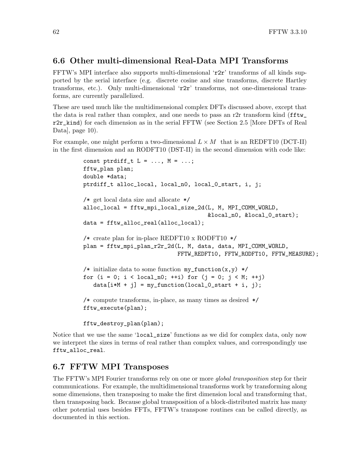### 6.6 Other multi-dimensional Real-Data MPI Transforms

FFTW's MPI interface also supports multi-dimensional 'r2r' transforms of all kinds supported by the serial interface (e.g. discrete cosine and sine transforms, discrete Hartley transforms, etc.). Only multi-dimensional 'r2r' transforms, not one-dimensional transforms, are currently parallelized.

These are used much like the multidimensional complex DFTs discussed above, except that the data is real rather than complex, and one needs to pass an r2r transform kind (fftw\_ r2r\_kind) for each dimension as in the serial FFTW (see [Section 2.5 \[More DFTs of Real](#page-15-0) Data, page 10).

For example, one might perform a two-dimensional  $L \times M$  that is an REDFT10 (DCT-II) in the first dimension and an RODFT10 (DST-II) in the second dimension with code like:

```
const ptrdiff_t L = \ldots, M = \ldots;
fftw_plan plan;
double *data;
ptrdiff_t alloc_local, local_n0, local_0_start, i, j;
/* get local data size and allocate */
alloc_local = fftw_mpi_local_size_2d(L, M, MPI_COMM_WORLD,
                                       &local_n0, &local_0_start);
data = fftw_alloc_real(alloc_local);
/* create plan for in-place REDFT10 x RODFT10 */
plan = fftw_mpi_plan_r2r_2d(L, M, data, data, MPI_COMM_WORLD,
                             FFTW_REDFT10, FFTW_RODFT10, FFTW_MEASURE);
/* initialize data to some function my_function(x,y) */
for (i = 0; i < local_n0; ++i) for (j = 0; j < M; ++j)data[i*M + j] = my_function(local_0.start + i, j);/* compute transforms, in-place, as many times as desired */
fftw_execute(plan);
fftw_destroy_plan(plan);
```
Notice that we use the same 'local\_size' functions as we did for complex data, only now we interpret the sizes in terms of real rather than complex values, and correspondingly use fftw\_alloc\_real.

## 6.7 FFTW MPI Transposes

The FFTW's MPI Fourier transforms rely on one or more *global transposition* step for their communications. For example, the multidimensional transforms work by transforming along some dimensions, then transposing to make the first dimension local and transforming that, then transposing back. Because global transposition of a block-distributed matrix has many other potential uses besides FFTs, FFTW's transpose routines can be called directly, as documented in this section.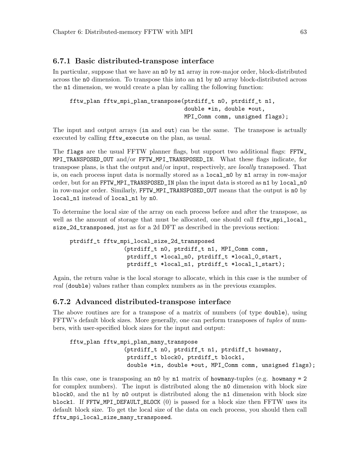#### 6.7.1 Basic distributed-transpose interface

In particular, suppose that we have an n0 by n1 array in row-major order, block-distributed across the n0 dimension. To transpose this into an n1 by n0 array block-distributed across the n1 dimension, we would create a plan by calling the following function:

```
fftw_plan fftw_mpi_plan_transpose(ptrdiff_t n0, ptrdiff_t n1,
                                  double *in, double *out,
                                  MPI_Comm comm, unsigned flags);
```
The input and output arrays (in and out) can be the same. The transpose is actually executed by calling fftw\_execute on the plan, as usual.

The flags are the usual FFTW planner flags, but support two additional flags: FFTW\_ MPI\_TRANSPOSED\_OUT and/or FFTW\_MPI\_TRANSPOSED\_IN. What these flags indicate, for transpose plans, is that the output and/or input, respectively, are locally transposed. That is, on each process input data is normally stored as a local\_n0 by n1 array in row-major order, but for an FFTW\_MPI\_TRANSPOSED\_IN plan the input data is stored as n1 by local\_n0 in row-major order. Similarly, FFTW\_MPI\_TRANSPOSED\_OUT means that the output is n0 by local\_n1 instead of local\_n1 by n0.

To determine the local size of the array on each process before and after the transpose, as well as the amount of storage that must be allocated, one should call  $fitw_{\text{mpi\_local}}$ size\_2d\_transposed, just as for a 2d DFT as described in the previous section:

```
ptrdiff_t fftw_mpi_local_size_2d_transposed
                (ptrdiff_t n0, ptrdiff_t n1, MPI_Comm comm,
                 ptrdiff_t *local_n0, ptrdiff_t *local_0_start,
                 ptrdiff_t *local_n1, ptrdiff_t *local_1_start);
```
Again, the return value is the local storage to allocate, which in this case is the number of real (double) values rather than complex numbers as in the previous examples.

#### 6.7.2 Advanced distributed-transpose interface

The above routines are for a transpose of a matrix of numbers (of type double), using FFTW's default block sizes. More generally, one can perform transposes of *tuples* of numbers, with user-specified block sizes for the input and output:

```
fftw_plan fftw_mpi_plan_many_transpose
                (ptrdiff_t n0, ptrdiff_t n1, ptrdiff_t howmany,
                 ptrdiff_t block0, ptrdiff_t block1,
                 double *in, double *out, MPI_Comm comm, unsigned flags);
```
In this case, one is transposing an  $n0$  by  $n1$  matrix of howmany-tuples (e.g. howmany = 2) for complex numbers). The input is distributed along the n0 dimension with block size block0, and the n1 by n0 output is distributed along the n1 dimension with block size block1. If FFTW\_MPI\_DEFAULT\_BLOCK (0) is passed for a block size then FFTW uses its default block size. To get the local size of the data on each process, you should then call fftw\_mpi\_local\_size\_many\_transposed.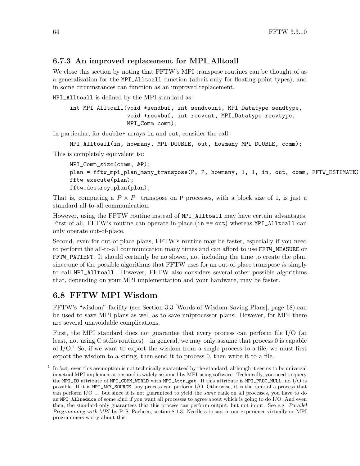### 6.7.3 An improved replacement for MPI Alltoall

We close this section by noting that FFTW's MPI transpose routines can be thought of as a generalization for the MPI\_Alltoall function (albeit only for floating-point types), and in some circumstances can function as an improved replacement.

MPI\_Alltoall is defined by the MPI standard as:

```
int MPI_Alltoall(void *sendbuf, int sendcount, MPI_Datatype sendtype,
                 void *recvbuf, int recvcnt, MPI_Datatype recvtype,
                MPI_Comm comm);
```
In particular, for double\* arrays in and out, consider the call:

```
MPI_Alltoall(in, howmany, MPI_DOUBLE, out, howmany MPI_DOUBLE, comm);
```
This is completely equivalent to:

```
MPI_Comm_size(comm, &P);
plan = fftw_mpi_plan_many_transpose(P, P, howmany, 1, 1, in, out, comm, FFTW_ESTIMATE)
fftw_execute(plan);
fftw_destroy_plan(plan);
```
That is, computing a  $P \times P$  transpose on P processes, with a block size of 1, is just a standard all-to-all communication.

However, using the FFTW routine instead of MPI\_Alltoall may have certain advantages. First of all, FFTW's routine can operate in-place (in == out) whereas MPI\_Alltoall can only operate out-of-place.

Second, even for out-of-place plans, FFTW's routine may be faster, especially if you need to perform the all-to-all communication many times and can afford to use FFTW\_MEASURE or FFTW\_PATIENT. It should certainly be no slower, not including the time to create the plan, since one of the possible algorithms that FFTW uses for an out-of-place transpose is simply to call MPI\_Alltoall. However, FFTW also considers several other possible algorithms that, depending on your MPI implementation and your hardware, may be faster.

## 6.8 FFTW MPI Wisdom

FFTW's "wisdom" facility (see [Section 3.3 \[Words of Wisdom-Saving Plans\], page 18\)](#page-23-0) can be used to save MPI plans as well as to save uniprocessor plans. However, for MPI there are several unavoidable complications.

First, the MPI standard does not guarantee that every process can perform file I/O (at least, not using C stdio routines)—in general, we may only assume that process 0 is capable of  $I/O<sup>1</sup>$ . So, if we want to export the wisdom from a single process to a file, we must first export the wisdom to a string, then send it to process 0, then write it to a file.

<sup>1</sup> In fact, even this assumption is not technically guaranteed by the standard, although it seems to be universal in actual MPI implementations and is widely assumed by MPI-using software. Technically, you need to query the MPI\_IO attribute of MPI\_COMM\_WORLD with MPI\_Attr\_get. If this attribute is MPI\_PROC\_NULL, no I/O is possible. If it is MPI\_ANY\_SOURCE, any process can perform I/O. Otherwise, it is the rank of a process that can perform I/O ... but since it is not guaranteed to yield the same rank on all processes, you have to do an MPI\_Allreduce of some kind if you want all processes to agree about which is going to do I/O. And even then, the standard only guarantees that this process can perform output, but not input. See e.g. Parallel Programming with MPI by P. S. Pacheco, section 8.1.3. Needless to say, in our experience virtually no MPI programmers worry about this.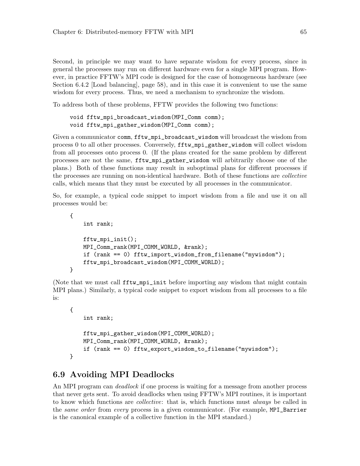Second, in principle we may want to have separate wisdom for every process, since in general the processes may run on different hardware even for a single MPI program. However, in practice FFTW's MPI code is designed for the case of homogeneous hardware (see [Section 6.4.2 \[Load balancing\], page 58](#page-63-0)), and in this case it is convenient to use the same wisdom for every process. Thus, we need a mechanism to synchronize the wisdom.

To address both of these problems, FFTW provides the following two functions:

```
void fftw_mpi_broadcast_wisdom(MPI_Comm comm);
void fftw_mpi_gather_wisdom(MPI_Comm comm);
```
Given a communicator comm, fftw\_mpi\_broadcast\_wisdom will broadcast the wisdom from process 0 to all other processes. Conversely, fftw\_mpi\_gather\_wisdom will collect wisdom from all processes onto process 0. (If the plans created for the same problem by different processes are not the same, fftw\_mpi\_gather\_wisdom will arbitrarily choose one of the plans.) Both of these functions may result in suboptimal plans for different processes if the processes are running on non-identical hardware. Both of these functions are collective calls, which means that they must be executed by all processes in the communicator.

So, for example, a typical code snippet to import wisdom from a file and use it on all processes would be:

```
{
    int rank;
    fftw_mpi_init();
   MPI_Comm_rank(MPI_COMM_WORLD, &rank);
    if (rank == 0) fftw_import_wisdom_from_filename("mywisdom");
   fftw_mpi_broadcast_wisdom(MPI_COMM_WORLD);
}
```
(Note that we must call fftw\_mpi\_init before importing any wisdom that might contain MPI plans.) Similarly, a typical code snippet to export wisdom from all processes to a file is:

```
{
    int rank;
    fftw_mpi_gather_wisdom(MPI_COMM_WORLD);
    MPI_Comm_rank(MPI_COMM_WORLD, &rank);
    if (rank == 0) fftw_export_wisdom_to_filename("mywisdom");
}
```
## 6.9 Avoiding MPI Deadlocks

An MPI program can *deadlock* if one process is waiting for a message from another process that never gets sent. To avoid deadlocks when using FFTW's MPI routines, it is important to know which functions are collective: that is, which functions must always be called in the *same order* from *every* process in a given communicator. (For example, MPI\_Barrier is the canonical example of a collective function in the MPI standard.)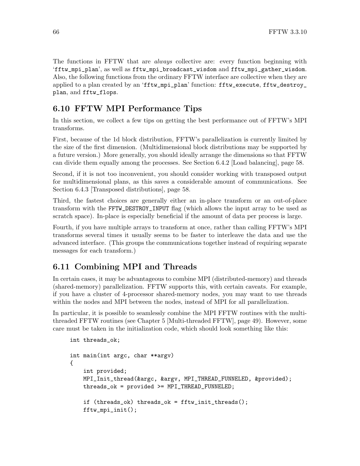The functions in FFTW that are always collective are: every function beginning with 'fftw\_mpi\_plan', as well as fftw\_mpi\_broadcast\_wisdom and fftw\_mpi\_gather\_wisdom. Also, the following functions from the ordinary FFTW interface are collective when they are applied to a plan created by an 'fftw\_mpi\_plan' function: fftw\_execute, fftw\_destroy\_ plan, and fftw\_flops.

## 6.10 FFTW MPI Performance Tips

In this section, we collect a few tips on getting the best performance out of FFTW's MPI transforms.

First, because of the 1d block distribution, FFTW's parallelization is currently limited by the size of the first dimension. (Multidimensional block distributions may be supported by a future version.) More generally, you should ideally arrange the dimensions so that FFTW can divide them equally among the processes. See [Section 6.4.2 \[Load balancing\], page 58](#page-63-0).

Second, if it is not too inconvenient, you should consider working with transposed output for multidimensional plans, as this saves a considerable amount of communications. See [Section 6.4.3 \[Transposed distributions\], page 58](#page-63-1).

Third, the fastest choices are generally either an in-place transform or an out-of-place transform with the FFTW\_DESTROY\_INPUT flag (which allows the input array to be used as scratch space). In-place is especially beneficial if the amount of data per process is large.

Fourth, if you have multiple arrays to transform at once, rather than calling FFTW's MPI transforms several times it usually seems to be faster to interleave the data and use the advanced interface. (This groups the communications together instead of requiring separate messages for each transform.)

## <span id="page-71-0"></span>6.11 Combining MPI and Threads

In certain cases, it may be advantageous to combine MPI (distributed-memory) and threads (shared-memory) parallelization. FFTW supports this, with certain caveats. For example, if you have a cluster of 4-processor shared-memory nodes, you may want to use threads within the nodes and MPI between the nodes, instead of MPI for all parallelization.

In particular, it is possible to seamlessly combine the MPI FFTW routines with the multithreaded FFTW routines (see [Chapter 5 \[Multi-threaded FFTW\], page 49\)](#page-54-0). However, some care must be taken in the initialization code, which should look something like this:

```
int threads_ok;
int main(int argc, char **argv)
{
    int provided;
    MPI_Init_thread(&argc, &argv, MPI_THREAD_FUNNELED, &provided);
   threads_ok = provided >= MPI_THREAD_FUNNELED;
    if (threads_ok) threads_ok = fftw_init_threads();
    fftw_mpi_init();
```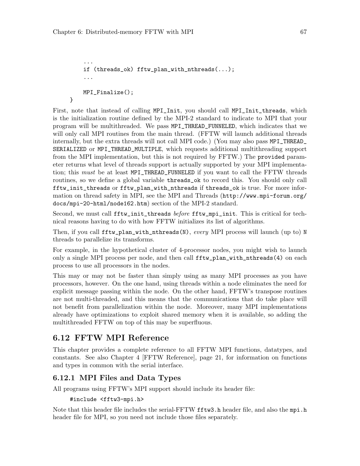}

```
...
if (threads_ok) fftw_plan_with_nthreads(...);
...
MPI_Finalize();
```
First, note that instead of calling MPI\_Init, you should call MPI\_Init\_threads, which is the initialization routine defined by the MPI-2 standard to indicate to MPI that your program will be multithreaded. We pass MPI\_THREAD\_FUNNELED, which indicates that we will only call MPI routines from the main thread. (FFTW will launch additional threads internally, but the extra threads will not call MPI code.) (You may also pass MPI\_THREAD\_ SERIALIZED or MPI\_THREAD\_MULTIPLE, which requests additional multithreading support from the MPI implementation, but this is not required by FFTW.) The provided parameter returns what level of threads support is actually supported by your MPI implementation; this *must* be at least MPI\_THREAD\_FUNNELED if you want to call the FFTW threads routines, so we define a global variable threads\_ok to record this. You should only call fftw\_init\_threads or fftw\_plan\_with\_nthreads if threads\_ok is true. For more information on thread safety in MPI, see the MPI and Threads ([http://www.mpi-forum.org/](http://www.mpi-forum.org/docs/mpi-20-html/node162.htm) [docs/mpi-20-html/node162.htm](http://www.mpi-forum.org/docs/mpi-20-html/node162.htm)) section of the MPI-2 standard.

Second, we must call fftw\_init\_threads *before* fftw\_mpi\_init. This is critical for technical reasons having to do with how FFTW initializes its list of algorithms.

Then, if you call  $\texttt{fftw-plan\_with\_nthreads(N)}$ , every MPI process will launch (up to) N threads to parallelize its transforms.

For example, in the hypothetical cluster of 4-processor nodes, you might wish to launch only a single MPI process per node, and then call fftw\_plan\_with\_nthreads(4) on each process to use all processors in the nodes.

This may or may not be faster than simply using as many MPI processes as you have processors, however. On the one hand, using threads within a node eliminates the need for explicit message passing within the node. On the other hand, FFTW's transpose routines are not multi-threaded, and this means that the communications that do take place will not benefit from parallelization within the node. Moreover, many MPI implementations already have optimizations to exploit shared memory when it is available, so adding the multithreaded FFTW on top of this may be superfluous.

### 6.12 FFTW MPI Reference

This chapter provides a complete reference to all FFTW MPI functions, datatypes, and constants. See also [Chapter 4 \[FFTW Reference\], page 21,](#page-26-0) for information on functions and types in common with the serial interface.

### 6.12.1 MPI Files and Data Types

All programs using FFTW's MPI support should include its header file:

```
#include <fftw3-mpi.h>
```
Note that this header file includes the serial-FFTW **fftw3**.h header file, and also the mpi.h header file for MPI, so you need not include those files separately.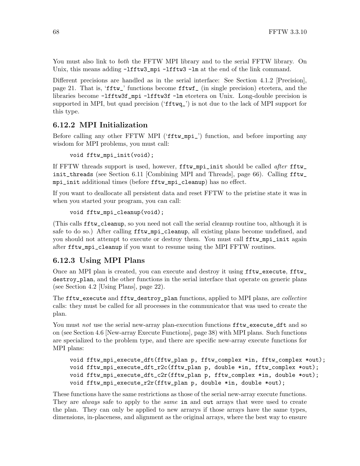You must also link to *both* the FFTW MPI library and to the serial FFTW library. On Unix, this means adding  $-Ifftw3_ppi -1fftw3 -lm$  at the end of the link command.

Different precisions are handled as in the serial interface: See [Section 4.1.2 \[Precision\],](#page-26-1) [page 21.](#page-26-1) That is, 'fftw\_' functions become fftwf\_ (in single precision) etcetera, and the libraries become -lfftw3f\_mpi -lfftw3f -lm etcetera on Unix. Long-double precision is supported in MPI, but quad precision ('fftwq\_') is not due to the lack of MPI support for this type.

### 6.12.2 MPI Initialization

Before calling any other FFTW MPI ('fftw\_mpi\_') function, and before importing any wisdom for MPI problems, you must call:

void fftw\_mpi\_init(void);

If FFTW threads support is used, however, fftw\_mpi\_init should be called after fftw\_ init\_threads (see [Section 6.11 \[Combining MPI and Threads\], page 66](#page-71-0)). Calling fftw\_ mpi\_init additional times (before fftw\_mpi\_cleanup) has no effect.

If you want to deallocate all persistent data and reset FFTW to the pristine state it was in when you started your program, you can call:

```
void fftw_mpi_cleanup(void);
```
(This calls fftw\_cleanup, so you need not call the serial cleanup routine too, although it is safe to do so.) After calling  $fftw_mpi$ -cleanup, all existing plans become undefined, and you should not attempt to execute or destroy them. You must call fftw\_mpi\_init again after fftw\_mpi\_cleanup if you want to resume using the MPI FFTW routines.

#### <span id="page-73-0"></span>6.12.3 Using MPI Plans

Once an MPI plan is created, you can execute and destroy it using fftw\_execute, fftw\_ destroy\_plan, and the other functions in the serial interface that operate on generic plans (see [Section 4.2 \[Using Plans\], page 22\)](#page-27-0).

The fftw\_execute and fftw\_destroy\_plan functions, applied to MPI plans, are *collective* calls: they must be called for all processes in the communicator that was used to create the plan.

You must not use the serial new-array plan-execution functions  $\texttt{fftw\_execute\_dft}$  and so on (see [Section 4.6 \[New-array Execute Functions\], page 38\)](#page-43-0) with MPI plans. Such functions are specialized to the problem type, and there are specific new-array execute functions for MPI plans:

```
void fftw_mpi_execute_dft(fftw_plan p, fftw_complex *in, fftw_complex *out);
void fftw_mpi_execute_dft_r2c(fftw_plan p, double *in, fftw_complex *out);
void fftw_mpi_execute_dft_c2r(fftw_plan p, fftw_complex *in, double *out);
void fftw_mpi_execute_r2r(fftw_plan p, double *in, double *out);
```
These functions have the same restrictions as those of the serial new-array execute functions. They are *always* safe to apply to the *same* in and out arrays that were used to create the plan. They can only be applied to new arrarys if those arrays have the same types, dimensions, in-placeness, and alignment as the original arrays, where the best way to ensure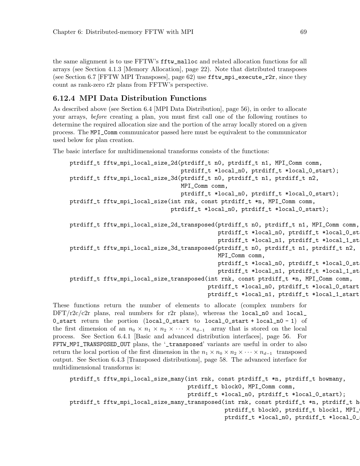the same alignment is to use FFTW's fftw\_malloc and related allocation functions for all arrays (see [Section 4.1.3 \[Memory Allocation\], page 22\)](#page-27-1). Note that distributed transposes (see [Section 6.7 \[FFTW MPI Transposes\], page 62](#page-67-0)) use  $\texttt{fftw\_mpi\_execute\_r2r}$ , since they count as rank-zero r2r plans from FFTW's perspective.

### 6.12.4 MPI Data Distribution Functions

As described above (see [Section 6.4 \[MPI Data Distribution\], page 56\)](#page-61-0), in order to allocate your arrays, before creating a plan, you must first call one of the following routines to determine the required allocation size and the portion of the array locally stored on a given process. The MPI\_Comm communicator passed here must be equivalent to the communicator used below for plan creation.

The basic interface for multidimensional transforms consists of the functions:

```
ptrdiff_t fftw_mpi_local_size_2d(ptrdiff_t n0, ptrdiff_t n1, MPI_Comm comm,
                                 ptrdiff_t *local_n0, ptrdiff_t *local_0_start);
ptrdiff_t fftw_mpi_local_size_3d(ptrdiff_t n0, ptrdiff_t n1, ptrdiff_t n2,
                                 MPI_Comm comm,
                                 ptrdiff_t *local_n0, ptrdiff_t *local_0_start);
ptrdiff_t fftw_mpi_local_size(int rnk, const ptrdiff_t *n, MPI_Comm comm,
                              ptrdiff_t *local_n0, ptrdiff_t *local_0_start);
ptrdiff_t fftw_mpi_local_size_2d_transposed(ptrdiff_t n0, ptrdiff_t n1, MPI_Comm comm,
                                            ptrdiff_t *local_n0, ptrdiff_t *local_0_st
                                            ptrdiff_t *local_n1, ptrdiff_t *local_1_st
ptrdiff_t fftw_mpi_local_size_3d_transposed(ptrdiff_t n0, ptrdiff_t n1, ptrdiff_t n2,
                                            MPI_Comm comm,
                                            ptrdiff_t *local_n0, ptrdiff_t *local_0_st
                                            ptrdiff_t *local_n1, ptrdiff_t *local_1_st
ptrdiff_t fftw_mpi_local_size_transposed(int rnk, const ptrdiff_t *n, MPI_Comm comm,
                                         ptrdiff_t *local_n0, ptrdiff_t *local_0_start,
                                         ptrdiff_t *local_n1, ptrdiff_t *local_1_start);
```
These functions return the number of elements to allocate (complex numbers for  $\text{DFT}/r2c/c2r$  plans, real numbers for r2r plans), whereas the local no and local 0\_start return the portion (local\_0\_start to local\_0\_start + local\_n0 - 1) of the first dimension of an  $n_0 \times n_1 \times n_2 \times \cdots \times n_{d-1}$  array that is stored on the local process. See [Section 6.4.1 \[Basic and advanced distribution interfaces\], page 56](#page-61-1). For FFTW\_MPI\_TRANSPOSED\_OUT plans, the '\_transposed' variants are useful in order to also return the local portion of the first dimension in the  $n_1 \times n_0 \times n_2 \times \cdots \times n_{d-1}$  transposed output. See [Section 6.4.3 \[Transposed distributions\], page 58](#page-63-0). The advanced interface for multidimensional transforms is:

```
ptrdiff_t fftw_mpi_local_size_many(int rnk, const ptrdiff_t *n, ptrdiff_t howmany,
                                   ptrdiff_t block0, MPI_Comm comm,
                                   ptrdiff_t *local_n0, ptrdiff_t *local_0_start);
ptrdiff_t fftw_mpi_local_size_many_transposed(int rnk, const ptrdiff_t *n, ptrdiff_t h
                                              ptrdiff_t block0, ptrdiff_t block1, MPI_
                                              ptrdiff_t *local_n0, ptrdiff_t *local_0_
```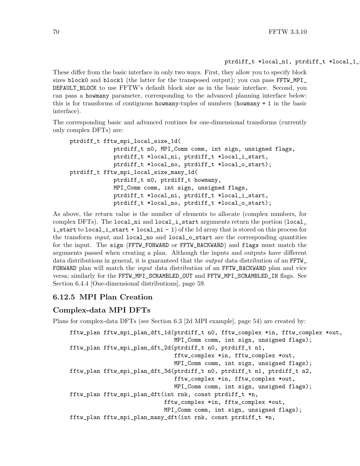#### ptrdiff\_t \*local\_n1, ptrdiff\_t \*local\_1\_

These differ from the basic interface in only two ways. First, they allow you to specify block sizes block0 and block1 (the latter for the transposed output); you can pass FFTW\_MPI\_ DEFAULT\_BLOCK to use FFTW's default block size as in the basic interface. Second, you can pass a howmany parameter, corresponding to the advanced planning interface below: this is for transforms of contiguous howmany-tuples of numbers (howmany = 1 in the basic interface).

The corresponding basic and advanced routines for one-dimensional transforms (currently only complex DFTs) are:

```
ptrdiff_t fftw_mpi_local_size_1d(
             ptrdiff_t n0, MPI_Comm comm, int sign, unsigned flags,
             ptrdiff_t *local_ni, ptrdiff_t *local_i_start,
             ptrdiff_t *local_no, ptrdiff_t *local_o_start);
ptrdiff_t fftw_mpi_local_size_many_1d(
             ptrdiff_t n0, ptrdiff_t howmany,
             MPI_Comm comm, int sign, unsigned flags,
             ptrdiff_t *local_ni, ptrdiff_t *local_i_start,
             ptrdiff_t *local_no, ptrdiff_t *local_o_start);
```
As above, the return value is the number of elements to allocate (complex numbers, for complex DFTs). The  $local\_ni$  and  $local\_i\_start$  arguments return the portion  $(local\_$ i\_start to local\_i\_start + local\_ni - 1) of the 1d array that is stored on this process for the transform *input*, and local no and local o start are the corresponding quantities for the input. The sign (FFTW\_FORWARD or FFTW\_BACKWARD) and flags must match the arguments passed when creating a plan. Although the inputs and outputs have different data distributions in general, it is guaranteed that the *output* data distribution of an FFTW\_ FORWARD plan will match the *input* data distribution of an FFTW\_BACKWARD plan and vice versa; similarly for the FFTW\_MPI\_SCRAMBLED\_OUT and FFTW\_MPI\_SCRAMBLED\_IN flags. See [Section 6.4.4 \[One-dimensional distributions\], page 59.](#page-64-0)

#### 6.12.5 MPI Plan Creation

#### Complex-data MPI DFTs

Plans for complex-data DFTs (see [Section 6.3 \[2d MPI example\], page 54](#page-59-0)) are created by:

```
fftw_plan fftw_mpi_plan_dft_1d(ptrdiff_t n0, fftw_complex *in, fftw_complex *out,
                               MPI_Comm comm, int sign, unsigned flags);
fftw_plan fftw_mpi_plan_dft_2d(ptrdiff_t n0, ptrdiff_t n1,
                               fftw_complex *in, fftw_complex *out,
                               MPI_Comm comm, int sign, unsigned flags);
fftw_plan fftw_mpi_plan_dft_3d(ptrdiff_t n0, ptrdiff_t n1, ptrdiff_t n2,
                               fftw_complex *in, fftw_complex *out,
                               MPI_Comm comm, int sign, unsigned flags);
fftw_plan fftw_mpi_plan_dft(int rnk, const ptrdiff_t *n,
                            fftw_complex *in, fftw_complex *out,
                            MPI_Comm comm, int sign, unsigned flags);
fftw_plan fftw_mpi_plan_many_dft(int rnk, const ptrdiff_t *n,
```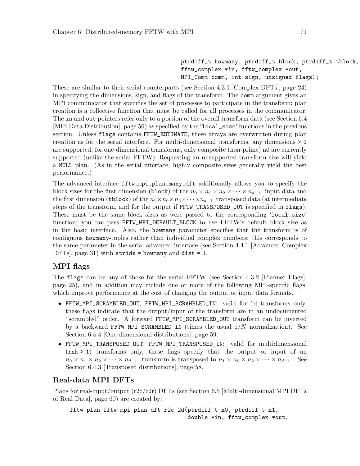ptrdiff\_t howmany, ptrdiff\_t block, ptrdiff\_t tblock, fftw\_complex \*in, fftw\_complex \*out, MPI\_Comm comm, int sign, unsigned flags);

These are similar to their serial counterparts (see [Section 4.3.1 \[Complex DFTs\], page 24\)](#page-29-0) in specifying the dimensions, sign, and flags of the transform. The comm argument gives an MPI communicator that specifies the set of processes to participate in the transform; plan creation is a collective function that must be called for all processes in the communicator. The in and out pointers refer only to a portion of the overall transform data (see [Section 6.4](#page-61-0) [\[MPI Data Distribution\], page 56\)](#page-61-0) as specified by the 'local\_size' functions in the previous section. Unless flags contains FFTW\_ESTIMATE, these arrays are overwritten during plan creation as for the serial interface. For multi-dimensional transforms, any dimensions > 1 are supported; for one-dimensional transforms, only composite (non-prime) n0 are currently supported (unlike the serial FFTW). Requesting an unsupported transform size will yield a NULL plan. (As in the serial interface, highly composite sizes generally yield the best performance.)

The advanced-interface fftw\_mpi\_plan\_many\_dft additionally allows you to specify the block sizes for the first dimension (block) of the  $n_0 \times n_1 \times n_2 \times \cdots \times n_{d-1}$  input data and the first dimension (tblock) of the  $n_1 \times n_0 \times n_2 \times \cdots \times n_{d-1}$  transposed data (at intermediate steps of the transform, and for the output if FFTW\_TRANSPOSED\_OUT is specified in flags). These must be the same block sizes as were passed to the corresponding 'local\_size' function; you can pass FFTW\_MPI\_DEFAULT\_BLOCK to use FFTW's default block size as in the basic interface. Also, the howmany parameter specifies that the transform is of contiguous howmany-tuples rather than individual complex numbers; this corresponds to the same parameter in the serial advanced interface (see [Section 4.4.1 \[Advanced Complex](#page-36-0) DFTs, page 31) with stride = howmany and dist = 1.

### MPI flags

The flags can be any of those for the serial FFTW (see [Section 4.3.2 \[Planner Flags\],](#page-30-0) [page 25\)](#page-30-0), and in addition may include one or more of the following MPI-specific flags, which improve performance at the cost of changing the output or input data formats.

- FFTW\_MPI\_SCRAMBLED\_OUT, FFTW\_MPI\_SCRAMBLED\_IN: valid for 1d transforms only, these flags indicate that the output/input of the transform are in an undocumented "scrambled" order. A forward FFTW\_MPI\_SCRAMBLED\_OUT transform can be inverted by a backward FFTW\_MPI\_SCRAMBLED\_IN (times the usual  $1/N$  normalization). See [Section 6.4.4 \[One-dimensional distributions\], page 59](#page-64-0).
- FFTW\_MPI\_TRANSPOSED\_OUT, FFTW\_MPI\_TRANSPOSED\_IN: valid for multidimensional (rnk > 1) transforms only, these flags specify that the output or input of an  $n_0 \times n_1 \times n_2 \times \cdots \times n_{d-1}$  transform is transposed to  $n_1 \times n_0 \times n_2 \times \cdots \times n_{d-1}$ . See [Section 6.4.3 \[Transposed distributions\], page 58.](#page-63-0)

### Real-data MPI DFTs

Plans for real-input/output (r2c/c2r) DFTs (see [Section 6.5 \[Multi-dimensional MPI DFTs](#page-65-0) [of Real Data\], page 60\)](#page-65-0) are created by:

```
fftw_plan fftw_mpi_plan_dft_r2c_2d(ptrdiff_t n0, ptrdiff_t n1,
                                   double *in, fftw_complex *out,
```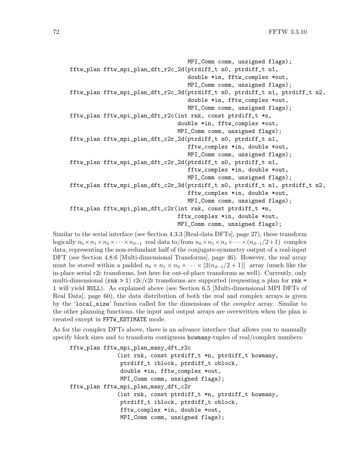```
MPI_Comm comm, unsigned flags);
fftw_plan fftw_mpi_plan_dft_r2c_2d(ptrdiff_t n0, ptrdiff_t n1,
                                   double *in, fftw_complex *out,
                                   MPI_Comm comm, unsigned flags);
fftw_plan fftw_mpi_plan_dft_r2c_3d(ptrdiff_t n0, ptrdiff_t n1, ptrdiff_t n2,
                                   double *in, fftw_complex *out,
                                   MPI_Comm comm, unsigned flags);
fftw_plan fftw_mpi_plan_dft_r2c(int rnk, const ptrdiff_t *n,
                                double *in, fftw_complex *out,
                                MPI_Comm comm, unsigned flags);
fftw_plan fftw_mpi_plan_dft_c2r_2d(ptrdiff_t n0, ptrdiff_t n1,
                                   fftw_complex *in, double *out,
                                   MPI_Comm comm, unsigned flags);
fftw_plan fftw_mpi_plan_dft_c2r_2d(ptrdiff_t n0, ptrdiff_t n1,
                                   fftw_complex *in, double *out,
                                   MPI_Comm comm, unsigned flags);
fftw_plan fftw_mpi_plan_dft_c2r_3d(ptrdiff_t n0, ptrdiff_t n1, ptrdiff_t n2,
                                   fftw_complex *in, double *out,
                                   MPI_Comm comm, unsigned flags);
fftw_plan fftw_mpi_plan_dft_c2r(int rnk, const ptrdiff_t *n,
                                fftw_complex *in, double *out,
                                MPI_Comm comm, unsigned flags);
```
Similar to the serial interface (see [Section 4.3.3 \[Real-data DFTs\], page 27\)](#page-32-0), these transform logically  $n_0 \times n_1 \times n_2 \times \cdots \times n_{d-1}$  real data to/from  $n_0 \times n_1 \times n_2 \times \cdots \times (n_{d-1}/2+1)$  complex data, representing the non-redundant half of the conjugate-symmetry output of a real-input DFT (see [Section 4.8.6 \[Multi-dimensional Transforms\], page 46\)](#page-51-0). However, the real array must be stored within a padded  $n_0 \times n_1 \times n_2 \times \cdots \times [2(n_{d-1}/2+1)]$  array (much like the in-place serial r2c transforms, but here for out-of-place transforms as well). Currently, only multi-dimensional (rnk > 1)  $r2c/c2r$  transforms are supported (requesting a plan for rnk = 1 will yield NULL). As explained above (see [Section 6.5 \[Multi-dimensional MPI DFTs of](#page-65-0) [Real Data\], page 60](#page-65-0)), the data distribution of both the real and complex arrays is given by the 'local\_size' function called for the dimensions of the *complex* array. Similar to the other planning functions, the input and output arrays are overwritten when the plan is created except in FFTW\_ESTIMATE mode.

As for the complex DFTs above, there is an advance interface that allows you to manually specify block sizes and to transform contiguous howmany-tuples of real/complex numbers:

```
fftw_plan fftw_mpi_plan_many_dft_r2c
              (int rnk, const ptrdiff_t *n, ptrdiff_t howmany,
               ptrdiff_t iblock, ptrdiff_t oblock,
               double *in, fftw_complex *out,
               MPI_Comm comm, unsigned flags);
fftw_plan fftw_mpi_plan_many_dft_c2r
              (int rnk, const ptrdiff_t *n, ptrdiff_t howmany,
               ptrdiff_t iblock, ptrdiff_t oblock,
               fftw_complex *in, double *out,
               MPI_Comm comm, unsigned flags);
```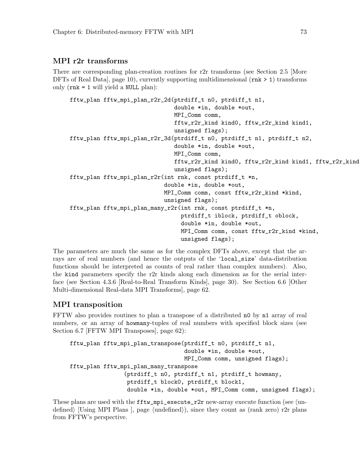#### MPI r2r transforms

There are corresponding plan-creation routines for r2r transforms (see [Section 2.5 \[More](#page-15-0) DFTs of Real Data, page 10), currently supporting multidimensional  $(rnk > 1)$  transforms only  $(rnk = 1$  will yield a NULL plan):

```
fftw_plan fftw_mpi_plan_r2r_2d(ptrdiff_t n0, ptrdiff_t n1,
                               double *in, double *out,
                               MPI_Comm comm,
                               fftw_r2r_kind kind0, fftw_r2r_kind kind1,
                               unsigned flags);
fftw_plan fftw_mpi_plan_r2r_3d(ptrdiff_t n0, ptrdiff_t n1, ptrdiff_t n2,
                               double *in, double *out,
                               MPI_Comm comm,
                               fftw_r2r_kind kind0, fftw_r2r_kind kind1, fftw_r2r_kind kind2,
                               unsigned flags);
fftw_plan fftw_mpi_plan_r2r(int rnk, const ptrdiff_t *n,
                            double *in, double *out,
                            MPI_Comm comm, const fftw_r2r_kind *kind,
                            unsigned flags);
fftw_plan fftw_mpi_plan_many_r2r(int rnk, const ptrdiff_t *n,
                                 ptrdiff_t iblock, ptrdiff_t oblock,
                                  double *in, double *out,
                                 MPI_Comm comm, const fftw_r2r_kind *kind,
                                 unsigned flags);
```
The parameters are much the same as for the complex DFTs above, except that the arrays are of real numbers (and hence the outputs of the 'local\_size' data-distribution functions should be interpreted as counts of real rather than complex numbers). Also, the kind parameters specify the r2r kinds along each dimension as for the serial interface (see [Section 4.3.6 \[Real-to-Real Transform Kinds\], page 30\)](#page-35-0). See [Section 6.6 \[Other](#page-67-1) [Multi-dimensional Real-data MPI Transforms\], page 62](#page-67-1).

#### MPI transposition

FFTW also provides routines to plan a transpose of a distributed n0 by n1 array of real numbers, or an array of howmany-tuples of real numbers with specified block sizes (see [Section 6.7 \[FFTW MPI Transposes\], page 62](#page-67-0)):

```
fftw_plan fftw_mpi_plan_transpose(ptrdiff_t n0, ptrdiff_t n1,
                                  double *in, double *out,
                                  MPI_Comm comm, unsigned flags);
fftw_plan fftw_mpi_plan_many_transpose
                (ptrdiff_t n0, ptrdiff_t n1, ptrdiff_t howmany,
                 ptrdiff_t block0, ptrdiff_t block1,
                 double *in, double *out, MPI_Comm comm, unsigned flags);
```
These plans are used with the  $fftw_mpi$ -execute\_r2r new-array execute function (see  $\langle$ [un-](#page-0-0)defined) [\[Using MPI Plans \], page](#page-0-0)  $\langle$ undefined $\rangle$ ), since they count as (rank zero) r2r plans from FFTW's perspective.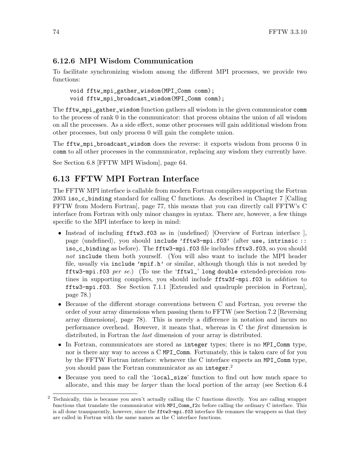### 6.12.6 MPI Wisdom Communication

To facilitate synchronizing wisdom among the different MPI processes, we provide two functions:

void fftw\_mpi\_gather\_wisdom(MPI\_Comm comm); void fftw\_mpi\_broadcast\_wisdom(MPI\_Comm comm);

The fftw\_mpi\_gather\_wisdom function gathers all wisdom in the given communicator comm to the process of rank 0 in the communicator: that process obtains the union of all wisdom on all the processes. As a side effect, some other processes will gain additional wisdom from other processes, but only process 0 will gain the complete union.

The fftw\_mpi\_broadcast\_wisdom does the reverse: it exports wisdom from process 0 in comm to all other processes in the communicator, replacing any wisdom they currently have.

See [Section 6.8 \[FFTW MPI Wisdom\], page 64](#page-69-0).

### 6.13 FFTW MPI Fortran Interface

The FFTW MPI interface is callable from modern Fortran compilers supporting the Fortran 2003 iso\_c\_binding standard for calling C functions. As described in [Chapter 7 \[Calling](#page-82-0) [FFTW from Modern Fortran\], page 77,](#page-82-0) this means that you can directly call FFTW's C interface from Fortran with only minor changes in syntax. There are, however, a few things specific to the MPI interface to keep in mind:

- Instead of including  $\texttt{fftw3.f03}$  as in  $\langle$ undefined $\rangle$  [\[Overview of Fortran interface \],](#page-0-0) page ([undefined](#page-0-0)), you should include 'fftw3-mpi.f03' (after use, intrinsic :: iso\_c\_binding as before). The fftw3-mpi.f03 file includes fftw3.f03, so you should not include them both yourself. (You will also want to include the MPI header file, usually via include 'mpif.h' or similar, although though this is not needed by fftw3-mpi.f03 per se.) (To use the 'fftw1\_' long double extended-precision routines in supporting compilers, you should include fftw3f-mpi.f03 in *addition* to fftw3-mpi.f03. See [Section 7.1.1 \[Extended and quadruple precision in Fortran\],](#page-83-0) [page 78.](#page-83-0))
- Because of the different storage conventions between C and Fortran, you reverse the order of your array dimensions when passing them to FFTW (see [Section 7.2 \[Reversing](#page-83-1) [array dimensions\], page 78\)](#page-83-1). This is merely a difference in notation and incurs no performance overhead. However, it means that, whereas in C the first dimension is distributed, in Fortran the last dimension of your array is distributed.
- In Fortran, communicators are stored as integer types; there is no MPI\_Comm type, nor is there any way to access a C MPI\_Comm. Fortunately, this is taken care of for you by the FFTW Fortran interface: whenever the C interface expects an MPI\_Comm type, you should pass the Fortran communicator as an integer. 2
- Because you need to call the 'local\_size' function to find out how much space to allocate, and this may be larger than the local portion of the array (see [Section 6.4](#page-61-0)

<sup>2</sup> [Technically, this is because you aren't actually calling the C functions directly. You are calling wrapper](#page-61-0) [functions that translate the communicator with](#page-61-0) MPI\_Comm\_f2c before calling the ordinary C interface. This is all done transparently, however, since the fftw3-mpi.f03 [interface file renames the wrappers so that they](#page-61-0) [are called in Fortran with the same names as the C interface functions.](#page-61-0)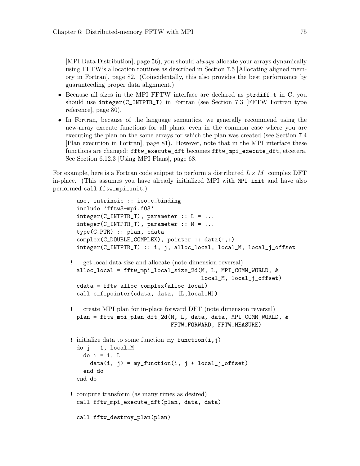[\[MPI Data Distribution\], page 56\)](#page-61-0), you should always allocate your arrays dynamically using FFTW's allocation routines as described in [Section 7.5 \[Allocating aligned mem](#page-87-0)[ory in Fortran\], page 82.](#page-87-0) (Coincidentally, this also provides the best performance by guaranteeding proper data alignment.)

- Because all sizes in the MPI FFTW interface are declared as ptrdiff\_t in C, you should use integer(C\_INTPTR\_T) in Fortran (see [Section 7.3 \[FFTW Fortran type](#page-85-0) [reference\], page 80\)](#page-85-0).
- In Fortran, because of the language semantics, we generally recommend using the new-array execute functions for all plans, even in the common case where you are executing the plan on the same arrays for which the plan was created (see [Section 7.4](#page-86-0) [\[Plan execution in Fortran\], page 81\)](#page-86-0). However, note that in the MPI interface these functions are changed: fftw\_execute\_dft becomes fftw\_mpi\_execute\_dft, etcetera. See [Section 6.12.3 \[Using MPI Plans\], page 68.](#page-73-0)

For example, here is a Fortran code snippet to perform a distributed  $L \times M$  complex DFT in-place. (This assumes you have already initialized MPI with MPI\_init and have also performed call fftw\_mpi\_init.)

```
use, intrinsic :: iso_c_binding
  include 'fftw3-mpi.f03'
  integer(C_INTPTR_T), parameter :: L = ...integer(C_INTPTR_T), parameter :: M = ...type(C_PTR) :: plan, cdata
  complex(C_DOUBLE_COMPLEX), pointer :: data(:,:)
  integer(C_INTPTR_T) :: i, j, alloc_local, local_M, local_j_offset
! get local data size and allocate (note dimension reversal)
  alloc_local = fftw_mpi_local_size_2d(M, L, MPI_COMM_WORLD, &
                                        local_M, local_j_offset)
  cdata = fftw_alloc_complex(alloc_local)
  call c_f_pointer(cdata, data, [L,local_M])
   ! create MPI plan for in-place forward DFT (note dimension reversal)
 plan = fftw_mpi_plan_dft_2d(M, L, data, data, MPI_COMM_WORLD, &
                               FFTW_FORWARD, FFTW_MEASURE)
! initialize data to some function my_function(i,j)do j = 1, local_M
   do i = 1, L
      data(i, j) = my_function(i, j + local_j_offest)end do
  end do
! compute transform (as many times as desired)
  call fftw_mpi_execute_dft(plan, data, data)
  call fftw_destroy_plan(plan)
```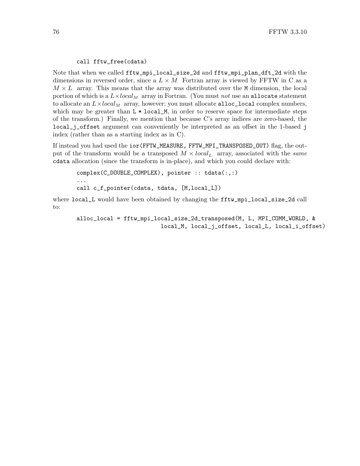#### call fftw\_free(cdata)

Note that when we called fftw\_mpi\_local\_size\_2d and fftw\_mpi\_plan\_dft\_2d with the dimensions in reversed order, since a  $L \times M$  Fortran array is viewed by FFTW in C as a  $M \times L$  array. This means that the array was distributed over the M dimension, the local portion of which is a  $L \times local_M$  array in Fortran. (You must not use an allocate statement to allocate an  $L \times local_M$  array, however; you must allocate alloc\_local complex numbers, which may be greater than  $L * local_M$ , in order to reserve space for intermediate steps of the transform.) Finally, we mention that because C's array indices are zero-based, the local\_j\_offset argument can conveniently be interpreted as an offset in the 1-based j index (rather than as a starting index as in C).

If instead you had used the ior(FFTW\_MEASURE, FFTW\_MPI\_TRANSPOSED\_OUT) flag, the output of the transform would be a transposed  $M \times local_L$  array, associated with the same cdata allocation (since the transform is in-place), and which you could declare with:

complex(C\_DOUBLE\_COMPLEX), pointer :: tdata(:,:) ... call c\_f\_pointer(cdata, tdata, [M,local\_L])

where local\_L would have been obtained by changing the fftw\_mpi\_local\_size\_2d call to:

alloc\_local = fftw\_mpi\_local\_size\_2d\_transposed(M, L, MPI\_COMM\_WORLD, & local\_M, local\_j\_offset, local\_L, local\_i\_offset)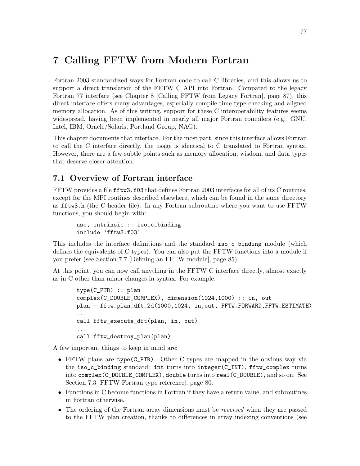# <span id="page-82-0"></span>7 Calling FFTW from Modern Fortran

Fortran 2003 standardized ways for Fortran code to call C libraries, and this allows us to support a direct translation of the FFTW C API into Fortran. Compared to the legacy Fortran 77 interface (see [Chapter 8 \[Calling FFTW from Legacy Fortran\], page 87\)](#page-92-0), this direct interface offers many advantages, especially compile-time type-checking and aligned memory allocation. As of this writing, support for these C interoperability features seems widespread, having been implemented in nearly all major Fortran compilers (e.g. GNU, Intel, IBM, Oracle/Solaris, Portland Group, NAG).

This chapter documents that interface. For the most part, since this interface allows Fortran to call the C interface directly, the usage is identical to C translated to Fortran syntax. However, there are a few subtle points such as memory allocation, wisdom, and data types that deserve closer attention.

## 7.1 Overview of Fortran interface

FFTW provides a file fftw3.f03 that defines Fortran 2003 interfaces for all of its C routines, except for the MPI routines described elsewhere, which can be found in the same directory as fftw3.h (the C header file). In any Fortran subroutine where you want to use FFTW functions, you should begin with:

```
use, intrinsic :: iso_c_binding
include 'fftw3.f03'
```
This includes the interface definitions and the standard iso\_c\_binding module (which defines the equivalents of C types). You can also put the FFTW functions into a module if you prefer (see [Section 7.7 \[Defining an FFTW module\], page 85](#page-90-0)).

At this point, you can now call anything in the FFTW C interface directly, almost exactly as in C other than minor changes in syntax. For example:

```
type(C_PTR) :: plan
complex(C_DOUBLE_COMPLEX), dimension(1024,1000) :: in, out
plan = fftw_plan_dft_2d(1000,1024, in,out, FFTW_FORWARD,FFTW_ESTIMATE)
...
call fftw_execute_dft(plan, in, out)
...
call fftw_destroy_plan(plan)
```
A few important things to keep in mind are:

- FFTW plans are type(C\_PTR). Other C types are mapped in the obvious way via the iso\_c\_binding standard: int turns into integer(C\_INT), fftw\_complex turns into complex(C\_DOUBLE\_COMPLEX), double turns into real(C\_DOUBLE), and so on. See [Section 7.3 \[FFTW Fortran type reference\], page 80.](#page-85-0)
- Functions in C become functions in Fortran if they have a return value, and subroutines in Fortran otherwise.
- The ordering of the Fortran array dimensions must be *reversed* when they are passed to the FFTW plan creation, thanks to differences in array indexing conventions (see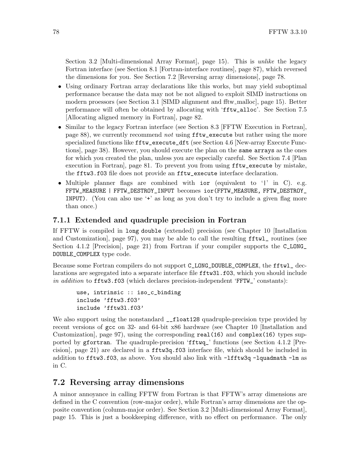[Section 3.2 \[Multi-dimensional Array Format\], page 15](#page-20-0)). This is *unlike* the legacy Fortran interface (see [Section 8.1 \[Fortran-interface routines\], page 87\)](#page-92-1), which reversed the dimensions for you. See [Section 7.2 \[Reversing array dimensions\], page 78.](#page-83-1)

- Using ordinary Fortran array declarations like this works, but may yield suboptimal performance because the data may not be not aligned to exploit SIMD instructions on modern proessors (see [Section 3.1 \[SIMD alignment and fftw](#page-20-1) malloc], page 15). Better performance will often be obtained by allocating with 'fftw\_alloc'. See [Section 7.5](#page-87-0) [\[Allocating aligned memory in Fortran\], page 82.](#page-87-0)
- Similar to the legacy Fortran interface (see [Section 8.3 \[FFTW Execution in Fortran\],](#page-93-0) [page 88\)](#page-93-0), we currently recommend not using **fftw\_execute** but rather using the more specialized functions like fftw\_execute\_dft (see [Section 4.6 \[New-array Execute Func](#page-43-0)[tions\], page 38\)](#page-43-0). However, you should execute the plan on the same arrays as the ones for which you created the plan, unless you are especially careful. See [Section 7.4 \[Plan](#page-86-0) [execution in Fortran\], page 81.](#page-86-0) To prevent you from using fftw\_execute by mistake, the fftw3.f03 file does not provide an fftw\_execute interface declaration.
- Multiple planner flags are combined with ior (equivalent to '|' in C). e.g. FFTW\_MEASURE | FFTW\_DESTROY\_INPUT becomes ior(FFTW\_MEASURE, FFTW\_DESTROY\_ INPUT). (You can also use '+' as long as you don't try to include a given flag more than once.)

### <span id="page-83-0"></span>7.1.1 Extended and quadruple precision in Fortran

If FFTW is compiled in long double (extended) precision (see [Chapter 10 \[Installation](#page-102-0) [and Customization\], page 97](#page-102-0)), you may be able to call the resulting fftwl\_ routines (see [Section 4.1.2 \[Precision\], page 21](#page-26-1)) from Fortran if your compiler supports the C\_LONG\_ DOUBLE\_COMPLEX type code.

Because some Fortran compilers do not support C\_LONG\_DOUBLE\_COMPLEX, the fftwl\_ declarations are segregated into a separate interface file fftw3l.f03, which you should include in addition to fftw3.f03 (which declares precision-independent 'FFTW\_' constants):

```
use, intrinsic :: iso_c_binding
include 'fftw3.f03'
include 'fftw3l.f03'
```
We also support using the nonstandard  $_{-}$ float128 quadruple-precision type provided by recent versions of gcc on 32- and 64-bit x86 hardware (see [Chapter 10 \[Installation and](#page-102-0) [Customization\], page 97\)](#page-102-0), using the corresponding real(16) and complex(16) types supported by gfortran. The quadruple-precision 'fftwq\_' functions (see [Section 4.1.2 \[Pre](#page-26-1)[cision\], page 21](#page-26-1)) are declared in a fftw3q.f03 interface file, which should be included in addition to fftw3.f03, as above. You should also link with -lfftw3q -lquadmath -lm as in C.

### <span id="page-83-1"></span>7.2 Reversing array dimensions

A minor annoyance in calling FFTW from Fortran is that FFTW's array dimensions are defined in the C convention (row-major order), while Fortran's array dimensions are the opposite convention (column-major order). See [Section 3.2 \[Multi-dimensional Array Format\],](#page-20-0) [page 15](#page-20-0). This is just a bookkeeping difference, with no effect on performance. The only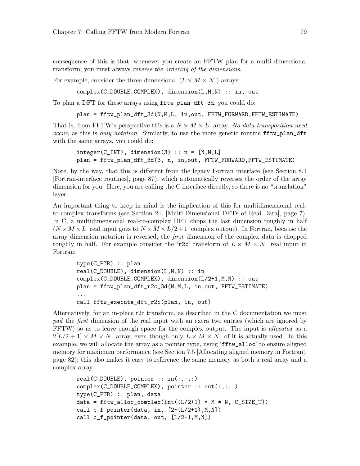consequence of this is that, whenever you create an FFTW plan for a multi-dimensional transform, you must always reverse the ordering of the dimensions.

For example, consider the three-dimensional  $(L \times M \times N)$  arrays:

complex(C\_DOUBLE\_COMPLEX), dimension(L,M,N) :: in, out

To plan a DFT for these arrays using fftw\_plan\_dft\_3d, you could do:

```
plan = fftw_plan_dft_3d(N,M,L, in,out, FFTW_FORWARD,FFTW_ESTIMATE)
```
That is, from FFTW's perspective this is a  $N \times M \times L$  array. No data transposition need occur, as this is only notation. Similarly, to use the more generic routine fftw\_plan\_dft with the same arrays, you could do:

```
integer(C_INT), dimension(3) :: n = [N,M,L]plan = fftw_plan_dft_3d(3, n, in,out, FFTW_FORWARD,FFTW_ESTIMATE)
```
Note, by the way, that this is different from the legacy Fortran interface (see [Section 8.1](#page-92-1) [\[Fortran-interface routines\], page 87\)](#page-92-1), which automatically reverses the order of the array dimension for you. Here, you are calling the C interface directly, so there is no "translation" layer.

An important thing to keep in mind is the implication of this for multidimensional realto-complex transforms (see [Section 2.4 \[Multi-Dimensional DFTs of Real Data\], page 7\)](#page-12-0). In C, a multidimensional real-to-complex DFT chops the last dimension roughly in half  $(N \times M \times L$  real input goes to  $N \times M \times L/2 + 1$  complex output). In Fortran, because the array dimension notation is reversed, the first dimension of the complex data is chopped roughly in half. For example consider the 'r2c' transform of  $L \times M \times N$  real input in Fortran:

```
type(C_PTR) :: plan
real(C_DOUBLE), dimension(L,M,N) :: in
complex(C_DOUBLE_COMPLEX), dimension(L/2+1,M,N) :: out
plan = fftw_plan_dft_r2c_3d(N,M,L, in,out, FFTW_ESTIMATE)
...
call fftw_execute_dft_r2c(plan, in, out)
```
Alternatively, for an in-place r2c transform, as described in the C documentation we must pad the first dimension of the real input with an extra two entries (which are ignored by FFTW) so as to leave enough space for the complex output. The input is *allocated* as a  $2[L/2 + 1] \times M \times N$  array, even though only  $L \times M \times N$  of it is actually used. In this example, we will allocate the array as a pointer type, using 'fftw\_alloc' to ensure aligned memory for maximum performance (see [Section 7.5 \[Allocating aligned memory in Fortran\],](#page-87-0) [page 82](#page-87-0)); this also makes it easy to reference the same memory as both a real array and a complex array.

```
real(C_DOWBLE), pointer :: in(:,:,:)complex(C_DOUBLE_COMPLEX), pointer :: out(:,:,:)
type(C_PTR) :: plan, data
data = fftw_alloc_complex(int((L/2+1) * M * N, C_SIZE_T))
call c_f-pointer(data, in, [2*(L/2+1), M, N]))
call c_f_pointer(data, out, [L/2+1,M,N])
```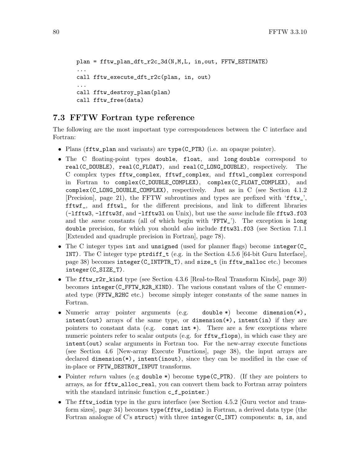```
plan = fftw_plan_dft_r2c_3d(N,M,L, in,out, FFTW_ESTIMATE)
...
call fftw_execute_dft_r2c(plan, in, out)
...
call fftw_destroy_plan(plan)
call fftw_free(data)
```
### <span id="page-85-0"></span>7.3 FFTW Fortran type reference

The following are the most important type correspondences between the C interface and Fortran:

- Plans (fftw\_plan and variants) are type(C\_PTR) (i.e. an opaque pointer).
- The C floating-point types double, float, and long double correspond to real(C\_DOUBLE), real(C\_FLOAT), and real(C\_LONG\_DOUBLE), respectively. The C complex types fftw\_complex, fftwf\_complex, and fftwl\_complex correspond in Fortran to complex(C\_DOUBLE\_COMPLEX), complex(C\_FLOAT\_COMPLEX), and complex(C\_LONG\_DOUBLE\_COMPLEX), respectively. Just as in C (see [Section 4.1.2](#page-26-1) [\[Precision\], page 21](#page-26-1)), the FFTW subroutines and types are prefixed with 'fftw\_', fftwf\_, and fftwl\_ for the different precisions, and link to different libraries (-lfftw3, -lfftw3f, and -lfftw3l on Unix), but use the same include file fftw3.f03 and the same constants (all of which begin with 'FFTW\_'). The exception is long double precision, for which you should also include fftw31.f03 (see [Section 7.1.1](#page-83-0) [\[Extended and quadruple precision in Fortran\], page 78](#page-83-0)).
- The C integer types int and unsigned (used for planner flags) become integer(C\_ INT). The C integer type  $\text{ptrdiff}_t$  (e.g. in the [Section 4.5.6 \[64-bit Guru Interface\],](#page-43-1) [page 38\)](#page-43-1) becomes integer(C\_INTPTR\_T), and size\_t (in fftw\_malloc etc.) becomes integer(C\_SIZE\_T).
- The fftw\_r2r\_kind type (see [Section 4.3.6 \[Real-to-Real Transform Kinds\], page 30\)](#page-35-0) becomes integer(C\_FFTW\_R2R\_KIND). The various constant values of the C enumerated type (FFTW\_R2HC etc.) become simply integer constants of the same names in Fortran.
- Numeric array pointer arguments (e.g. double \*) become dimension(\*),  $intent(out)$  arrays of the same type, or dimension $(*)$ , intent(in) if they are pointers to constant data (e.g. const int  $*)$ ). There are a few exceptions where numeric pointers refer to scalar outputs (e.g. for  $\texttt{fftw_flops}$ ), in which case they are intent(out) scalar arguments in Fortran too. For the new-array execute functions (see [Section 4.6 \[New-array Execute Functions\], page 38](#page-43-0)), the input arrays are declared dimension(\*), intent(inout), since they can be modified in the case of in-place or FFTW\_DESTROY\_INPUT transforms.
- Pointer return values (e.g double \*) become type(C\_PTR). (If they are pointers to arrays, as for fftw\_alloc\_real, you can convert them back to Fortran array pointers with the standard intrinsic function  $c_f$ -pointer.)
- The fitty is dim type in the guru interface (see [Section 4.5.2 \[Guru vector and trans](#page-39-0)[form sizes\], page 34\)](#page-39-0) becomes type(fftw\_iodim) in Fortran, a derived data type (the Fortran analogue of C's struct) with three integer(C\_INT) components: n, is, and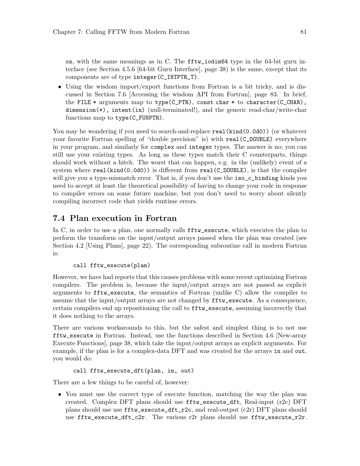os, with the same meanings as in C. The fftw\_iodim64 type in the 64-bit guru interface (see [Section 4.5.6 \[64-bit Guru Interface\], page 38](#page-43-1)) is the same, except that its components are of type integer(C\_INTPTR\_T).

• Using the wisdom import/export functions from Fortran is a bit tricky, and is discussed in [Section 7.6 \[Accessing the wisdom API from Fortran\], page 83.](#page-88-0) In brief, the FILE  $*$  arguments map to type(C\_PTR), const char  $*$  to character(C\_CHAR), dimension(\*), intent(in) (null-terminated!), and the generic read-char/write-char functions map to type(C\_FUNPTR).

You may be wondering if you need to search-and-replace **real** (kind(0.0d0)) (or whatever your favorite Fortran spelling of "double precision" is) with real(C\_DOUBLE) everywhere in your program, and similarly for complex and integer types. The answer is no; you can still use your existing types. As long as these types match their C counterparts, things should work without a hitch. The worst that can happen, e.g. in the (unlikely) event of a system where real(kind(0.0d0)) is different from real(C\_DOUBLE), is that the compiler will give you a type-mismatch error. That is, if you don't use the iso\_c\_binding kinds you need to accept at least the theoretical possibility of having to change your code in response to compiler errors on some future machine, but you don't need to worry about silently compiling incorrect code that yields runtime errors.

### <span id="page-86-0"></span>7.4 Plan execution in Fortran

In C, in order to use a plan, one normally calls fftw\_execute, which executes the plan to perform the transform on the input/output arrays passed when the plan was created (see [Section 4.2 \[Using Plans\], page 22\)](#page-27-0). The corresponding subroutine call in modern Fortran is:

#### call fftw\_execute(plan)

However, we have had reports that this causes problems with some recent optimizing Fortran compilers. The problem is, because the input/output arrays are not passed as explicit arguments to fftw\_execute, the semantics of Fortran (unlike C) allow the compiler to assume that the input/output arrays are not changed by fftw\_execute. As a consequence, certain compilers end up repositioning the call to fftw\_execute, assuming incorrectly that it does nothing to the arrays.

There are various workarounds to this, but the safest and simplest thing is to not use fftw\_execute in Fortran. Instead, use the functions described in [Section 4.6 \[New-array](#page-43-0) [Execute Functions\], page 38](#page-43-0), which take the input/output arrays as explicit arguments. For example, if the plan is for a complex-data DFT and was created for the arrays in and out, you would do:

#### call fftw\_execute\_dft(plan, in, out)

There are a few things to be careful of, however:

• You must use the correct type of execute function, matching the way the plan was created. Complex DFT plans should use fftw\_execute\_dft, Real-input (r2c) DFT plans should use use  $fftw$ <sub>execute\_dft\_r2c</sub>, and real-output (c2r) DFT plans should use fftw\_execute\_dft\_c2r. The various r2r plans should use fftw\_execute\_r2r.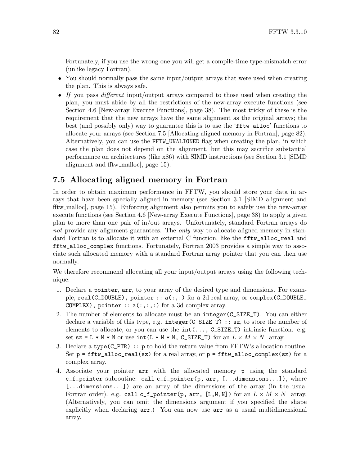Fortunately, if you use the wrong one you will get a compile-time type-mismatch error (unlike legacy Fortran).

- You should normally pass the same input/output arrays that were used when creating the plan. This is always safe.
- If you pass different input/output arrays compared to those used when creating the plan, you must abide by all the restrictions of the new-array execute functions (see [Section 4.6 \[New-array Execute Functions\], page 38\)](#page-43-0). The most tricky of these is the requirement that the new arrays have the same alignment as the original arrays; the best (and possibly only) way to guarantee this is to use the 'fftw\_alloc' functions to allocate your arrays (see [Section 7.5 \[Allocating aligned memory in Fortran\], page 82\)](#page-87-0). Alternatively, you can use the FFTW\_UNALIGNED flag when creating the plan, in which case the plan does not depend on the alignment, but this may sacrifice substantial performance on architectures (like x86) with SIMD instructions (see [Section 3.1 \[SIMD](#page-20-1) alignment and fitw\_malloc, page 15).

## <span id="page-87-0"></span>7.5 Allocating aligned memory in Fortran

In order to obtain maximum performance in FFTW, you should store your data in arrays that have been specially aligned in memory (see [Section 3.1 \[SIMD alignment and](#page-20-1) fftw [malloc\], page 15\)](#page-20-1). Enforcing alignment also permits you to safely use the new-array execute functions (see [Section 4.6 \[New-array Execute Functions\], page 38](#page-43-0)) to apply a given plan to more than one pair of in/out arrays. Unfortunately, standard Fortran arrays do not provide any alignment guarantees. The *only* way to allocate aligned memory in standard Fortran is to allocate it with an external C function, like the fftw\_alloc\_real and fftw\_alloc\_complex functions. Fortunately, Fortran 2003 provides a simple way to associate such allocated memory with a standard Fortran array pointer that you can then use normally.

We therefore recommend allocating all your input/output arrays using the following technique:

- 1. Declare a pointer, arr, to your array of the desired type and dimensions. For example, real(C\_DOUBLE), pointer :: a(:,:) for a 2d real array, or complex(C\_DOUBLE\_ COMPLEX), pointer ::  $a(:,:,:)$  for a 3d complex array.
- 2. The number of elements to allocate must be an integer(C\_SIZE\_T). You can either declare a variable of this type, e.g. integer(C\_SIZE\_T) :: sz, to store the number of elements to allocate, or you can use the  $int(\ldots, C\_SIZE\_T)$  intrinsic function. e.g. set  $sz = L * M * N$  or use int  $(L * M * N, C_SIZE_T)$  for an  $L \times M \times N$  array.
- 3. Declare a type(C\_PTR) :: p to hold the return value from FFTW's allocation routine. Set  $p = f f t w_a$ lloc\_real(sz) for a real array, or  $p = f f t w_a$ alloc\_complex(sz) for a complex array.
- 4. Associate your pointer arr with the allocated memory p using the standard c\_f\_pointer subroutine: call c\_f\_pointer(p, arr, [...dimensions...]), where [...dimensions...]) are an array of the dimensions of the array (in the usual Fortran order). e.g. call c\_f\_pointer(p, arr, [L,M,N]) for an  $L \times M \times N$  array. (Alternatively, you can omit the dimensions argument if you specified the shape explicitly when declaring arr.) You can now use arr as a usual multidimensional array.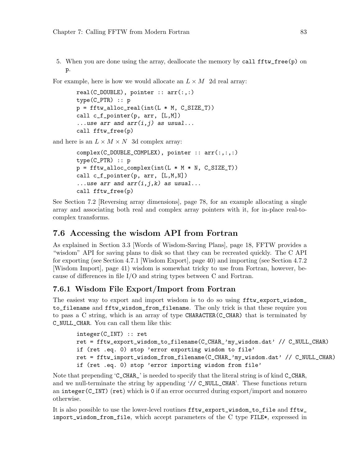5. When you are done using the array, deallocate the memory by call fftw\_free(p) on p.

For example, here is how we would allocate an  $L \times M$  2d real array:

```
real(C_DOWBLE), pointer :: arr(:,:)type(C_PTR) :: p
p = fftw_alloc_real(int(L * M, C_SIZE_T))call c_f_pointer(p, arr, [L,M])
...use arr and arr(i, j) as usual...
call fftw_free(p)
```
and here is an  $L \times M \times N$  3d complex array:

```
complex(C_DOUBLE_COMPLEX), pointer :: arr(:,:,:)
type(C_PTR) :: p
p = fftw_alloc\_complex(int(L * M * N, C_SIZE_T))call c_f_pointer(p, arr, [L,M,N])
...use arr and arr(i, j, k) as usual...
call fftw_free(p)
```
See [Section 7.2 \[Reversing array dimensions\], page 78,](#page-83-1) for an example allocating a single array and associating both real and complex array pointers with it, for in-place real-tocomplex transforms.

### <span id="page-88-0"></span>7.6 Accessing the wisdom API from Fortran

As explained in [Section 3.3 \[Words of Wisdom-Saving Plans\], page 18](#page-23-0), FFTW provides a "wisdom" API for saving plans to disk so that they can be recreated quickly. The C API for exporting (see [Section 4.7.1 \[Wisdom Export\], page 40\)](#page-45-0) and importing (see [Section 4.7.2](#page-46-0) [\[Wisdom Import\], page 41\)](#page-46-0) wisdom is somewhat tricky to use from Fortran, however, because of differences in file I/O and string types between C and Fortran.

#### 7.6.1 Wisdom File Export/Import from Fortran

The easiest way to export and import wisdom is to do so using fftw\_export\_wisdom\_ to\_filename and fftw\_wisdom\_from\_filename. The only trick is that these require you to pass a C string, which is an array of type CHARACTER(C\_CHAR) that is terminated by C\_NULL\_CHAR. You can call them like this:

```
integer(C_INT) :: ret
ret = fftw_export_wisdom_to_filename(C_CHAR_'my_wisdom.dat' // C_NULL_CHAR)
if (ret .eq. 0) stop 'error exporting wisdom to file'
ret = fftw_import_wisdom_from_filename(C_CHAR_'my_wisdom.dat' // C_NULL_CHAR)
if (ret .eq. 0) stop 'error importing wisdom from file'
```
Note that prepending 'C\_CHAR\_' is needed to specify that the literal string is of kind C\_CHAR, and we null-terminate the string by appending '// C\_NULL\_CHAR'. These functions return an integer(C\_INT) (ret) which is 0 if an error occurred during export/import and nonzero otherwise.

It is also possible to use the lower-level routines fftw\_export\_wisdom\_to\_file and fftw\_ import\_wisdom\_from\_file, which accept parameters of the C type FILE\*, expressed in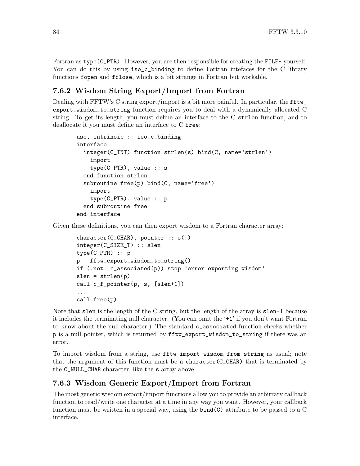Fortran as type (C\_PTR). However, you are then responsible for creating the FILE\* yourself. You can do this by using  $iso_c$ -binding to define Fortran intefaces for the C library functions fopen and fclose, which is a bit strange in Fortran but workable.

### 7.6.2 Wisdom String Export/Import from Fortran

Dealing with FFTW's C string export/import is a bit more painful. In particular, the fftw export\_wisdom\_to\_string function requires you to deal with a dynamically allocated C string. To get its length, you must define an interface to the C strlen function, and to deallocate it you must define an interface to C free:

```
use, intrinsic :: iso_c_binding
interface
  integer(C_INT) function strlen(s) bind(C, name='strlen')
    import
    type(C_PTR), value :: s
  end function strlen
  subroutine free(p) bind(C, name='free')
    import
    type(C_PTR), value :: p
  end subroutine free
end interface
```
Given these definitions, you can then export wisdom to a Fortran character array:

```
character(C_CCHAR), pointer :: s(:)integer(C_SIZE_T) :: slen
type(C_PTR) :: p
p = fftw_export_wisdom_to_string()
if (.not. c_associated(p)) stop 'error exporting wisdom'
slen = strlen(p)call c_f_pointer(p, s, [slen+1])
...
call free(p)
```
Note that slen is the length of the C string, but the length of the array is slen+1 because it includes the terminating null character. (You can omit the '+1' if you don't want Fortran to know about the null character.) The standard c\_associated function checks whether p is a null pointer, which is returned by fftw\_export\_wisdom\_to\_string if there was an error.

To import wisdom from a string, use fftw\_import\_wisdom\_from\_string as usual; note that the argument of this function must be a character( $C_{\text{CHAR}}$ ) that is terminated by the C\_NULL\_CHAR character, like the s array above.

### 7.6.3 Wisdom Generic Export/Import from Fortran

The most generic wisdom export/import functions allow you to provide an arbitrary callback function to read/write one character at a time in any way you want. However, your callback function must be written in a special way, using the bind(C) attribute to be passed to a C interface.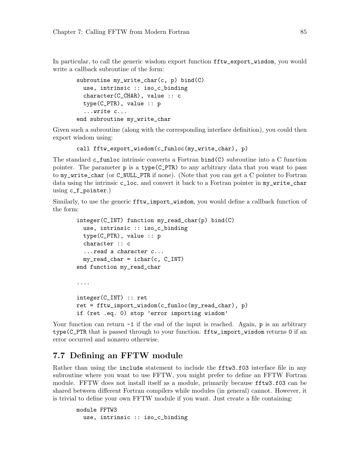In particular, to call the generic wisdom export function fftw\_export\_wisdom, you would write a callback subroutine of the form:

```
subroutine my\_write\_char(c, p) bind(C)
  use, intrinsic :: iso_c_binding
 character(C_CHAR), value :: c
  type(C_PTR), value :: p
  ...write c...
end subroutine my_write_char
```
Given such a subroutine (along with the corresponding interface definition), you could then export wisdom using:

```
call fftw_export_wisdom(c_funloc(my_write_char), p)
```
The standard c\_funloc intrinsic converts a Fortran bind(C) subroutine into a C function pointer. The parameter p is a type(C\_PTR) to any arbitrary data that you want to pass to my\_write\_char (or C\_NULL\_PTR if none). (Note that you can get a C pointer to Fortran data using the intrinsic c\_loc, and convert it back to a Fortran pointer in my\_write\_char using c\_f\_pointer.)

Similarly, to use the generic fftw\_import\_wisdom, you would define a callback function of the form:

```
integer(C_INT) function my_read_char(p) bind(C)
 use, intrinsic :: iso_c_binding
  type(C_PTR), value :: p
  character :: c
  ...read a character c...
  my_read_char = ichar(c, C_INT)
end function my_read_char
....
integer(C_INT) :: ret
ret = fftw_import_wisdom(c_funloc(my_read_char), p)if (ret .eq. 0) stop 'error importing wisdom'
```
Your function can return  $-1$  if the end of the input is reached. Again, p is an arbitrary type(C\_PTR that is passed through to your function. fftw\_import\_wisdom returns 0 if an error occurred and nonzero otherwise.

### <span id="page-90-0"></span>7.7 Defining an FFTW module

Rather than using the include statement to include the fftw3.f03 interface file in any subroutine where you want to use FFTW, you might prefer to define an FFTW Fortran module. FFTW does not install itself as a module, primarily because fftw3.f03 can be shared between different Fortran compilers while modules (in general) cannot. However, it is trivial to define your own FFTW module if you want. Just create a file containing:

```
module FFTW3
 use, intrinsic :: iso_c_binding
```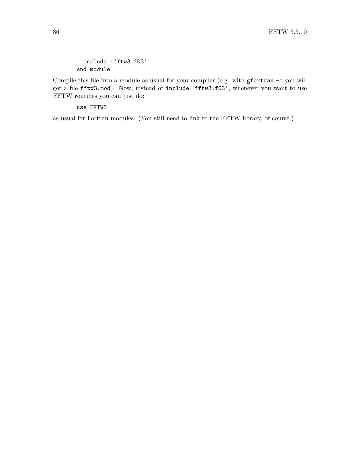include 'fftw3.f03' end module

Compile this file into a module as usual for your compiler (e.g. with gfortran -c you will get a file fftw3.mod). Now, instead of include 'fftw3.f03', whenever you want to use FFTW routines you can just do:

use FFTW3

as usual for Fortran modules. (You still need to link to the FFTW library, of course.)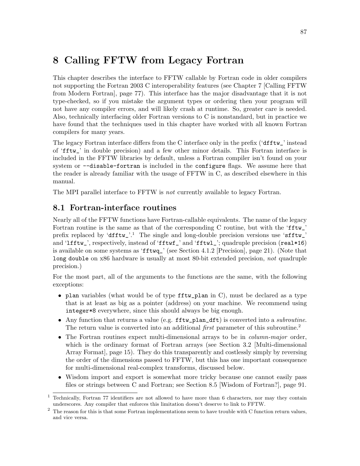# <span id="page-92-0"></span>8 Calling FFTW from Legacy Fortran

This chapter describes the interface to FFTW callable by Fortran code in older compilers not supporting the Fortran 2003 C interoperability features (see [Chapter 7 \[Calling FFTW](#page-82-0) [from Modern Fortran\], page 77](#page-82-0)). This interface has the major disadvantage that it is not type-checked, so if you mistake the argument types or ordering then your program will not have any compiler errors, and will likely crash at runtime. So, greater care is needed. Also, technically interfacing older Fortran versions to C is nonstandard, but in practice we have found that the techniques used in this chapter have worked with all known Fortran compilers for many years.

The legacy Fortran interface differs from the C interface only in the prefix ('dfftw\_' instead of 'fftw\_' in double precision) and a few other minor details. This Fortran interface is included in the FFTW libraries by default, unless a Fortran compiler isn't found on your system or  $-$ -disable-fortran is included in the configure flags. We assume here that the reader is already familiar with the usage of FFTW in C, as described elsewhere in this manual.

The MPI parallel interface to FFTW is *not* currently available to legacy Fortran.

### <span id="page-92-1"></span>8.1 Fortran-interface routines

Nearly all of the FFTW functions have Fortran-callable equivalents. The name of the legacy Fortran routine is the same as that of the corresponding C routine, but with the 'fftw\_' prefix replaced by 'dfftw\_'.<sup>1</sup> The single and long-double precision versions use 'sfftw\_' and 'lfftw\_', respectively, instead of 'fftwf\_' and 'fftwl\_'; quadruple precision (real\*16) is available on some systems as 'fftwq\_' (see [Section 4.1.2 \[Precision\], page 21\)](#page-26-1). (Note that long double on x86 hardware is usually at most 80-bit extended precision, not quadruple precision.)

For the most part, all of the arguments to the functions are the same, with the following exceptions:

- plan variables (what would be of type fftw\_plan in C), must be declared as a type that is at least as big as a pointer (address) on your machine. We recommend using integer\*8 everywhere, since this should always be big enough.
- Any function that returns a value (e.g. fftw\_plan\_dft) is converted into a subroutine. The return value is converted into an additional *first* parameter of this subroutine.<sup>2</sup>
- The Fortran routines expect multi-dimensional arrays to be in *column-major* order, which is the ordinary format of Fortran arrays (see [Section 3.2 \[Multi-dimensional](#page-20-0) [Array Format\], page 15\)](#page-20-0). They do this transparently and costlessly simply by reversing the order of the dimensions passed to FFTW, but this has one important consequence for multi-dimensional real-complex transforms, discussed below.
- Wisdom import and export is somewhat more tricky because one cannot easily pass files or strings between C and Fortran; see [Section 8.5 \[Wisdom of Fortran?\], page 91](#page-96-0).

<sup>&</sup>lt;sup>1</sup> Technically, Fortran 77 identifiers are not allowed to have more than 6 characters, nor may they contain underscores. Any compiler that enforces this limitation doesn't deserve to link to FFTW.

<sup>&</sup>lt;sup>2</sup> The reason for this is that some Fortran implementations seem to have trouble with C function return values, and vice versa.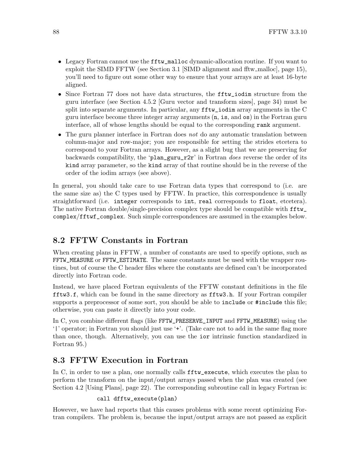- Legacy Fortran cannot use the fftw\_malloc dynamic-allocation routine. If you want to exploit the SIMD FFTW (see [Section 3.1 \[SIMD alignment and fftw](#page-20-1) malloc], page 15), you'll need to figure out some other way to ensure that your arrays are at least 16-byte aligned.
- Since Fortran 77 does not have data structures, the fftw\_iodim structure from the guru interface (see [Section 4.5.2 \[Guru vector and transform sizes\], page 34](#page-39-0)) must be split into separate arguments. In particular, any fftw\_iodim array arguments in the C guru interface become three integer array arguments (n, is, and os) in the Fortran guru interface, all of whose lengths should be equal to the corresponding rank argument.
- The guru planner interface in Fortran does not do any automatic translation between column-major and row-major; you are responsible for setting the strides etcetera to correspond to your Fortran arrays. However, as a slight bug that we are preserving for backwards compatibility, the 'plan\_guru\_r2r' in Fortran *does* reverse the order of its kind array parameter, so the kind array of that routine should be in the reverse of the order of the iodim arrays (see above).

In general, you should take care to use Fortran data types that correspond to (i.e. are the same size as) the C types used by FFTW. In practice, this correspondence is usually straightforward (i.e. integer corresponds to int, real corresponds to float, etcetera). The native Fortran double/single-precision complex type should be compatible with fftw\_ complex/fftwf\_complex. Such simple correspondences are assumed in the examples below.

## 8.2 FFTW Constants in Fortran

When creating plans in FFTW, a number of constants are used to specify options, such as FFTW\_MEASURE or FFTW\_ESTIMATE. The same constants must be used with the wrapper routines, but of course the C header files where the constants are defined can't be incorporated directly into Fortran code.

Instead, we have placed Fortran equivalents of the FFTW constant definitions in the file fftw3.f, which can be found in the same directory as fftw3.h. If your Fortran compiler supports a preprocessor of some sort, you should be able to include or #include this file; otherwise, you can paste it directly into your code.

In C, you combine different flags (like FFTW\_PRESERVE\_INPUT and FFTW\_MEASURE) using the '|' operator; in Fortran you should just use '+'. (Take care not to add in the same flag more than once, though. Alternatively, you can use the ior intrinsic function standardized in Fortran 95.)

### <span id="page-93-0"></span>8.3 FFTW Execution in Fortran

In C, in order to use a plan, one normally calls fftw\_execute, which executes the plan to perform the transform on the input/output arrays passed when the plan was created (see [Section 4.2 \[Using Plans\], page 22](#page-27-0)). The corresponding subroutine call in legacy Fortran is:

#### call dfftw\_execute(plan)

However, we have had reports that this causes problems with some recent optimizing Fortran compilers. The problem is, because the input/output arrays are not passed as explicit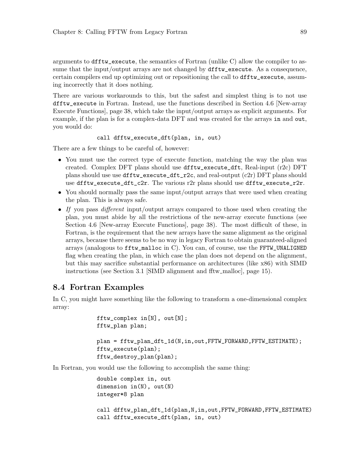arguments to dfftw\_execute, the semantics of Fortran (unlike C) allow the compiler to assume that the input/output arrays are not changed by dfftw\_execute. As a consequence, certain compilers end up optimizing out or repositioning the call to dfftw\_execute, assuming incorrectly that it does nothing.

There are various workarounds to this, but the safest and simplest thing is to not use dfftw\_execute in Fortran. Instead, use the functions described in [Section 4.6 \[New-array](#page-43-0) [Execute Functions\], page 38](#page-43-0), which take the input/output arrays as explicit arguments. For example, if the plan is for a complex-data DFT and was created for the arrays in and out, you would do:

```
call dfftw_execute_dft(plan, in, out)
```
There are a few things to be careful of, however:

- You must use the correct type of execute function, matching the way the plan was created. Complex DFT plans should use dfftw\_execute\_dft, Real-input (r2c) DFT plans should use use dfftw\_execute\_dft\_r2c, and real-output (c2r) DFT plans should use dfftw\_execute\_dft\_c2r. The various r2r plans should use dfftw\_execute\_r2r.
- You should normally pass the same input/output arrays that were used when creating the plan. This is always safe.
- If you pass different input/output arrays compared to those used when creating the plan, you must abide by all the restrictions of the new-array execute functions (see [Section 4.6 \[New-array Execute Functions\], page 38](#page-43-0)). The most difficult of these, in Fortran, is the requirement that the new arrays have the same alignment as the original arrays, because there seems to be no way in legacy Fortran to obtain guaranteed-aligned arrays (analogous to fftw\_malloc in C). You can, of course, use the FFTW\_UNALIGNED flag when creating the plan, in which case the plan does not depend on the alignment, but this may sacrifice substantial performance on architectures (like x86) with SIMD instructions (see [Section 3.1 \[SIMD alignment and fftw](#page-20-1)\_malloc], page 15).

### 8.4 Fortran Examples

In C, you might have something like the following to transform a one-dimensional complex array:

```
fftw_complex in[N], out[N];
fftw_plan plan;
plan = fftw_plan_dft_1d(N,in,out,FFTW_FORWARD,FFTW_ESTIMATE);
fftw_execute(plan);
fftw_destroy_plan(plan);
```
In Fortran, you would use the following to accomplish the same thing:

```
double complex in, out
dimension in(N), out(N)
integer*8 plan
call dfftw_plan_dft_1d(plan,N,in,out,FFTW_FORWARD,FFTW_ESTIMATE)
call dfftw_execute_dft(plan, in, out)
```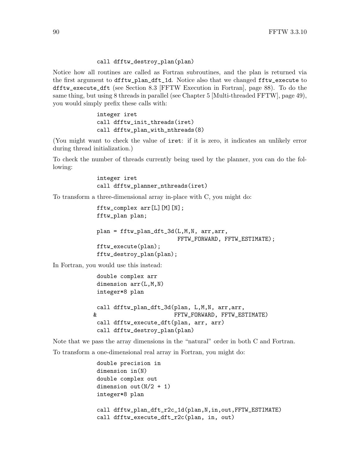#### call dfftw\_destroy\_plan(plan)

Notice how all routines are called as Fortran subroutines, and the plan is returned via the first argument to dfftw\_plan\_dft\_1d. Notice also that we changed fftw\_execute to dfftw\_execute\_dft (see [Section 8.3 \[FFTW Execution in Fortran\], page 88](#page-93-0)). To do the same thing, but using 8 threads in parallel (see [Chapter 5 \[Multi-threaded FFTW\], page 49\)](#page-54-0), you would simply prefix these calls with:

> integer iret call dfftw\_init\_threads(iret) call dfftw\_plan\_with\_nthreads(8)

(You might want to check the value of iret: if it is zero, it indicates an unlikely error during thread initialization.)

To check the number of threads currently being used by the planner, you can do the following:

> integer iret call dfftw\_planner\_nthreads(iret)

To transform a three-dimensional array in-place with C, you might do:

```
fftw_complex arr[L][M][N];
fftw_plan plan;
plan = fftw_plan_dft_3d(L,M,N, arr,arr,
                        FFTW_FORWARD, FFTW_ESTIMATE);
fftw_execute(plan);
fftw_destroy_plan(plan);
```
In Fortran, you would use this instead:

```
double complex arr
dimension arr(L,M,N)
integer*8 plan
call dfftw_plan_dft_3d(plan, L,M,N, arr,arr,
& FFTW_FORWARD, FFTW_ESTIMATE)
call dfftw_execute_dft(plan, arr, arr)
call dfftw_destroy_plan(plan)
```
Note that we pass the array dimensions in the "natural" order in both C and Fortran.

To transform a one-dimensional real array in Fortran, you might do:

```
double precision in
dimension in(N)
double complex out
dimension out (N/2 + 1)integer*8 plan
call dfftw_plan_dft_r2c_1d(plan,N,in,out,FFTW_ESTIMATE)
call dfftw_execute_dft_r2c(plan, in, out)
```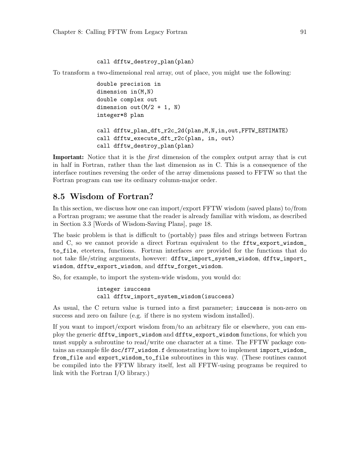#### call dfftw\_destroy\_plan(plan)

To transform a two-dimensional real array, out of place, you might use the following:

```
double precision in
dimension in(M,N)
double complex out
dimension out (M/2 + 1, N)integer*8 plan
call dfftw_plan_dft_r2c_2d(plan,M,N,in,out,FFTW_ESTIMATE)
call dfftw_execute_dft_r2c(plan, in, out)
call dfftw_destroy_plan(plan)
```
Important: Notice that it is the *first* dimension of the complex output array that is cut in half in Fortran, rather than the last dimension as in C. This is a consequence of the interface routines reversing the order of the array dimensions passed to FFTW so that the Fortran program can use its ordinary column-major order.

### <span id="page-96-0"></span>8.5 Wisdom of Fortran?

In this section, we discuss how one can import/export FFTW wisdom (saved plans) to/from a Fortran program; we assume that the reader is already familiar with wisdom, as described in [Section 3.3 \[Words of Wisdom-Saving Plans\], page 18](#page-23-0).

The basic problem is that is difficult to (portably) pass files and strings between Fortran and C, so we cannot provide a direct Fortran equivalent to the fftw\_export\_wisdom\_ to\_file, etcetera, functions. Fortran interfaces are provided for the functions that do not take file/string arguments, however: dfftw\_import\_system\_wisdom, dfftw\_import\_ wisdom, dfftw\_export\_wisdom, and dfftw\_forget\_wisdom.

So, for example, to import the system-wide wisdom, you would do:

```
integer isuccess
call dfftw_import_system_wisdom(isuccess)
```
As usual, the C return value is turned into a first parameter; isuccess is non-zero on success and zero on failure (e.g. if there is no system wisdom installed).

If you want to import/export wisdom from/to an arbitrary file or elsewhere, you can employ the generic dfftw\_import\_wisdom and dfftw\_export\_wisdom functions, for which you must supply a subroutine to read/write one character at a time. The FFTW package contains an example file  $doc/f77\_window.f$  demonstrating how to implement import\_wisdom\_ from\_file and export\_wisdom\_to\_file subroutines in this way. (These routines cannot be compiled into the FFTW library itself, lest all FFTW-using programs be required to link with the Fortran I/O library.)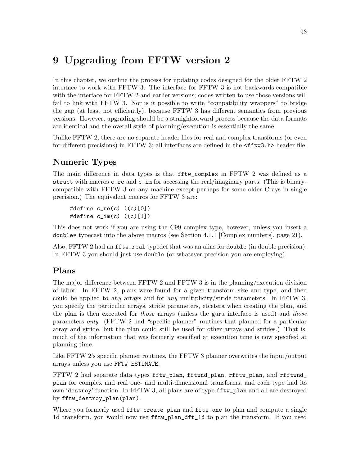# 9 Upgrading from FFTW version 2

In this chapter, we outline the process for updating codes designed for the older FFTW 2 interface to work with FFTW 3. The interface for FFTW 3 is not backwards-compatible with the interface for FFTW 2 and earlier versions; codes written to use those versions will fail to link with FFTW 3. Nor is it possible to write "compatibility wrappers" to bridge the gap (at least not efficiently), because FFTW 3 has different semantics from previous versions. However, upgrading should be a straightforward process because the data formats are identical and the overall style of planning/execution is essentially the same.

Unlike FFTW 2, there are no separate header files for real and complex transforms (or even for different precisions) in FFTW 3; all interfaces are defined in the <fftw3.h> header file.

# Numeric Types

The main difference in data types is that fftw\_complex in FFTW 2 was defined as a struct with macros  $c$ <sub>re</sub> and  $c$ <sub>im</sub> for accessing the real/imaginary parts. (This is binarycompatible with FFTW 3 on any machine except perhaps for some older Crays in single precision.) The equivalent macros for FFTW 3 are:

```
#define c_re(c) ((c)[0])
#define c_im(c) ((c)[1])
```
This does not work if you are using the C99 complex type, however, unless you insert a double\* typecast into the above macros (see [Section 4.1.1 \[Complex numbers\], page 21](#page-26-2)).

Also, FFTW 2 had an fftw\_real typedef that was an alias for double (in double precision). In FFTW 3 you should just use double (or whatever precision you are employing).

### Plans

The major difference between FFTW 2 and FFTW 3 is in the planning/execution division of labor. In FFTW 2, plans were found for a given transform size and type, and then could be applied to any arrays and for any multiplicity/stride parameters. In FFTW 3, you specify the particular arrays, stride parameters, etcetera when creating the plan, and the plan is then executed for *those* arrays (unless the guru interface is used) and *those* parameters only. (FFTW 2 had "specific planner" routines that planned for a particular array and stride, but the plan could still be used for other arrays and strides.) That is, much of the information that was formerly specified at execution time is now specified at planning time.

Like FFTW 2's specific planner routines, the FFTW 3 planner overwrites the input/output arrays unless you use FFTW\_ESTIMATE.

FFTW 2 had separate data types fftw\_plan, fftwnd\_plan, rfftw\_plan, and rfftwnd\_ plan for complex and real one- and multi-dimensional transforms, and each type had its own 'destroy' function. In FFTW 3, all plans are of type fftw\_plan and all are destroyed by fftw\_destroy\_plan(plan).

Where you formerly used fftw\_create\_plan and fftw\_one to plan and compute a single 1d transform, you would now use fftw\_plan\_dft\_1d to plan the transform. If you used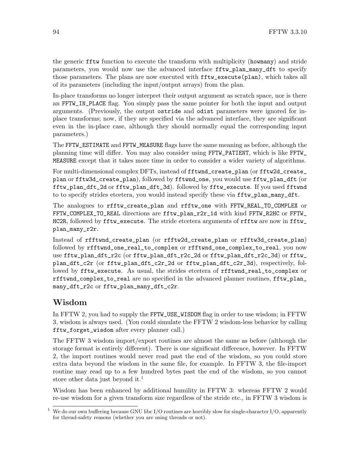the generic fftw function to execute the transform with multiplicity (howmany) and stride parameters, you would now use the advanced interface fftw\_plan\_many\_dft to specify those parameters. The plans are now executed with  $\texttt{fftw\_execute}(plan)$ , which takes all of its parameters (including the input/output arrays) from the plan.

In-place transforms no longer interpret their output argument as scratch space, nor is there an FFTW\_IN\_PLACE flag. You simply pass the same pointer for both the input and output arguments. (Previously, the output ostride and odist parameters were ignored for inplace transforms; now, if they are specified via the advanced interface, they are significant even in the in-place case, although they should normally equal the corresponding input parameters.)

The FFTW\_ESTIMATE and FFTW\_MEASURE flags have the same meaning as before, although the planning time will differ. You may also consider using FFTW\_PATIENT, which is like FFTW\_ MEASURE except that it takes more time in order to consider a wider variety of algorithms.

For multi-dimensional complex DFTs, instead of fftwnd\_create\_plan (or fftw2d\_create\_ plan or fftw3d\_create\_plan), followed by fftwnd\_one, you would use fftw\_plan\_dft (or fftw\_plan\_dft\_2d or fftw\_plan\_dft\_3d). followed by fftw\_execute. If you used fftwnd to to specify strides etcetera, you would instead specify these via fftw\_plan\_many\_dft.

The analogues to rfftw\_create\_plan and rfftw\_one with FFTW\_REAL\_TO\_COMPLEX or FFTW\_COMPLEX\_TO\_REAL directions are fftw\_plan\_r2r\_1d with kind FFTW\_R2HC or FFTW\_ HC2R, followed by  $fftw$  execute. The stride etcetera arguments of  $rfftw$  are now in  $fftw$ plan\_many\_r2r.

Instead of rfftwnd\_create\_plan (or rfftw2d\_create\_plan or rfftw3d\_create\_plan) followed by rfftwnd\_one\_real\_to\_complex or rfftwnd\_one\_complex\_to\_real, you now use fftw\_plan\_dft\_r2c (or fftw\_plan\_dft\_r2c\_2d or fftw\_plan\_dft\_r2c\_3d) or fftw\_ plan\_dft\_c2r (or fftw\_plan\_dft\_c2r\_2d or fftw\_plan\_dft\_c2r\_3d), respectively, followed by fftw\_execute. As usual, the strides etcetera of rfftwnd\_real\_to\_complex or rfftwnd\_complex\_to\_real are no specified in the advanced planner routines, fftw\_plan\_ many\_dft\_r2c or fftw\_plan\_many\_dft\_c2r.

### Wisdom

In FFTW 2, you had to supply the FFTW\_USE\_WISDOM flag in order to use wisdom; in FFTW 3, wisdom is always used. (You could simulate the FFTW 2 wisdom-less behavior by calling fftw\_forget\_wisdom after every planner call.)

The FFTW 3 wisdom import/export routines are almost the same as before (although the storage format is entirely different). There is one significant difference, however. In FFTW 2, the import routines would never read past the end of the wisdom, so you could store extra data beyond the wisdom in the same file, for example. In FFTW 3, the file-import routine may read up to a few hundred bytes past the end of the wisdom, so you cannot store other data just beyond it.<sup>1</sup>

Wisdom has been enhanced by additional humility in FFTW 3: whereas FFTW 2 would re-use wisdom for a given transform size regardless of the stride etc., in FFTW 3 wisdom is

We do our own buffering because GNU libc I/O routines are horribly slow for single-character I/O, apparently for thread-safety reasons (whether you are using threads or not).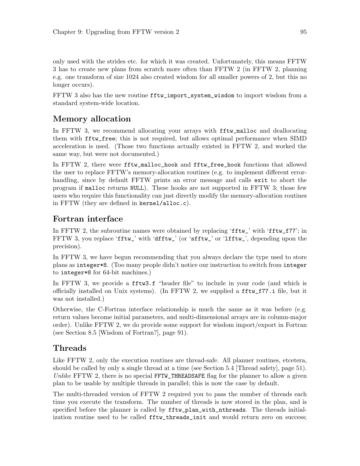only used with the strides etc. for which it was created. Unfortunately, this means FFTW 3 has to create new plans from scratch more often than FFTW 2 (in FFTW 2, planning e.g. one transform of size 1024 also created wisdom for all smaller powers of 2, but this no longer occurs).

FFTW 3 also has the new routine fftw\_import\_system\_wisdom to import wisdom from a standard system-wide location.

### Memory allocation

In FFTW 3, we recommend allocating your arrays with fftw\_malloc and deallocating them with fftw\_free; this is not required, but allows optimal performance when SIMD acceleration is used. (Those two functions actually existed in FFTW 2, and worked the same way, but were not documented.)

In FFTW 2, there were fftw\_malloc\_hook and fftw\_free\_hook functions that allowed the user to replace FFTW's memory-allocation routines (e.g. to implement different errorhandling, since by default FFTW prints an error message and calls exit to abort the program if malloc returns NULL). These hooks are not supported in FFTW 3; those few users who require this functionality can just directly modify the memory-allocation routines in FFTW (they are defined in kernel/alloc.c).

### Fortran interface

In FFTW 2, the subroutine names were obtained by replacing 'fftw\_' with 'fftw\_f77'; in FFTW 3, you replace 'fftw\_' with 'dfftw\_' (or 'sfftw\_' or 'lfftw\_', depending upon the precision).

In FFTW 3, we have begun recommending that you always declare the type used to store plans as integer\*8. (Too many people didn't notice our instruction to switch from integer to integer\*8 for 64-bit machines.)

In FFTW 3, we provide a fftw3.f "header file" to include in your code (and which is officially installed on Unix systems). (In FFTW 2, we supplied a fftw\_f77.i file, but it was not installed.)

Otherwise, the C-Fortran interface relationship is much the same as it was before (e.g. return values become initial parameters, and multi-dimensional arrays are in column-major order). Unlike FFTW 2, we do provide some support for wisdom import/export in Fortran (see [Section 8.5 \[Wisdom of Fortran?\], page 91](#page-96-0)).

### Threads

Like FFTW 2, only the execution routines are thread-safe. All planner routines, etcetera, should be called by only a single thread at a time (see [Section 5.4 \[Thread safety\], page 51\)](#page-56-0). Unlike FFTW 2, there is no special FFTW\_THREADSAFE flag for the planner to allow a given plan to be usable by multiple threads in parallel; this is now the case by default.

The multi-threaded version of FFTW 2 required you to pass the number of threads each time you execute the transform. The number of threads is now stored in the plan, and is specified before the planner is called by  $\texttt{fftw}_\textit{plan\_with}\texttt{nth}\texttt{reads}$ . The threads initialization routine used to be called fftw\_threads\_init and would return zero on success;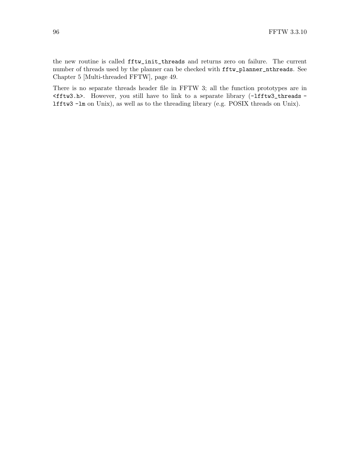the new routine is called fftw\_init\_threads and returns zero on failure. The current number of threads used by the planner can be checked with fftw\_planner\_nthreads. See [Chapter 5 \[Multi-threaded FFTW\], page 49](#page-54-0).

There is no separate threads header file in FFTW 3; all the function prototypes are in <fftw3.h>. However, you still have to link to a separate library (-lfftw3\_threads lfftw3 -lm on Unix), as well as to the threading library (e.g. POSIX threads on Unix).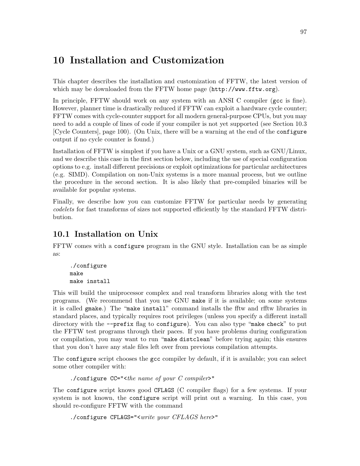# <span id="page-102-0"></span>10 Installation and Customization

This chapter describes the installation and customization of FFTW, the latest version of which may be downloaded from [the FFTW home page \(](http://www.fftw.org)http://www.fftw.org).

In principle, FFTW should work on any system with an ANSI C compiler (gcc is fine). However, planner time is drastically reduced if FFTW can exploit a hardware cycle counter; FFTW comes with cycle-counter support for all modern general-purpose CPUs, but you may need to add a couple of lines of code if your compiler is not yet supported (see [Section 10.3](#page-105-0) [\[Cycle Counters\], page 100\)](#page-105-0). (On Unix, there will be a warning at the end of the configure output if no cycle counter is found.)

Installation of FFTW is simplest if you have a Unix or a GNU system, such as GNU/Linux, and we describe this case in the first section below, including the use of special configuration options to e.g. install different precisions or exploit optimizations for particular architectures (e.g. SIMD). Compilation on non-Unix systems is a more manual process, but we outline the procedure in the second section. It is also likely that pre-compiled binaries will be available for popular systems.

Finally, we describe how you can customize FFTW for particular needs by generating codelets for fast transforms of sizes not supported efficiently by the standard FFTW distribution.

# 10.1 Installation on Unix

FFTW comes with a configure program in the GNU style. Installation can be as simple as:

```
./configure
make
make install
```
This will build the uniprocessor complex and real transform libraries along with the test programs. (We recommend that you use GNU make if it is available; on some systems it is called gmake.) The "make install" command installs the fftw and rfftw libraries in standard places, and typically requires root privileges (unless you specify a different install directory with the --prefix flag to configure). You can also type "make check" to put the FFTW test programs through their paces. If you have problems during configuration or compilation, you may want to run "make distclean" before trying again; this ensures that you don't have any stale files left over from previous compilation attempts.

The configure script chooses the gcc compiler by default, if it is available; you can select some other compiler with:

```
./configure CC="<the name of your C compiler>"
```
The configure script knows good CFLAGS (C compiler flags) for a few systems. If your system is not known, the configure script will print out a warning. In this case, you should re-configure FFTW with the command

```
./configure CFLAGS="<write your CFLAGS here>"
```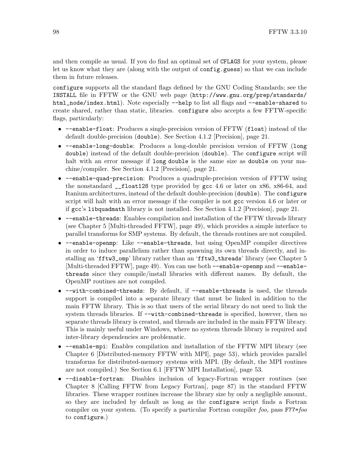and then compile as usual. If you do find an optimal set of CFLAGS for your system, please let us know what they are (along with the output of config.guess) so that we can include them in future releases.

configure supports all the standard flags defined by the GNU Coding Standards; see the INSTALL file in FFTW or the GNU web page ([http://www.gnu.org/prep/standards/](http://www.gnu.org/prep/standards/html_node/index.html) [html\\_node/index.html](http://www.gnu.org/prep/standards/html_node/index.html)). Note especially --help to list all flags and --enable-shared to create shared, rather than static, libraries. configure also accepts a few FFTW-specific flags, particularly:

- --enable-float: Produces a single-precision version of FFTW (float) instead of the default double-precision (double). See [Section 4.1.2 \[Precision\], page 21.](#page-26-1)
- --enable-long-double: Produces a long-double precision version of FFTW (long double) instead of the default double-precision (double). The configure script will halt with an error message if long double is the same size as double on your machine/compiler. See [Section 4.1.2 \[Precision\], page 21](#page-26-1).
- --enable-quad-precision: Produces a quadruple-precision version of FFTW using the nonstandard  $_{-}$ float128 type provided by gcc 4.6 or later on x86, x86-64, and Itanium architectures, instead of the default double-precision (double). The configure script will halt with an error message if the compiler is not gcc version 4.6 or later or if gcc's libquadmath library is not installed. See [Section 4.1.2 \[Precision\], page 21](#page-26-1).
- --enable-threads: Enables compilation and installation of the FFTW threads library (see [Chapter 5 \[Multi-threaded FFTW\], page 49](#page-54-0)), which provides a simple interface to parallel transforms for SMP systems. By default, the threads routines are not compiled.
- --enable-openmp: Like --enable-threads, but using OpenMP compiler directives in order to induce parallelism rather than spawning its own threads directly, and installing an 'fftw3\_omp' library rather than an 'fftw3\_threads' library (see [Chapter 5](#page-54-0) [\[Multi-threaded FFTW\], page 49\)](#page-54-0). You can use both --enable-openmp and --enablethreads since they compile/install libraries with different names. By default, the OpenMP routines are not compiled.
- --with-combined-threads: By default, if --enable-threads is used, the threads support is compiled into a separate library that must be linked in addition to the main FFTW library. This is so that users of the serial library do not need to link the system threads libraries. If  $-\text{with-combined-threads}$  is specified, however, then no separate threads library is created, and threads are included in the main FFTW library. This is mainly useful under Windows, where no system threads library is required and inter-library dependencies are problematic.
- --enable-mpi: Enables compilation and installation of the FFTW MPI library (see [Chapter 6 \[Distributed-memory FFTW with MPI\], page 53\)](#page-58-0), which provides parallel transforms for distributed-memory systems with MPI. (By default, the MPI routines are not compiled.) See [Section 6.1 \[FFTW MPI Installation\], page 53](#page-58-1).
- --disable-fortran: Disables inclusion of legacy-Fortran wrapper routines (see [Chapter 8 \[Calling FFTW from Legacy Fortran\], page 87\)](#page-92-0) in the standard FFTW libraries. These wrapper routines increase the library size by only a negligible amount, so they are included by default as long as the configure script finds a Fortran compiler on your system. (To specify a particular Fortran compiler foo, pass F77=foo to configure.)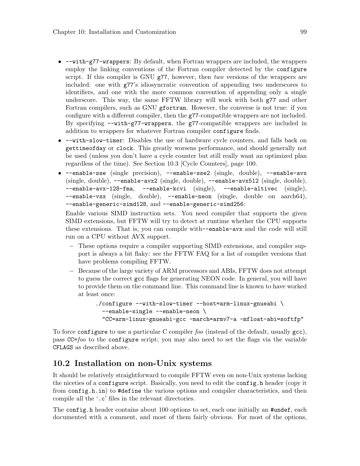- --with-g77-wrappers: By default, when Fortran wrappers are included, the wrappers employ the linking conventions of the Fortran compiler detected by the configure script. If this compiler is GNU  $g77$ , however, then two versions of the wrappers are included: one with g77's idiosyncratic convention of appending two underscores to identifiers, and one with the more common convention of appending only a single underscore. This way, the same FFTW library will work with both g77 and other Fortran compilers, such as GNU gfortran. However, the converse is not true: if you configure with a different compiler, then the g77-compatible wrappers are not included. By specifying --with-g77-wrappers, the g77-compatible wrappers are included in addition to wrappers for whatever Fortran compiler configure finds.
- --with-slow-timer: Disables the use of hardware cycle counters, and falls back on gettimeofday or clock. This greatly worsens performance, and should generally not be used (unless you don't have a cycle counter but still really want an optimized plan regardless of the time). See [Section 10.3 \[Cycle Counters\], page 100.](#page-105-0)
- --enable-sse (single precision), --enable-sse2 (single, double), --enable-avx (single, double), --enable-avx2 (single, double), --enable-avx512 (single, double), --enable-avx-128-fma, --enable-kcvi (single), --enable-altivec (single), --enable-vsx (single, double), --enable-neon (single, double on aarch64), --enable-generic-simd128, and --enable-generic-simd256:

Enable various SIMD instruction sets. You need compiler that supports the given SIMD extensions, but FFTW will try to detect at runtime whether the CPU supports these extensions. That is, you can compile with--enable-avx and the code will still run on a CPU without AVX support.

- − These options require a compiler supporting SIMD extensions, and compiler support is always a bit flaky: see the FFTW FAQ for a list of compiler versions that have problems compiling FFTW.
- − Because of the large variety of ARM processors and ABIs, FFTW does not attempt to guess the correct gcc flags for generating NEON code. In general, you will have to provide them on the command line. This command line is known to have worked at least once:

```
./configure --with-slow-timer --host=arm-linux-gnueabi \
 --enable-single --enable-neon \
 "CC=arm-linux-gnueabi-gcc -march=armv7-a -mfloat-abi=softfp"
```
To force configure to use a particular C compiler foo (instead of the default, usually  $\gcd$ ), pass CC=foo to the configure script; you may also need to set the flags via the variable CFLAGS as described above.

### 10.2 Installation on non-Unix systems

It should be relatively straightforward to compile FFTW even on non-Unix systems lacking the niceties of a configure script. Basically, you need to edit the config.h header (copy it from config.h.in) to #define the various options and compiler characteristics, and then compile all the '.c' files in the relevant directories.

The config.h header contains about 100 options to set, each one initially an #undef, each documented with a comment, and most of them fairly obvious. For most of the options,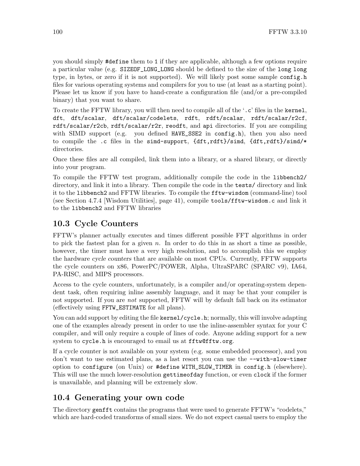you should simply #define them to 1 if they are applicable, although a few options require a particular value (e.g. SIZEOF\_LONG\_LONG should be defined to the size of the long long type, in bytes, or zero if it is not supported). We will likely post some sample config.h files for various operating systems and compilers for you to use (at least as a starting point). Please let us know if you have to hand-create a configuration file (and/or a pre-compiled binary) that you want to share.

To create the FFTW library, you will then need to compile all of the '.c' files in the kernel, dft, dft/scalar, dft/scalar/codelets, rdft, rdft/scalar, rdft/scalar/r2cf, rdft/scalar/r2cb, rdft/scalar/r2r, reodft, and api directories. If you are compiling with SIMD support (e.g. you defined HAVE\_SSE2 in config.h), then you also need to compile the .c files in the simd-support, {dft,rdft}/simd, {dft,rdft}/simd/\* directories.

Once these files are all compiled, link them into a library, or a shared library, or directly into your program.

To compile the FFTW test program, additionally compile the code in the libbench2/ directory, and link it into a library. Then compile the code in the tests/ directory and link it to the libbench2 and FFTW libraries. To compile the fftw-wisdom (command-line) tool (see [Section 4.7.4 \[Wisdom Utilities\], page 41](#page-46-1)), compile tools/fftw-wisdom.c and link it to the libbench2 and FFTW libraries

# <span id="page-105-0"></span>10.3 Cycle Counters

FFTW's planner actually executes and times different possible FFT algorithms in order to pick the fastest plan for a given  $n$ . In order to do this in as short a time as possible, however, the timer must have a very high resolution, and to accomplish this we employ the hardware cycle counters that are available on most CPUs. Currently, FFTW supports the cycle counters on x86, PowerPC/POWER, Alpha, UltraSPARC (SPARC v9), IA64, PA-RISC, and MIPS processors.

Access to the cycle counters, unfortunately, is a compiler and/or operating-system dependent task, often requiring inline assembly language, and it may be that your compiler is not supported. If you are *not* supported, FFTW will by default fall back on its estimator (effectively using FFTW\_ESTIMATE for all plans).

You can add support by editing the file kernel/cycle.h; normally, this will involve adapting one of the examples already present in order to use the inline-assembler syntax for your C compiler, and will only require a couple of lines of code. Anyone adding support for a new system to cycle.h is encouraged to email us at [fftw@fftw.org](mailto:fftw@fftw.org).

If a cycle counter is not available on your system (e.g. some embedded processor), and you don't want to use estimated plans, as a last resort you can use the --with-slow-timer option to configure (on Unix) or #define WITH\_SLOW\_TIMER in config.h (elsewhere). This will use the much lower-resolution gettimeofday function, or even clock if the former is unavailable, and planning will be extremely slow.

# 10.4 Generating your own code

The directory genfft contains the programs that were used to generate FFTW's "codelets," which are hard-coded transforms of small sizes. We do not expect casual users to employ the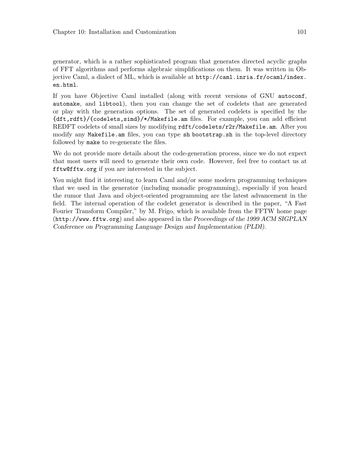generator, which is a rather sophisticated program that generates directed acyclic graphs of FFT algorithms and performs algebraic simplifications on them. It was written in Objective Caml, a dialect of ML, which is available at [http://caml.inria.fr/ocaml/index.](http://caml.inria.fr/ocaml/index.en.html) [en.html](http://caml.inria.fr/ocaml/index.en.html).

If you have Objective Caml installed (along with recent versions of GNU autoconf, automake, and libtool), then you can change the set of codelets that are generated or play with the generation options. The set of generated codelets is specified by the {dft,rdft}/{codelets,simd}/\*/Makefile.am files. For example, you can add efficient REDFT codelets of small sizes by modifying rdft/codelets/r2r/Makefile.am. After you modify any Makefile.am files, you can type sh bootstrap.sh in the top-level directory followed by make to re-generate the files.

We do not provide more details about the code-generation process, since we do not expect that most users will need to generate their own code. However, feel free to contact us at [fftw@fftw.org](mailto:fftw@fftw.org) if you are interested in the subject.

You might find it interesting to learn Caml and/or some modern programming techniques that we used in the generator (including monadic programming), especially if you heard the rumor that Java and object-oriented programming are the latest advancement in the field. The internal operation of the codelet generator is described in the paper, "A Fast Fourier Transform Compiler," by M. Frigo, which is available from the [FFTW home page](http://www.fftw.org) (<http://www.fftw.org>) and also appeared in the Proceedings of the 1999 ACM SIGPLAN Conference on Programming Language Design and Implementation (PLDI).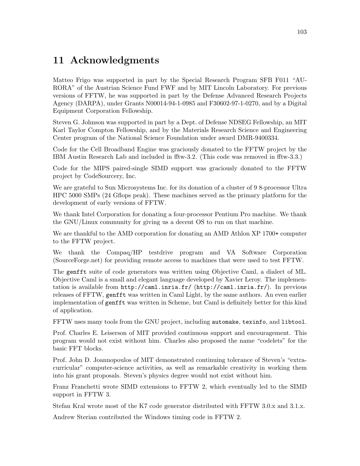# <span id="page-108-0"></span>11 Acknowledgments

Matteo Frigo was supported in part by the Special Research Program SFB F011 "AU-RORA" of the Austrian Science Fund FWF and by MIT Lincoln Laboratory. For previous versions of FFTW, he was supported in part by the Defense Advanced Research Projects Agency (DARPA), under Grants N00014-94-1-0985 and F30602-97-1-0270, and by a Digital Equipment Corporation Fellowship.

Steven G. Johnson was supported in part by a Dept. of Defense NDSEG Fellowship, an MIT Karl Taylor Compton Fellowship, and by the Materials Research Science and Engineering Center program of the National Science Foundation under award DMR-9400334.

Code for the Cell Broadband Engine was graciously donated to the FFTW project by the IBM Austin Research Lab and included in fftw-3.2. (This code was removed in fftw-3.3.)

Code for the MIPS paired-single SIMD support was graciously donated to the FFTW project by CodeSourcery, Inc.

We are grateful to Sun Microsystems Inc. for its donation of a cluster of 98-processor Ultra HPC 5000 SMPs (24 Gflops peak). These machines served as the primary platform for the development of early versions of FFTW.

We thank Intel Corporation for donating a four-processor Pentium Pro machine. We thank the GNU/Linux community for giving us a decent OS to run on that machine.

We are thankful to the AMD corporation for donating an AMD Athlon XP 1700+ computer to the FFTW project.

We thank the Compaq/HP testdrive program and VA Software Corporation (SourceForge.net) for providing remote access to machines that were used to test FFTW.

The genfft suite of code generators was written using Objective Caml, a dialect of ML. Objective Caml is a small and elegant language developed by Xavier Leroy. The implementation is available from http://caml.inria.fr/ (<http://caml.inria.fr/>). In previous releases of FFTW, genfft was written in Caml Light, by the same authors. An even earlier implementation of genfft was written in Scheme, but Caml is definitely better for this kind of application.

FFTW uses many tools from the GNU project, including automake, texinfo, and libtool.

Prof. Charles E. Leiserson of MIT provided continuous support and encouragement. This program would not exist without him. Charles also proposed the name "codelets" for the basic FFT blocks.

Prof. John D. Joannopoulos of MIT demonstrated continuing tolerance of Steven's "extracurricular" computer-science activities, as well as remarkable creativity in working them into his grant proposals. Steven's physics degree would not exist without him.

Franz Franchetti wrote SIMD extensions to FFTW 2, which eventually led to the SIMD support in FFTW 3.

Stefan Kral wrote most of the K7 code generator distributed with FFTW 3.0.x and 3.1.x.

Andrew Sterian contributed the Windows timing code in FFTW 2.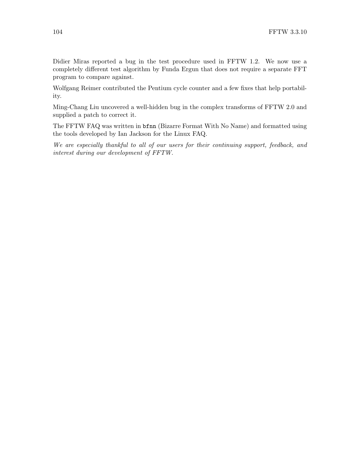Didier Miras reported a bug in the test procedure used in FFTW 1.2. We now use a completely different test algorithm by Funda Ergun that does not require a separate FFT program to compare against.

Wolfgang Reimer contributed the Pentium cycle counter and a few fixes that help portability.

Ming-Chang Liu uncovered a well-hidden bug in the complex transforms of FFTW 2.0 and supplied a patch to correct it.

The FFTW FAQ was written in bfnn (Bizarre Format With No Name) and formatted using the tools developed by Ian Jackson for the Linux FAQ.

We are especially thankful to all of our users for their continuing support, feedback, and interest during our development of FFTW.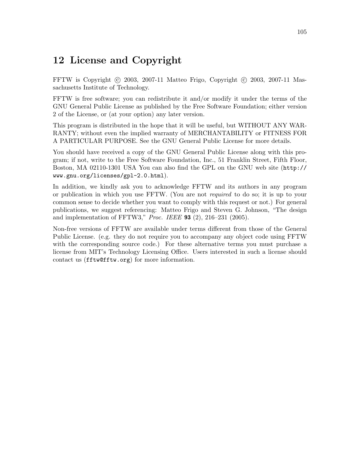## 12 License and Copyright

FFTW is Copyright (C) 2003, 2007-11 Matteo Frigo, Copyright (C) 2003, 2007-11 Massachusetts Institute of Technology.

FFTW is free software; you can redistribute it and/or modify it under the terms of the GNU General Public License as published by the Free Software Foundation; either version 2 of the License, or (at your option) any later version.

This program is distributed in the hope that it will be useful, but WITHOUT ANY WAR-RANTY; without even the implied warranty of MERCHANTABILITY or FITNESS FOR A PARTICULAR PURPOSE. See the GNU General Public License for more details.

You should have received a copy of the GNU General Public License along with this program; if not, write to the Free Software Foundation, Inc., 51 Franklin Street, Fifth Floor, Boston, MA 02110-1301 USA You can also find the [GPL on the GNU web site \(](http://www.gnu.org/licenses/gpl-2.0.html)http:// [www.gnu.org/licenses/gpl-2.0.html](http://www.gnu.org/licenses/gpl-2.0.html)).

In addition, we kindly ask you to acknowledge FFTW and its authors in any program or publication in which you use FFTW. (You are not required to do so; it is up to your common sense to decide whether you want to comply with this request or not.) For general publications, we suggest referencing: Matteo Frigo and Steven G. Johnson, "The design and implementation of FFTW3," Proc. IEEE 93 (2), 216–231 (2005).

Non-free versions of FFTW are available under terms different from those of the General Public License. (e.g. they do not require you to accompany any object code using FFTW with the corresponding source code.) For these alternative terms you must purchase a license from MIT's Technology Licensing Office. Users interested in such a license should contact us ([fftw@fftw.org](mailto:fftw@fftw.org)) for more information.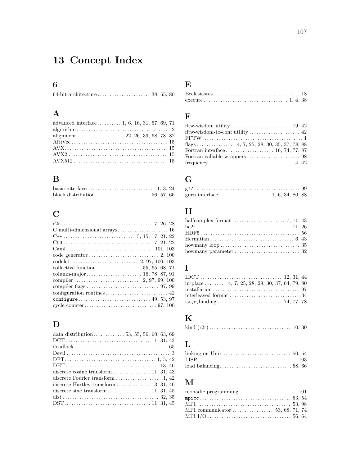# 13 Concept Index

# 6

# A

| advanced interface 1, 6, 16, 31, 57, 69, 71 |  |
|---------------------------------------------|--|
|                                             |  |
|                                             |  |
|                                             |  |
|                                             |  |
|                                             |  |
|                                             |  |

# B

# C

| code generator $\dots\dots\dots\dots\dots\dots\dots\dots\dots 2$ , 100 |
|------------------------------------------------------------------------|
|                                                                        |
|                                                                        |
|                                                                        |
|                                                                        |
|                                                                        |
|                                                                        |
|                                                                        |
|                                                                        |

## D

#### E

# F

# G

# H

| halfcomplex format $\ldots \ldots \ldots \ldots \ldots \ldots$ 7, 11, 43 |  |  |
|--------------------------------------------------------------------------|--|--|
|                                                                          |  |  |
|                                                                          |  |  |
|                                                                          |  |  |
|                                                                          |  |  |
| howmany parameter $\dots\dots\dots\dots\dots\dots\dots\dots\dots$ 32     |  |  |

# I

| in-place  4, 7, 25, 28, 29, 30, 37, 64, 79, 80 |  |  |
|------------------------------------------------|--|--|
|                                                |  |  |
|                                                |  |  |
|                                                |  |  |

#### $\mathbf K$

```
kind (r2r) . . . . . . . . . . . . . . . . . . . . . . . . . . . . . . . . . . 10, 30
```
# L

# M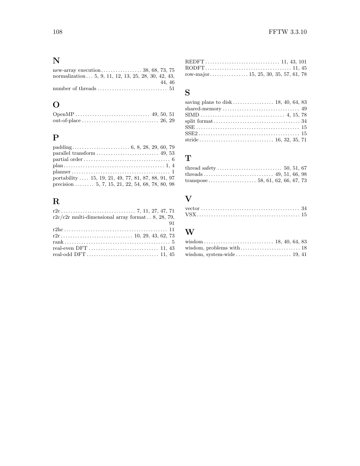# N

| normalization $\ldots$ 5, 9, 11, 12, 13, 25, 28, 30, 42, 43,                       |        |
|------------------------------------------------------------------------------------|--------|
|                                                                                    | 44, 46 |
| number of threads $\dots \dots \dots \dots \dots \dots \dots \dots \dots \dots 51$ |        |

# O

# P

| $plan \ldots \ldots \ldots \ldots \ldots \ldots \ldots \ldots \ldots \ldots \ldots \ldots \ldots 1, 4$ |
|--------------------------------------------------------------------------------------------------------|
|                                                                                                        |
| portability  15, 19, 21, 49, 77, 81, 87, 88, 91, 97                                                    |
| precision  5, 7, 15, 21, 22, 54, 68, 78, 80, 98                                                        |

# R

| $r2c/c2r$ multi-dimensional array format 8, 28, 79,                       |  |
|---------------------------------------------------------------------------|--|
| 91                                                                        |  |
|                                                                           |  |
|                                                                           |  |
|                                                                           |  |
| real-even DFT $\dots\dots\dots\dots\dots\dots\dots\dots\dots\dots$ 11, 43 |  |
|                                                                           |  |

# $\cdot$   $^{51}$  S

| saving plans to disk $\ldots$ $\ldots$ $\ldots$ $\ldots$ 18, 40, 64, 83 |  |
|-------------------------------------------------------------------------|--|
|                                                                         |  |
|                                                                         |  |
|                                                                         |  |
|                                                                         |  |
|                                                                         |  |
|                                                                         |  |
|                                                                         |  |

# T

| $\mathbf{V}$ |  |
|--------------|--|
|              |  |
|              |  |

# W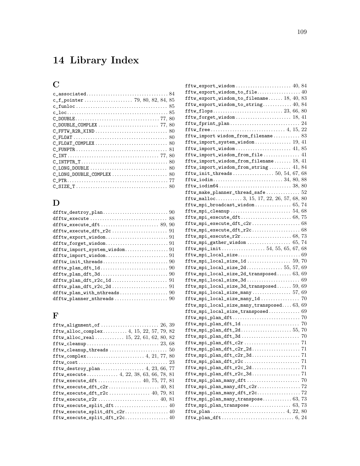# 14 Library Index

# C

# D

| dfftw_execute_dft  89, 90                                                                          |  |
|----------------------------------------------------------------------------------------------------|--|
| $diffw\_execute\_dft\_r2c \ldots \ldots \ldots \ldots \ldots 91$                                   |  |
|                                                                                                    |  |
| $difftw_f or get_w is dom \dots \dots \dots \dots \dots \dots \dots \dots \dots \dots \dots \dots$ |  |
|                                                                                                    |  |
|                                                                                                    |  |
|                                                                                                    |  |
|                                                                                                    |  |
|                                                                                                    |  |
|                                                                                                    |  |
|                                                                                                    |  |
|                                                                                                    |  |
| $difftw\_planner\_nthreads \ldots \ldots \ldots \ldots \ldots \ldots 90$                           |  |
|                                                                                                    |  |

# F

| $\mathtt{fftw\_export\_ wisdom} \dots \dots \dots \dots \dots \dots \dots \ 40, \ 84$                                  |  |
|------------------------------------------------------------------------------------------------------------------------|--|
| $\mathtt{fftw\_export\_window\_to\_file}.\dots\dots\dots\dots\dots40$                                                  |  |
| fftw_export_wisdom_to_filename 18, 40, 83                                                                              |  |
| $\mathtt{fftw\_export\_ wisdom\_to\_string}.\dots \dots \dots \ 40,\ 84$                                               |  |
|                                                                                                                        |  |
|                                                                                                                        |  |
| $\mathtt{fftw\_fprint\_plan}\ldots\ldots\ldots\ldots\ldots\ldots\ldots\ldots\ 24$                                      |  |
|                                                                                                                        |  |
| fftw_import wisdom_from_filename 83                                                                                    |  |
| fftw_import_system_wisdom 19, 41                                                                                       |  |
| $\mathtt{fftw\_import\_wisdom \dots \dots \dots \dots \dots \dots 41,85}$                                              |  |
| fftw_import_wisdom_from_file 41                                                                                        |  |
| $\texttt{fftw\_import\_window\_from\_filename} \dots \dots \ 18, \ 41$                                                 |  |
| $\mathtt{fftw\_import\_window\_from\_string}\ldots\ldots\ldots\ 41,\ 84$                                               |  |
|                                                                                                                        |  |
| $\texttt{fftw\_iodim} \dots \dots \dots \dots \dots \dots \dots \dots \dots \dots \_34, 80, 88$                        |  |
|                                                                                                                        |  |
| $\mathtt{fftw\_make\_planner\_thread\_safe} \dots \dots \dots \dots 52$                                                |  |
| $\texttt{fftw\_malloc} \ldots \ldots \ldots \ldots 3, 15, 17, 22, 26, 57, 68, 80$                                      |  |
|                                                                                                                        |  |
|                                                                                                                        |  |
|                                                                                                                        |  |
|                                                                                                                        |  |
| $\texttt{fftw}_\texttt{mpi\_execute\_dft\_r2c} \ldots \ldots \ldots \ldots \ldots \ldots \, 68$                        |  |
|                                                                                                                        |  |
|                                                                                                                        |  |
|                                                                                                                        |  |
| $\mathtt{fftw\_mpi\_local\_size}.\dots.\dots.\dots.\dots.\dots.\dots\ 69$                                              |  |
| $\texttt{fftw\_mpi\_local\_size\_1d}$ 59,70                                                                            |  |
| $\texttt{fftw\_mpi\_local\_size\_2d}$ 55, 57, 69                                                                       |  |
| $\texttt{fftw\_mpi\_local\_size\_2d\_transposed} \dots \dots 63, 69$                                                   |  |
|                                                                                                                        |  |
| $\texttt{fftw\_mpi\_local\_size\_3d\_transposed} \dots 59,69$                                                          |  |
| $\texttt{fftw\_mpi\_local\_size\_many} \dots \dots \dots \dots \dots 57, 69$                                           |  |
|                                                                                                                        |  |
| $\texttt{fftw\_mpi\_local\_size\_many\_transposed.} \dots 63, 69$                                                      |  |
| $\texttt{fftw\_mpi\_local\_size\_transposed} \dots \dots \dots \dots \ 69$                                             |  |
|                                                                                                                        |  |
| $\mathtt{fftw\_mpi\_plan\_dft\_1d}\dots\dots\dots\dots\dots\dots\dots\ 70$                                             |  |
| $\texttt{fftw\_mpi\_plan\_dft\_2d}$ 55,70                                                                              |  |
|                                                                                                                        |  |
| $\texttt{fftw}_\texttt{mpi}\texttt{plan}\texttt{dft}\texttt{c2r}\dots\dots\dots\dots\dots\dots 71$                     |  |
| $\label{eq:opt1} \small \texttt{fftw\_mpi\_plan\_dft\_c2r\_2d}{}{}{{}{}{\dots}{\dots}{\dots}{\dots}{\dots}{\dots}{71}$ |  |
| $\texttt{fftw}_\texttt{mpi}\texttt{plan}\texttt{dft}\texttt{c2r}\texttt{3d}\dots\dots\dots\dots\dots\dots\ 71$         |  |
|                                                                                                                        |  |
|                                                                                                                        |  |
|                                                                                                                        |  |
|                                                                                                                        |  |
| $\texttt{fftw\_mpi\_plan\_many\_dft\_c2r} \ldots \ldots \ldots \ldots \ldots \ldots \text{72}$                         |  |
| $\texttt{fftw\_mpi\_plan\_many\_dft\_r2c} \ldots \ldots \ldots \ldots \ldots \ldots \text{72}$                         |  |
| $\texttt{fftw\_mpi\_plan\_many\_transpose}\ldots\ldots\ldots\ldots\allowbreak 63,\allowbreak 73$                       |  |
|                                                                                                                        |  |
| $\texttt{fftw\_plan}\dots\dots\dots\dots\dots\dots\dots\dots\dots \ 4,\ 22,\ 80$                                       |  |
|                                                                                                                        |  |